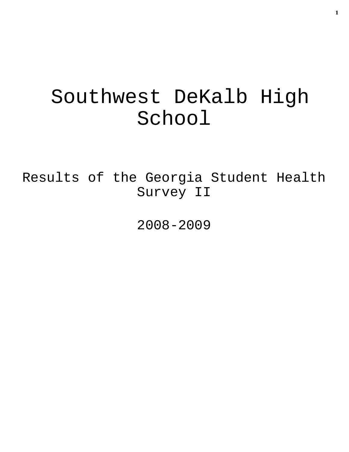# Southwest DeKalb High School

Results of the Georgia Student Health Survey II

2008-2009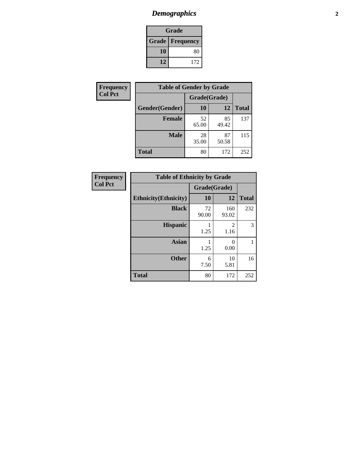# *Demographics* **2**

| Grade                    |     |  |  |  |
|--------------------------|-----|--|--|--|
| <b>Grade   Frequency</b> |     |  |  |  |
| 10                       | 80  |  |  |  |
| 12                       | 172 |  |  |  |

| Frequency      | <b>Table of Gender by Grade</b> |              |             |              |  |  |
|----------------|---------------------------------|--------------|-------------|--------------|--|--|
| <b>Col Pct</b> |                                 | Grade(Grade) |             |              |  |  |
|                | Gender(Gender)                  | 10           | 12          | <b>Total</b> |  |  |
|                | <b>Female</b>                   | 52<br>65.00  | 85<br>49.42 | 137          |  |  |
|                | <b>Male</b>                     | 28<br>35.00  | 87<br>50.58 | 115          |  |  |
|                | <b>Total</b>                    | 80           | 172         | 252          |  |  |

| <b>Frequency</b><br>Col Pct |
|-----------------------------|
|-----------------------------|

| <b>Table of Ethnicity by Grade</b> |              |              |              |  |  |  |
|------------------------------------|--------------|--------------|--------------|--|--|--|
|                                    | Grade(Grade) |              |              |  |  |  |
| <b>Ethnicity</b> (Ethnicity)       | 10           | 12           | <b>Total</b> |  |  |  |
| <b>Black</b>                       | 72<br>90.00  | 160<br>93.02 | 232          |  |  |  |
| <b>Hispanic</b>                    | 1.25         | 2<br>1.16    | 3            |  |  |  |
| <b>Asian</b>                       | 1.25         | 0<br>0.00    | 1            |  |  |  |
| <b>Other</b>                       | 6<br>7.50    | 10<br>5.81   | 16           |  |  |  |
| <b>Total</b>                       | 80           | 172          | 252          |  |  |  |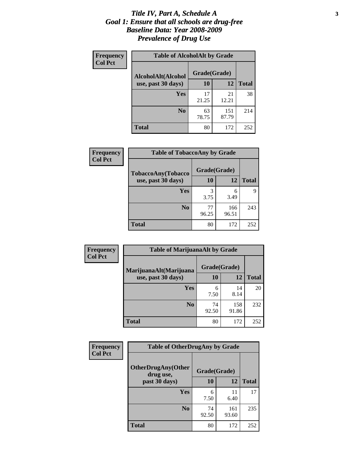### *Title IV, Part A, Schedule A* **3** *Goal 1: Ensure that all schools are drug-free Baseline Data: Year 2008-2009 Prevalence of Drug Use*

| Frequency<br><b>Col Pct</b> | <b>Table of AlcoholAlt by Grade</b> |              |              |              |  |  |
|-----------------------------|-------------------------------------|--------------|--------------|--------------|--|--|
|                             | AlcoholAlt(Alcohol                  | Grade(Grade) |              |              |  |  |
|                             | use, past 30 days)                  | 10           | 12           | <b>Total</b> |  |  |
|                             | Yes                                 | 17<br>21.25  | 21<br>12.21  | 38           |  |  |
|                             | N <sub>0</sub>                      | 63<br>78.75  | 151<br>87.79 | 214          |  |  |
|                             | <b>Total</b>                        | 80           | 172          | 252          |  |  |

| Frequency      | <b>Table of TobaccoAny by Grade</b> |              |              |              |  |
|----------------|-------------------------------------|--------------|--------------|--------------|--|
| <b>Col Pct</b> | TobaccoAny(Tobacco                  | Grade(Grade) |              |              |  |
|                | use, past 30 days)                  | 10           | 12           | <b>Total</b> |  |
|                | Yes                                 | 3<br>3.75    | 6<br>3.49    | 9            |  |
|                | N <sub>0</sub>                      | 77<br>96.25  | 166<br>96.51 | 243          |  |
|                | Total                               | 80           | 172          | 252          |  |

| Frequency<br><b>Col Pct</b> | <b>Table of MarijuanaAlt by Grade</b> |              |              |              |  |
|-----------------------------|---------------------------------------|--------------|--------------|--------------|--|
|                             | MarijuanaAlt(Marijuana                | Grade(Grade) |              |              |  |
|                             | use, past 30 days)                    | 10           | 12           | <b>Total</b> |  |
|                             | <b>Yes</b>                            | 6<br>7.50    | 14<br>8.14   | 20           |  |
|                             | N <sub>0</sub>                        | 74<br>92.50  | 158<br>91.86 | 232          |  |
|                             | <b>Total</b>                          | 80           | 172          | 252          |  |

| Frequency      | <b>Table of OtherDrugAny by Grade</b>  |              |              |              |  |
|----------------|----------------------------------------|--------------|--------------|--------------|--|
| <b>Col Pct</b> | <b>OtherDrugAny(Other</b><br>drug use, | Grade(Grade) |              |              |  |
|                | past 30 days)                          | 10           | 12           | <b>Total</b> |  |
|                | Yes                                    | 6<br>7.50    | 11<br>6.40   | 17           |  |
|                | N <sub>0</sub>                         | 74<br>92.50  | 161<br>93.60 | 235          |  |
|                | <b>Total</b>                           | 80           | 172          | 252          |  |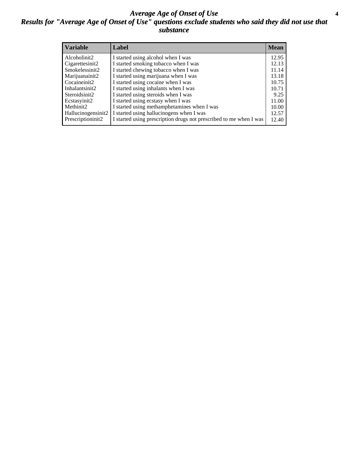### *Average Age of Onset of Use* **4** *Results for "Average Age of Onset of Use" questions exclude students who said they did not use that substance*

| <b>Variable</b>    | Label                                                              | <b>Mean</b> |
|--------------------|--------------------------------------------------------------------|-------------|
| Alcoholinit2       | I started using alcohol when I was                                 | 12.95       |
| Cigarettesinit2    | I started smoking tobacco when I was                               | 12.13       |
| Smokelessinit2     | I started chewing tobacco when I was                               | 11.14       |
| Marijuanainit2     | I started using marijuana when I was                               | 13.18       |
| Cocaineinit2       | I started using cocaine when I was                                 | 10.75       |
| Inhalantsinit2     | I started using inhalants when I was                               | 10.71       |
| Steroidsinit2      | I started using steroids when I was                                | 9.25        |
| Ecstasyinit2       | I started using ecstasy when I was                                 | 11.00       |
| Methinit2          | I started using methamphetamines when I was                        | 10.00       |
| Hallucinogensinit2 | I started using hallucinogens when I was                           | 12.57       |
| Prescriptioninit2  | I started using prescription drugs not prescribed to me when I was | 12.40       |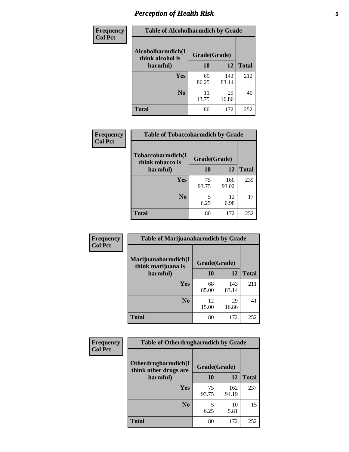# *Perception of Health Risk* **5**

| <b>Frequency</b> | <b>Table of Alcoholharmdich by Grade</b> |              |             |              |  |
|------------------|------------------------------------------|--------------|-------------|--------------|--|
| <b>Col Pct</b>   | Alcoholharmdich(I<br>think alcohol is    | Grade(Grade) |             |              |  |
|                  | harmful)                                 | 10           | 12          | <b>Total</b> |  |
|                  | Yes                                      | 69           | 143         | 212          |  |
|                  |                                          | 86.25        | 83.14       |              |  |
|                  | N <sub>0</sub>                           | 11<br>13.75  | 29<br>16.86 | 40           |  |
|                  | <b>Total</b>                             | 80           | 172         | 252          |  |

| Frequency      | <b>Table of Tobaccoharmdich by Grade</b> |              |              |              |  |
|----------------|------------------------------------------|--------------|--------------|--------------|--|
| <b>Col Pct</b> | Tobaccoharmdich(I<br>think tobacco is    | Grade(Grade) |              |              |  |
|                | harmful)                                 | 10           | 12           | <b>Total</b> |  |
|                | <b>Yes</b>                               | 75<br>93.75  | 160<br>93.02 | 235          |  |
|                | N <sub>0</sub>                           | 6.25         | 12<br>6.98   | 17           |  |
|                | <b>Total</b>                             | 80           | 172          | 252          |  |

| Frequency      | <b>Table of Marijuanaharmdich by Grade</b> |              |              |              |  |  |
|----------------|--------------------------------------------|--------------|--------------|--------------|--|--|
| <b>Col Pct</b> | Marijuanaharmdich(I<br>think marijuana is  | Grade(Grade) |              |              |  |  |
|                | harmful)                                   | 10           | <b>12</b>    | <b>Total</b> |  |  |
|                | Yes                                        | 68<br>85.00  | 143<br>83.14 | 211          |  |  |
|                | N <sub>0</sub>                             | 12<br>15.00  | 29<br>16.86  | 41           |  |  |
|                | <b>Total</b>                               | 80           | 172          | 252          |  |  |

| Frequency      | <b>Table of Otherdrugharmdich by Grade</b>   |              |              |              |  |
|----------------|----------------------------------------------|--------------|--------------|--------------|--|
| <b>Col Pct</b> | Otherdrugharmdich(I<br>think other drugs are | Grade(Grade) |              |              |  |
|                | harmful)                                     | <b>10</b>    | 12           | <b>Total</b> |  |
|                | <b>Yes</b>                                   | 75<br>93.75  | 162<br>94.19 | 237          |  |
|                | N <sub>0</sub>                               | 6.25         | 10<br>5.81   | 15           |  |
|                | <b>Total</b>                                 | 80           | 172          | 252          |  |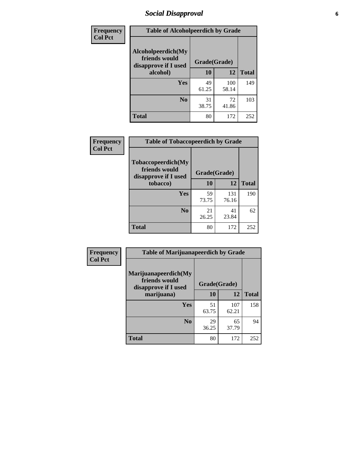# *Social Disapproval* **6**

| Frequency      | <b>Table of Alcoholpeerdich by Grade</b>                    |              |              |              |  |
|----------------|-------------------------------------------------------------|--------------|--------------|--------------|--|
| <b>Col Pct</b> | Alcoholpeerdich(My<br>friends would<br>disapprove if I used | Grade(Grade) |              |              |  |
|                | alcohol)                                                    | 10           | 12           | <b>Total</b> |  |
|                | <b>Yes</b>                                                  | 49<br>61.25  | 100<br>58.14 | 149          |  |
|                | N <sub>0</sub>                                              | 31<br>38.75  | 72<br>41.86  | 103          |  |
|                | <b>Total</b>                                                | 80           | 172          | 252          |  |

| <b>Frequency</b> |
|------------------|
| <b>Col Pct</b>   |

| <b>Table of Tobaccopeerdich by Grade</b>                            |              |              |              |  |  |
|---------------------------------------------------------------------|--------------|--------------|--------------|--|--|
| <b>Tobaccopeerdich</b> (My<br>friends would<br>disapprove if I used | Grade(Grade) |              |              |  |  |
| tobacco)                                                            | 10           | 12           | <b>Total</b> |  |  |
| Yes                                                                 | 59<br>73.75  | 131<br>76.16 | 190          |  |  |
| N <sub>0</sub>                                                      | 21<br>26.25  | 41<br>23.84  | 62           |  |  |
| <b>Total</b>                                                        | 80           | 172          | 252          |  |  |

| <b>Frequency</b> | <b>Table of Marijuanapeerdich by Grade</b>                    |              |              |              |  |
|------------------|---------------------------------------------------------------|--------------|--------------|--------------|--|
| <b>Col Pct</b>   | Marijuanapeerdich(My<br>friends would<br>disapprove if I used | Grade(Grade) |              |              |  |
|                  | marijuana)                                                    | 10           | 12           | <b>Total</b> |  |
|                  | <b>Yes</b>                                                    | 51<br>63.75  | 107<br>62.21 | 158          |  |
|                  | N <sub>0</sub>                                                | 29<br>36.25  | 65<br>37.79  | 94           |  |
|                  | <b>Total</b>                                                  | 80           | 172          | 252          |  |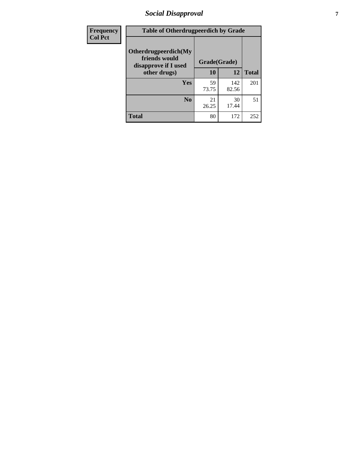# *Social Disapproval* **7**

| Frequency      | <b>Table of Otherdrugpeerdich by Grade</b>                    |              |              |              |  |
|----------------|---------------------------------------------------------------|--------------|--------------|--------------|--|
| <b>Col Pct</b> | Otherdrugpeerdich(My<br>friends would<br>disapprove if I used | Grade(Grade) |              |              |  |
|                | other drugs)                                                  | 10           | 12           | <b>Total</b> |  |
|                | <b>Yes</b>                                                    | 59<br>73.75  | 142<br>82.56 | 201          |  |
|                | N <sub>0</sub>                                                | 21<br>26.25  | 30<br>17.44  | 51           |  |
|                | <b>Total</b>                                                  | 80           | 172          | 252          |  |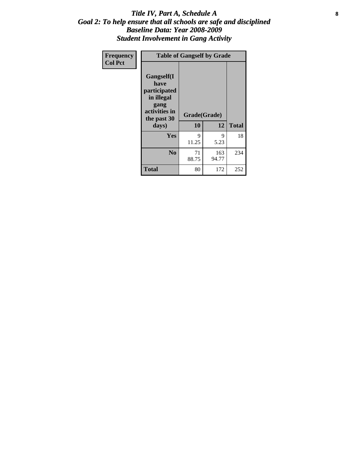### Title IV, Part A, Schedule A **8** *Goal 2: To help ensure that all schools are safe and disciplined Baseline Data: Year 2008-2009 Student Involvement in Gang Activity*

| Frequency      | <b>Table of Gangself by Grade</b>                                                                 |                    |              |              |
|----------------|---------------------------------------------------------------------------------------------------|--------------------|--------------|--------------|
| <b>Col Pct</b> | Gangself(I<br>have<br>participated<br>in illegal<br>gang<br>activities in<br>the past 30<br>days) | Grade(Grade)<br>10 | 12           | <b>Total</b> |
|                | Yes                                                                                               | 9<br>11.25         | 9<br>5.23    | 18           |
|                | N <sub>0</sub>                                                                                    | 71<br>88.75        | 163<br>94.77 | 234          |
|                | <b>Total</b>                                                                                      | 80                 | 172          | 252          |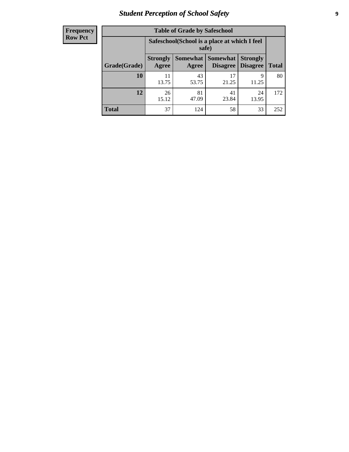# *Student Perception of School Safety* **9**

| <b>Frequency</b><br>Row Pct |
|-----------------------------|
|                             |

| <b>Table of Grade by Safeschool</b> |                                                                                                                                      |                                                        |             |             |     |  |  |
|-------------------------------------|--------------------------------------------------------------------------------------------------------------------------------------|--------------------------------------------------------|-------------|-------------|-----|--|--|
|                                     |                                                                                                                                      | Safeschool (School is a place at which I feel<br>safe) |             |             |     |  |  |
| Grade(Grade)                        | Somewhat  <br><b>Somewhat</b><br><b>Strongly</b><br><b>Strongly</b><br><b>Disagree</b><br>Agree<br>Disagree<br><b>Total</b><br>Agree |                                                        |             |             |     |  |  |
| 10                                  | 11<br>13.75                                                                                                                          | 43<br>53.75                                            | 17<br>21.25 | 9<br>11.25  | 80  |  |  |
| 12                                  | 26<br>15.12                                                                                                                          | 81<br>47.09                                            | 41<br>23.84 | 24<br>13.95 | 172 |  |  |
| <b>Total</b>                        | 37                                                                                                                                   | 124                                                    | 58          | 33          | 252 |  |  |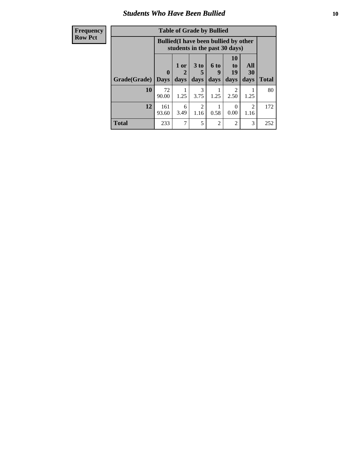### *Students Who Have Been Bullied* **10**

| <b>Frequency</b> | <b>Table of Grade by Bullied</b> |                                                                               |           |                       |                             |                                     |           |              |
|------------------|----------------------------------|-------------------------------------------------------------------------------|-----------|-----------------------|-----------------------------|-------------------------------------|-----------|--------------|
| <b>Row Pct</b>   |                                  | <b>Bullied</b> (I have been bullied by other<br>students in the past 30 days) |           |                       |                             |                                     |           |              |
|                  |                                  | $\mathbf{0}$                                                                  | 1 or<br>2 | 3 <sub>to</sub><br>5  | 6 to<br>9                   | <b>10</b><br>to<br>19               | All<br>30 |              |
|                  | Grade(Grade)                     | <b>Days</b>                                                                   | days      | days                  | days                        | days                                | days      | <b>Total</b> |
|                  | 10                               | 72<br>90.00                                                                   | 1.25      | 3<br>3.75             | 1.25                        | $\mathcal{D}_{\mathcal{L}}$<br>2.50 | 1.25      | 80           |
|                  | 12                               | 161<br>93.60                                                                  | 6<br>3.49 | $\mathcal{D}$<br>1.16 | 0.58                        | $\Omega$<br>0.00                    | 2<br>1.16 | 172          |
|                  | <b>Total</b>                     | 233                                                                           | 7         | $\overline{5}$        | $\mathcal{D}_{\mathcal{L}}$ | $\mathfrak{D}$                      | 3         | 252          |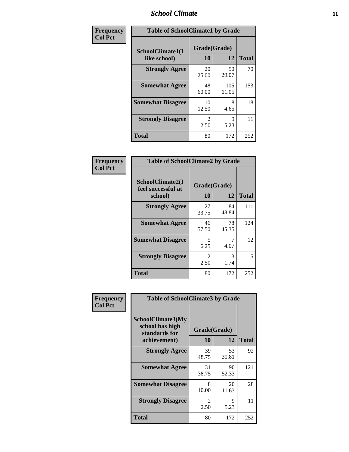### *School Climate* **11**

| Frequency      | <b>Table of SchoolClimate1 by Grade</b> |                        |              |              |  |  |
|----------------|-----------------------------------------|------------------------|--------------|--------------|--|--|
| <b>Col Pct</b> | SchoolClimate1(I<br>like school)        | Grade(Grade)<br>10     | 12           | <b>Total</b> |  |  |
|                | <b>Strongly Agree</b>                   | 20<br>25.00            | 50<br>29.07  | 70           |  |  |
|                | <b>Somewhat Agree</b>                   | 48<br>60.00            | 105<br>61.05 | 153          |  |  |
|                | <b>Somewhat Disagree</b>                | 10<br>12.50            | 8<br>4.65    | 18           |  |  |
|                | <b>Strongly Disagree</b>                | $\mathfrak{D}$<br>2.50 | 9<br>5.23    | 11           |  |  |
|                | <b>Total</b>                            | 80                     | 172          | 252          |  |  |

| Frequency      | <b>Table of SchoolClimate2 by Grade</b>           |                        |             |              |
|----------------|---------------------------------------------------|------------------------|-------------|--------------|
| <b>Col Pct</b> | SchoolClimate2(I<br>feel successful at<br>school) | Grade(Grade)<br>10     | 12          | <b>Total</b> |
|                | <b>Strongly Agree</b>                             | 27<br>33.75            | 84<br>48.84 | 111          |
|                | <b>Somewhat Agree</b>                             | 46<br>57.50            | 78<br>45.35 | 124          |
|                | <b>Somewhat Disagree</b>                          | 5<br>6.25              | 7<br>4.07   | 12           |
|                | <b>Strongly Disagree</b>                          | $\mathfrak{D}$<br>2.50 | 3<br>1.74   | 5            |
|                | <b>Total</b>                                      | 80                     | 172         | 252          |

| Frequency      | <b>Table of SchoolClimate3 by Grade</b>                               |                    |             |              |
|----------------|-----------------------------------------------------------------------|--------------------|-------------|--------------|
| <b>Col Pct</b> | SchoolClimate3(My<br>school has high<br>standards for<br>achievement) | Grade(Grade)<br>10 | 12          | <b>Total</b> |
|                | <b>Strongly Agree</b>                                                 | 39<br>48.75        | 53<br>30.81 | 92           |
|                | <b>Somewhat Agree</b>                                                 | 31<br>38.75        | 90<br>52.33 | 121          |
|                | <b>Somewhat Disagree</b>                                              | 8<br>10.00         | 20<br>11.63 | 28           |
|                | <b>Strongly Disagree</b>                                              | 2<br>2.50          | 9<br>5.23   | 11           |
|                | Total                                                                 | 80                 | 172         | 252          |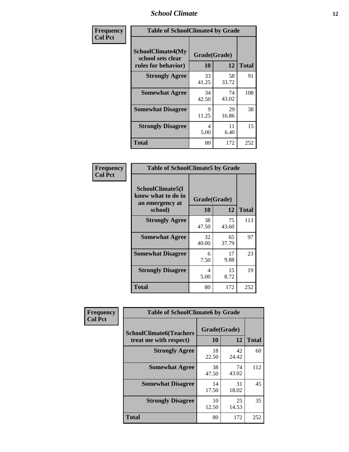### *School Climate* **12**

| Frequency      | <b>Table of SchoolClimate4 by Grade</b>                              |                    |             |              |
|----------------|----------------------------------------------------------------------|--------------------|-------------|--------------|
| <b>Col Pct</b> | <b>SchoolClimate4(My</b><br>school sets clear<br>rules for behavior) | Grade(Grade)<br>10 | 12          | <b>Total</b> |
|                | <b>Strongly Agree</b>                                                | 33<br>41.25        | 58<br>33.72 | 91           |
|                | <b>Somewhat Agree</b>                                                | 34<br>42.50        | 74<br>43.02 | 108          |
|                | <b>Somewhat Disagree</b>                                             | 9<br>11.25         | 29<br>16.86 | 38           |
|                | <b>Strongly Disagree</b>                                             | 4<br>5.00          | 11<br>6.40  | 15           |
|                | <b>Total</b>                                                         | 80                 | 172         | 252          |

| <b>Table of SchoolClimate5 by Grade</b>                              |                    |                   |     |  |  |
|----------------------------------------------------------------------|--------------------|-------------------|-----|--|--|
| SchoolClimate5(I<br>know what to do in<br>an emergency at<br>school) | Grade(Grade)<br>10 | <b>Total</b>      |     |  |  |
| <b>Strongly Agree</b>                                                | 38<br>47.50        | 12<br>75<br>43.60 | 113 |  |  |
| <b>Somewhat Agree</b>                                                | 32<br>40.00        | 65<br>37.79       | 97  |  |  |
| <b>Somewhat Disagree</b>                                             | 6<br>7.50          | 17<br>9.88        | 23  |  |  |
| <b>Strongly Disagree</b>                                             | 4<br>5.00          | 15<br>8.72        | 19  |  |  |
| Total                                                                | 80                 | 172               | 252 |  |  |

| Frequency      | <b>Table of SchoolClimate6 by Grade</b>                  |                    |             |              |
|----------------|----------------------------------------------------------|--------------------|-------------|--------------|
| <b>Col Pct</b> | <b>SchoolClimate6(Teachers</b><br>treat me with respect) | Grade(Grade)<br>10 | 12          | <b>Total</b> |
|                | <b>Strongly Agree</b>                                    | 18<br>22.50        | 42<br>24.42 | 60           |
|                | <b>Somewhat Agree</b>                                    | 38<br>47.50        | 74<br>43.02 | 112          |
|                | <b>Somewhat Disagree</b>                                 | 14<br>17.50        | 31<br>18.02 | 45           |
|                | <b>Strongly Disagree</b>                                 | 10<br>12.50        | 25<br>14.53 | 35           |
|                | <b>Total</b>                                             | 80                 | 172         | 252          |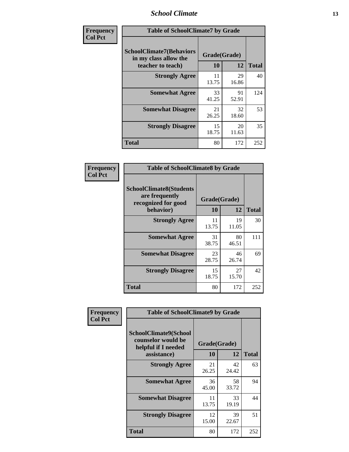### *School Climate* **13**

| Frequency      | <b>Table of SchoolClimate7 by Grade</b>                                       |                           |             |              |
|----------------|-------------------------------------------------------------------------------|---------------------------|-------------|--------------|
| <b>Col Pct</b> | <b>SchoolClimate7(Behaviors</b><br>in my class allow the<br>teacher to teach) | Grade(Grade)<br><b>10</b> | 12          | <b>Total</b> |
|                | <b>Strongly Agree</b>                                                         | 11<br>13.75               | 29<br>16.86 | 40           |
|                | <b>Somewhat Agree</b>                                                         | 33<br>41.25               | 91<br>52.91 | 124          |
|                | <b>Somewhat Disagree</b>                                                      | 21<br>26.25               | 32<br>18.60 | 53           |
|                | <b>Strongly Disagree</b>                                                      | 15<br>18.75               | 20<br>11.63 | 35           |
|                | <b>Total</b>                                                                  | 80                        | 172         | 252          |

| Frequency      | <b>Table of SchoolClimate8 by Grade</b>                                 |              |             |              |
|----------------|-------------------------------------------------------------------------|--------------|-------------|--------------|
| <b>Col Pct</b> | <b>SchoolClimate8(Students</b><br>are frequently<br>recognized for good | Grade(Grade) |             |              |
|                | behavior)                                                               | 10           | 12          | <b>Total</b> |
|                | <b>Strongly Agree</b>                                                   | 11<br>13.75  | 19<br>11.05 | 30           |
|                | <b>Somewhat Agree</b>                                                   | 31<br>38.75  | 80<br>46.51 | 111          |
|                | <b>Somewhat Disagree</b>                                                | 23<br>28.75  | 46<br>26.74 | 69           |
|                | <b>Strongly Disagree</b>                                                | 15<br>18.75  | 27<br>15.70 | 42           |
|                | <b>Total</b>                                                            | 80           | 172         | 252          |

| Frequency      | <b>Table of SchoolClimate9 by Grade</b>                                           |                    |             |              |
|----------------|-----------------------------------------------------------------------------------|--------------------|-------------|--------------|
| <b>Col Pct</b> | SchoolClimate9(School<br>counselor would be<br>helpful if I needed<br>assistance) | Grade(Grade)<br>10 | 12          | <b>Total</b> |
|                | <b>Strongly Agree</b>                                                             | 21<br>26.25        | 42<br>24.42 | 63           |
|                | <b>Somewhat Agree</b>                                                             | 36<br>45.00        | 58<br>33.72 | 94           |
|                | <b>Somewhat Disagree</b>                                                          | 11<br>13.75        | 33<br>19.19 | 44           |
|                | <b>Strongly Disagree</b>                                                          | 12<br>15.00        | 39<br>22.67 | 51           |
|                | Total                                                                             | 80                 | 172         | 252          |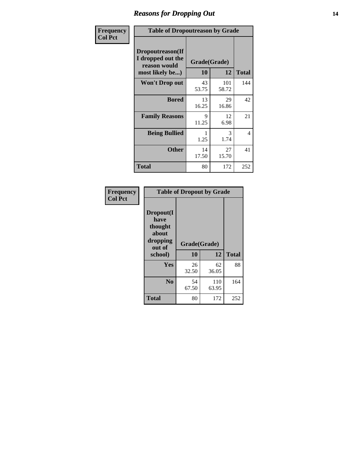### *Reasons for Dropping Out* **14**

| Frequency      | <b>Table of Dropoutreason by Grade</b>                                   |             |                    |                |
|----------------|--------------------------------------------------------------------------|-------------|--------------------|----------------|
| <b>Col Pct</b> | Dropoutreason(If<br>I dropped out the<br>reason would<br>most likely be) | 10          | Grade(Grade)<br>12 | <b>Total</b>   |
|                | <b>Won't Drop out</b>                                                    | 43<br>53.75 | 101<br>58.72       | 144            |
|                | <b>Bored</b>                                                             | 13<br>16.25 | 29<br>16.86        | 42             |
|                | <b>Family Reasons</b>                                                    | 9<br>11.25  | 12<br>6.98         | 21             |
|                | <b>Being Bullied</b>                                                     | 1.25        | 3<br>1.74          | $\overline{4}$ |
|                | <b>Other</b>                                                             | 14<br>17.50 | 27<br>15.70        | 41             |
|                | <b>Total</b>                                                             | 80          | 172                | 252            |

| Frequency      | <b>Table of Dropout by Grade</b>                                       |                    |              |              |
|----------------|------------------------------------------------------------------------|--------------------|--------------|--------------|
| <b>Col Pct</b> | Dropout(I<br>have<br>thought<br>about<br>dropping<br>out of<br>school) | Grade(Grade)<br>10 | 12           | <b>Total</b> |
|                | Yes                                                                    | 26<br>32.50        | 62<br>36.05  | 88           |
|                | N <sub>0</sub>                                                         | 54<br>67.50        | 110<br>63.95 | 164          |
|                | <b>Total</b>                                                           | 80                 | 172          | 252          |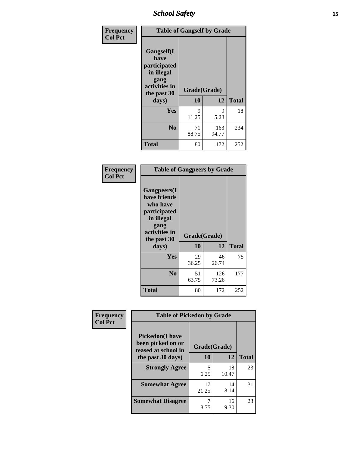*School Safety* **15**

| Frequency      | <b>Table of Gangself by Grade</b>                                                                 |                    |              |              |
|----------------|---------------------------------------------------------------------------------------------------|--------------------|--------------|--------------|
| <b>Col Pct</b> | Gangself(I<br>have<br>participated<br>in illegal<br>gang<br>activities in<br>the past 30<br>days) | Grade(Grade)<br>10 | 12           | <b>Total</b> |
|                | Yes                                                                                               | 9<br>11.25         | 9<br>5.23    | 18           |
|                | N <sub>0</sub>                                                                                    | 71<br>88.75        | 163<br>94.77 | 234          |
|                | <b>Total</b>                                                                                      | 80                 | 172          | 252          |

| Frequency<br><b>Col Pct</b> | <b>Table of Gangpeers by Grade</b>                                                                                     |                    |              |              |
|-----------------------------|------------------------------------------------------------------------------------------------------------------------|--------------------|--------------|--------------|
|                             | Gangpeers(I<br>have friends<br>who have<br>participated<br>in illegal<br>gang<br>activities in<br>the past 30<br>days) | Grade(Grade)<br>10 | 12           | <b>Total</b> |
|                             | <b>Yes</b>                                                                                                             | 29<br>36.25        | 46<br>26.74  | 75           |
|                             | N <sub>0</sub>                                                                                                         | 51<br>63.75        | 126<br>73.26 | 177          |
|                             | <b>Total</b>                                                                                                           | 80                 | 172          | 252          |

| Frequency      | <b>Table of Pickedon by Grade</b>                                  |              |             |              |
|----------------|--------------------------------------------------------------------|--------------|-------------|--------------|
| <b>Col Pct</b> | <b>Pickedon(I have</b><br>been picked on or<br>teased at school in | Grade(Grade) |             |              |
|                | the past 30 days)                                                  | 10           | 12          | <b>Total</b> |
|                | <b>Strongly Agree</b>                                              | 5<br>6.25    | 18<br>10.47 | 23           |
|                | <b>Somewhat Agree</b>                                              | 17<br>21.25  | 14<br>8.14  | 31           |
|                | <b>Somewhat Disagree</b>                                           | 8.75         | 16<br>9.30  | 23           |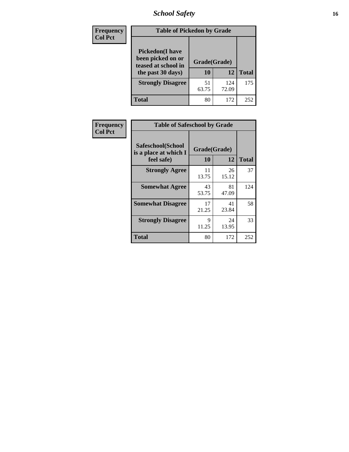# *School Safety* **16**

| <b>Frequency</b> |                                                                                          | <b>Table of Pickedon by Grade</b> |              |              |  |  |  |  |  |
|------------------|------------------------------------------------------------------------------------------|-----------------------------------|--------------|--------------|--|--|--|--|--|
| <b>Col Pct</b>   | <b>Pickedon</b> (I have<br>been picked on or<br>teased at school in<br>the past 30 days) | Grade(Grade)<br>10                | 12           | <b>Total</b> |  |  |  |  |  |
|                  | <b>Strongly Disagree</b>                                                                 | 51<br>63.75                       | 124<br>72.09 | 175          |  |  |  |  |  |
|                  | Total                                                                                    | 80                                | 172          | 252          |  |  |  |  |  |

| Frequency      |                                                          | <b>Table of Safeschool by Grade</b> |              |     |  |  |  |  |  |  |
|----------------|----------------------------------------------------------|-------------------------------------|--------------|-----|--|--|--|--|--|--|
| <b>Col Pct</b> | Safeschool(School<br>is a place at which I<br>feel safe) | Grade(Grade)<br>10                  | <b>Total</b> |     |  |  |  |  |  |  |
|                | <b>Strongly Agree</b>                                    | 11<br>13.75                         | 26<br>15.12  | 37  |  |  |  |  |  |  |
|                | <b>Somewhat Agree</b>                                    | 43<br>53.75                         | 81<br>47.09  | 124 |  |  |  |  |  |  |
|                | <b>Somewhat Disagree</b>                                 | 17<br>21.25                         | 41<br>23.84  | 58  |  |  |  |  |  |  |
|                | <b>Strongly Disagree</b>                                 | 9<br>11.25                          | 24<br>13.95  | 33  |  |  |  |  |  |  |
|                | <b>Total</b>                                             | 80                                  | 172          | 252 |  |  |  |  |  |  |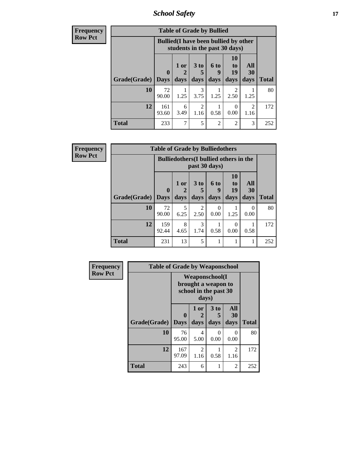*School Safety* **17**

| <b>Frequency</b> | <b>Table of Grade by Bullied</b> |              |                                                                               |                        |                  |                        |                        |              |  |  |  |
|------------------|----------------------------------|--------------|-------------------------------------------------------------------------------|------------------------|------------------|------------------------|------------------------|--------------|--|--|--|
| <b>Row Pct</b>   |                                  |              | <b>Bullied</b> (I have been bullied by other<br>students in the past 30 days) |                        |                  |                        |                        |              |  |  |  |
|                  |                                  | $\mathbf 0$  | 1 or                                                                          | 3 <sub>to</sub><br>5   | <b>6 to</b><br>9 | <b>10</b><br>to<br>19  | All<br>30              |              |  |  |  |
|                  | Grade(Grade)   Days              |              | days                                                                          | days                   | days             | days                   | days                   | <b>Total</b> |  |  |  |
|                  | 10                               | 72<br>90.00  | 1.25                                                                          | 3<br>3.75              | 1.25             | $\mathfrak{D}$<br>2.50 | 1.25                   | 80           |  |  |  |
|                  | 12                               | 161<br>93.60 | 6<br>3.49                                                                     | $\overline{2}$<br>1.16 | 0.58             | 0<br>0.00              | $\overline{2}$<br>1.16 | 172          |  |  |  |
|                  | <b>Total</b>                     | 233          | 7                                                                             | 5                      | $\overline{2}$   | $\overline{2}$         | 3                      | 252          |  |  |  |

| <b>Frequency</b> | <b>Table of Grade by Bulliedothers</b> |              |                                                                |                        |                   |                               |                   |              |  |  |
|------------------|----------------------------------------|--------------|----------------------------------------------------------------|------------------------|-------------------|-------------------------------|-------------------|--------------|--|--|
| <b>Row Pct</b>   |                                        |              | <b>Bulliedothers</b> (I bullied others in the<br>past 30 days) |                        |                   |                               |                   |              |  |  |
|                  | Grade(Grade)   Days                    | $\mathbf 0$  | 1 or<br>days                                                   | 3 to<br>days           | 6 to<br>9<br>days | <b>10</b><br>to<br>19<br>days | All<br>30<br>days | <b>Total</b> |  |  |
|                  | 10                                     | 72<br>90.00  | 5<br>6.25                                                      | $\overline{2}$<br>2.50 | 0<br>0.00         | 1.25                          | 0<br>0.00         | 80           |  |  |
|                  | 12                                     | 159<br>92.44 | 8<br>4.65                                                      | 3<br>1.74              | 0.58              | 0<br>0.00                     | 0.58              | 172          |  |  |
|                  | <b>Total</b>                           | 231          | 13                                                             | 5                      |                   |                               | 1                 | 252          |  |  |

| Frequency      | <b>Table of Grade by Weaponschool</b> |                                                                        |           |           |           |              |
|----------------|---------------------------------------|------------------------------------------------------------------------|-----------|-----------|-----------|--------------|
| <b>Row Pct</b> |                                       | <b>Weaponschool</b> (I<br>brought a weapon to<br>school in the past 30 |           |           |           |              |
|                |                                       | $\bf{0}$                                                               | 1 or<br>2 | 3 to<br>5 | All<br>30 |              |
|                | Grade(Grade)                          | <b>Days</b>                                                            | days      | days      | days      | <b>Total</b> |
|                | 10                                    | 76<br>95.00                                                            | 4<br>5.00 | 0<br>0.00 | 0<br>0.00 | 80           |
|                | 12                                    | 167<br>97.09                                                           | 2<br>1.16 | 0.58      | 2<br>1.16 | 172          |
|                | <b>Total</b>                          | 243                                                                    | 6         |           | 2         | 252          |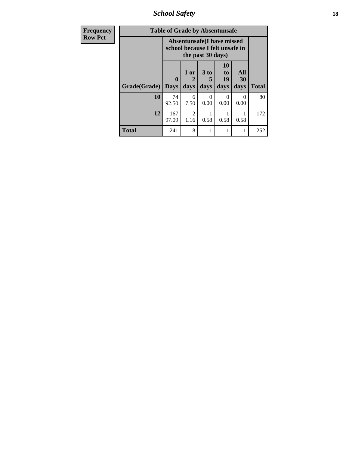*School Safety* **18**

| <b>Frequency</b> | <b>Table of Grade by Absentunsafe</b> |                  |                                                                                           |                   |                        |                   |              |  |  |
|------------------|---------------------------------------|------------------|-------------------------------------------------------------------------------------------|-------------------|------------------------|-------------------|--------------|--|--|
| <b>Row Pct</b>   |                                       |                  | <b>Absentunsafe(I have missed</b><br>school because I felt unsafe in<br>the past 30 days) |                   |                        |                   |              |  |  |
|                  | Grade(Grade)                          | 0<br><b>Days</b> | 1 or<br>$\mathbf{2}$<br>days                                                              | 3 to<br>5<br>days | 10<br>to<br>19<br>days | All<br>30<br>days | <b>Total</b> |  |  |
|                  | 10                                    | 74<br>92.50      | 6<br>7.50                                                                                 | 0<br>0.00         | 0.00                   | $\Omega$<br>0.00  | 80           |  |  |
|                  | 12                                    | 167<br>97.09     | $\overline{2}$<br>1.16                                                                    | 0.58              | 0.58                   | 0.58              | 172          |  |  |
|                  | <b>Total</b>                          | 241              | 8                                                                                         |                   | 1                      |                   | 252          |  |  |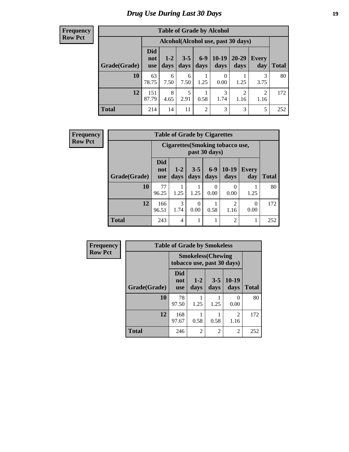# *Drug Use During Last 30 Days* **19**

#### **Frequency Row Pct**

| <b>Table of Grade by Alcohol</b> |                                 |                                     |                 |                |                 |                        |              |              |  |  |
|----------------------------------|---------------------------------|-------------------------------------|-----------------|----------------|-----------------|------------------------|--------------|--------------|--|--|
|                                  |                                 | Alcohol (Alcohol use, past 30 days) |                 |                |                 |                        |              |              |  |  |
| Grade(Grade)                     | <b>Did</b><br>not<br><b>use</b> | $1 - 2$<br>days                     | $3 - 5$<br>days | $6-9$<br>days  | $10-19$<br>days | 20-29<br>days          | Every<br>day | <b>Total</b> |  |  |
| 10                               | 63<br>78.75                     | 6<br>7.50                           | 6<br>7.50       | 1.25           | 0<br>0.00       | 1.25                   | 3<br>3.75    | 80           |  |  |
| 12                               | 151<br>87.79                    | 8<br>4.65                           | 5<br>2.91       | 0.58           | 3<br>1.74       | $\overline{2}$<br>1.16 | 2<br>1.16    | 172          |  |  |
| <b>Total</b>                     | 214                             | 14                                  | 11              | $\overline{2}$ | 3               | 3                      | 5            | 252          |  |  |

| <b>Frequency</b> |              |                                 | <b>Table of Grade by Cigarettes</b>     |                 |               |                        |                  |              |
|------------------|--------------|---------------------------------|-----------------------------------------|-----------------|---------------|------------------------|------------------|--------------|
| <b>Row Pct</b>   |              |                                 | <b>Cigarettes (Smoking tobacco use,</b> | past 30 days)   |               |                        |                  |              |
|                  | Grade(Grade) | <b>Did</b><br>not<br><b>use</b> | $1-2$<br>days                           | $3 - 5$<br>days | $6-9$<br>days | $10-19$<br>days        | Every<br>day     | <b>Total</b> |
|                  | 10           | 77<br>96.25                     | 1.25                                    | 1.25            | 0<br>0.00     | $\Omega$<br>0.00       | 1.25             | 80           |
|                  | 12           | 166<br>96.51                    | 3<br>1.74                               | 0<br>0.00       | 0.58          | $\overline{2}$<br>1.16 | $\theta$<br>0.00 | 172          |
|                  | <b>Total</b> | 243                             | $\overline{4}$                          | 1               |               | $\overline{2}$         | 1                | 252          |

| Frequency      |              | <b>Table of Grade by Smokeless</b>                      |                 |                 |                 |              |  |  |
|----------------|--------------|---------------------------------------------------------|-----------------|-----------------|-----------------|--------------|--|--|
| <b>Row Pct</b> |              | <b>Smokeless</b> (Chewing<br>tobacco use, past 30 days) |                 |                 |                 |              |  |  |
|                | Grade(Grade) | Did<br>not<br><b>use</b>                                | $1 - 2$<br>days | $3 - 5$<br>days | $10-19$<br>days | <b>Total</b> |  |  |
|                | 10           | 78<br>97.50                                             | 1.25            | 1.25            | 0<br>0.00       | 80           |  |  |
|                | 12           | 168<br>97.67                                            | 0.58            | 0.58            | 2<br>1.16       | 172          |  |  |
|                | <b>Total</b> | 246                                                     | $\overline{2}$  | 2               | $\overline{c}$  | 252          |  |  |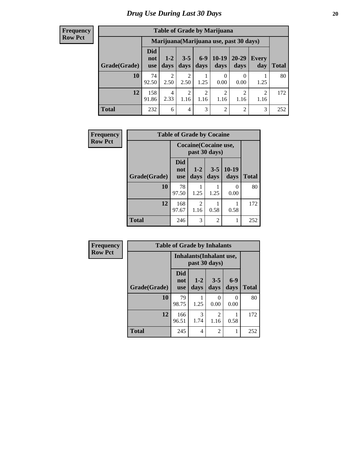#### **Frequency Row Pct**

| <b>Table of Grade by Marijuana</b> |                                 |                        |                        |                        |                        |                                         |                        |       |  |  |
|------------------------------------|---------------------------------|------------------------|------------------------|------------------------|------------------------|-----------------------------------------|------------------------|-------|--|--|
|                                    |                                 |                        |                        |                        |                        | Marijuana (Marijuana use, past 30 days) |                        |       |  |  |
| Grade(Grade)                       | <b>Did</b><br>not<br><b>use</b> | $1 - 2$<br>days        | $3 - 5$<br>days        | $6-9$<br>days          | $10-19$<br>days        | 20-29<br>days                           | Every<br>day           | Total |  |  |
| 10                                 | 74<br>92.50                     | $\overline{2}$<br>2.50 | $\overline{2}$<br>2.50 | 1.25                   | 0<br>0.00              | $\left( \right)$<br>0.00                | 1.25                   | 80    |  |  |
| 12                                 | 158<br>91.86                    | 4<br>2.33              | $\overline{2}$<br>1.16 | $\overline{c}$<br>1.16 | $\overline{2}$<br>1.16 | $\mathfrak{D}$<br>1.16                  | $\overline{c}$<br>1.16 | 172   |  |  |
| <b>Total</b>                       | 232                             | 6                      | 4                      | 3                      | $\overline{2}$         | 2                                       | 3                      | 252   |  |  |

| <b>Frequency</b> | <b>Table of Grade by Cocaine</b> |                                        |                        |                 |                 |              |  |  |  |
|------------------|----------------------------------|----------------------------------------|------------------------|-----------------|-----------------|--------------|--|--|--|
| <b>Row Pct</b>   |                                  | Cocaine (Cocaine use,<br>past 30 days) |                        |                 |                 |              |  |  |  |
|                  | Grade(Grade)                     | Did<br>not<br><b>use</b>               | $1 - 2$<br>days        | $3 - 5$<br>days | $10-19$<br>days | <b>Total</b> |  |  |  |
|                  | 10                               | 78<br>97.50                            | 1.25                   | 1.25            | 0<br>0.00       | 80           |  |  |  |
|                  | 12                               | 168<br>97.67                           | $\overline{2}$<br>1.16 | 0.58            | 0.58            | 172          |  |  |  |
|                  | <b>Total</b>                     | 246                                    | 3                      | $\overline{2}$  |                 | 252          |  |  |  |

| Frequency      |              | <b>Table of Grade by Inhalants</b>               |                 |                 |               |              |
|----------------|--------------|--------------------------------------------------|-----------------|-----------------|---------------|--------------|
| <b>Row Pct</b> |              | <b>Inhalants</b> (Inhalant use,<br>past 30 days) |                 |                 |               |              |
|                | Grade(Grade) | <b>Did</b><br>not<br><b>use</b>                  | $1 - 2$<br>days | $3 - 5$<br>days | $6-9$<br>days | <b>Total</b> |
|                | 10           | 79<br>98.75                                      | 1.25            | 0<br>0.00       | 0<br>0.00     | 80           |
|                | 12           | 166<br>96.51                                     | 3<br>1.74       | 2<br>1.16       | 0.58          | 172          |
|                | <b>Total</b> | 245                                              | 4               | $\overline{2}$  | 1             | 252          |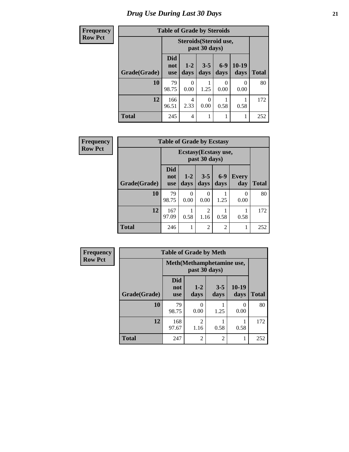# *Drug Use During Last 30 Days* **21**

| <b>Frequency</b> | <b>Table of Grade by Steroids</b> |                                         |                  |                  |               |               |              |
|------------------|-----------------------------------|-----------------------------------------|------------------|------------------|---------------|---------------|--------------|
| <b>Row Pct</b>   |                                   | Steroids (Steroid use,<br>past 30 days) |                  |                  |               |               |              |
|                  | Grade(Grade)                      | <b>Did</b><br>not<br><b>use</b>         | $1 - 2$<br>days  | $3 - 5$<br>days  | $6-9$<br>days | 10-19<br>days | <b>Total</b> |
|                  | 10                                | 79<br>98.75                             | $\Omega$<br>0.00 | 1.25             | 0<br>0.00     | 0<br>0.00     | 80           |
|                  | 12                                | 166<br>96.51                            | 4<br>2.33        | $\Omega$<br>0.00 | 0.58          | 0.58          | 172          |
|                  | <b>Total</b>                      | 245                                     | 4                |                  |               | 1             | 252          |

| Frequency      | <b>Table of Grade by Ecstasy</b> |                                        |               |                 |                |                     |              |
|----------------|----------------------------------|----------------------------------------|---------------|-----------------|----------------|---------------------|--------------|
| <b>Row Pct</b> |                                  | Ecstasy (Ecstasy use,<br>past 30 days) |               |                 |                |                     |              |
|                | Grade(Grade)                     | <b>Did</b><br>not<br><b>use</b>        | $1-2$<br>days | $3 - 5$<br>days | $6-9$<br>days  | <b>Every</b><br>day | <b>Total</b> |
|                | 10                               | 79<br>98.75                            | 0<br>0.00     | 0<br>0.00       | 1.25           | 0<br>0.00           | 80           |
|                | 12                               | 167<br>97.09                           | 0.58          | 2<br>1.16       | 0.58           | 0.58                | 172          |
|                | <b>Total</b>                     | 246                                    |               | $\overline{2}$  | $\overline{c}$ |                     | 252          |

| <b>Frequency</b> | <b>Table of Grade by Meth</b> |                                             |                           |                 |               |              |
|------------------|-------------------------------|---------------------------------------------|---------------------------|-----------------|---------------|--------------|
| <b>Row Pct</b>   |                               | Meth (Methamphetamine use,<br>past 30 days) |                           |                 |               |              |
|                  | Grade(Grade)                  | <b>Did</b><br>not<br><b>use</b>             | $1 - 2$<br>days           | $3 - 5$<br>days | 10-19<br>days | <b>Total</b> |
|                  | 10                            | 79<br>98.75                                 | $\mathbf{\Omega}$<br>0.00 | 1.25            | 0<br>0.00     | 80           |
|                  | 12                            | 168<br>97.67                                | $\overline{2}$<br>1.16    | 0.58            | 0.58          | 172          |
|                  | <b>Total</b>                  | 247                                         | $\overline{2}$            | $\overline{2}$  |               | 252          |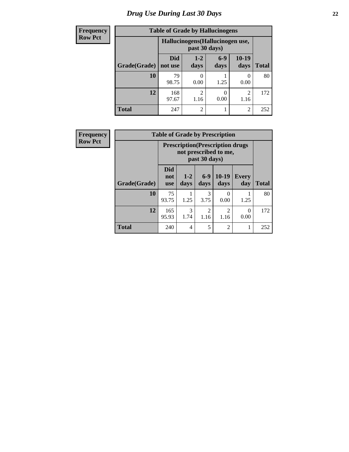| <b>Frequency</b> | <b>Table of Grade by Hallucinogens</b> |                                                   |                        |               |                        |              |
|------------------|----------------------------------------|---------------------------------------------------|------------------------|---------------|------------------------|--------------|
| <b>Row Pct</b>   |                                        | Hallucinogens (Hallucinogen use,<br>past 30 days) |                        |               |                        |              |
|                  | Grade(Grade)                           | <b>Did</b><br>not use                             | $1 - 2$<br>days        | $6-9$<br>days | $10-19$<br>days        | <b>Total</b> |
|                  | 10                                     | 79<br>98.75                                       | 0.00                   | 1.25          | $\mathcal{O}$<br>0.00  | 80           |
|                  | 12                                     | 168<br>97.67                                      | $\overline{2}$<br>1.16 | 0<br>0.00     | $\overline{2}$<br>1.16 | 172          |
|                  | <b>Total</b>                           | 247                                               | $\overline{2}$         |               | $\overline{2}$         | 252          |

| <b>Frequency</b> |              |                          |                       |                        | <b>Table of Grade by Prescription</b>                             |                     |              |
|------------------|--------------|--------------------------|-----------------------|------------------------|-------------------------------------------------------------------|---------------------|--------------|
| <b>Row Pct</b>   |              |                          |                       | past 30 days)          | <b>Prescription</b> (Prescription drugs)<br>not prescribed to me, |                     |              |
|                  | Grade(Grade) | Did<br>not<br><b>use</b> | $1 - 2$<br>days       | $6-9$<br>days          | $10-19$<br>days                                                   | <b>Every</b><br>day | <b>Total</b> |
|                  | 10           | 75<br>93.75              | 1.25                  | 3<br>3.75              | $\mathcal{O}$<br>0.00                                             | 1.25                | 80           |
|                  | 12           | 165<br>95.93             | $\mathcal{F}$<br>1.74 | $\mathfrak{D}$<br>1.16 | $\mathfrak{D}$<br>1.16                                            | 0<br>0.00           | 172          |
|                  | <b>Total</b> | 240                      | $\overline{4}$        | 5                      | $\mathfrak{D}$                                                    |                     | 252          |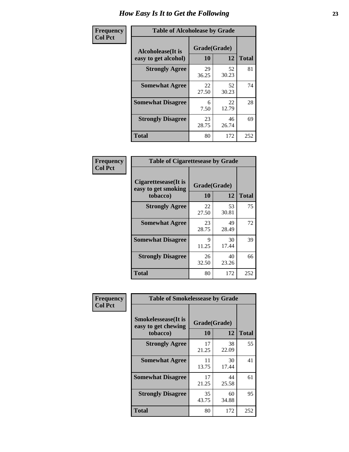| Frequency      | <b>Table of Alcoholease by Grade</b>              |                    |             |              |
|----------------|---------------------------------------------------|--------------------|-------------|--------------|
| <b>Col Pct</b> | <b>Alcoholease</b> (It is<br>easy to get alcohol) | Grade(Grade)<br>10 | 12          | <b>Total</b> |
|                | <b>Strongly Agree</b>                             | 29<br>36.25        | 52<br>30.23 | 81           |
|                | <b>Somewhat Agree</b>                             | 22<br>27.50        | 52<br>30.23 | 74           |
|                | <b>Somewhat Disagree</b>                          | 6<br>7.50          | 22<br>12.79 | 28           |
|                | <b>Strongly Disagree</b>                          | 23<br>28.75        | 46<br>26.74 | 69           |
|                | <b>Total</b>                                      | 80                 | 172         | 252          |

| Frequency      | <b>Table of Cigarettesease by Grade</b>                  |                    |             |              |
|----------------|----------------------------------------------------------|--------------------|-------------|--------------|
| <b>Col Pct</b> | Cigarettesease (It is<br>easy to get smoking<br>tobacco) | Grade(Grade)<br>10 | 12          | <b>Total</b> |
|                | <b>Strongly Agree</b>                                    | 22<br>27.50        | 53<br>30.81 | 75           |
|                | <b>Somewhat Agree</b>                                    | 23<br>28.75        | 49<br>28.49 | 72           |
|                | <b>Somewhat Disagree</b>                                 | 9<br>11.25         | 30<br>17.44 | 39           |
|                | <b>Strongly Disagree</b>                                 | 26<br>32.50        | 40<br>23.26 | 66           |
|                | <b>Total</b>                                             | 80                 | 172         | 252          |

| Frequency      | <b>Table of Smokelessease by Grade</b>                         |                    |             |              |  |
|----------------|----------------------------------------------------------------|--------------------|-------------|--------------|--|
| <b>Col Pct</b> | <b>Smokelessease</b> (It is<br>easy to get chewing<br>tobacco) | Grade(Grade)<br>10 | 12          | <b>Total</b> |  |
|                | <b>Strongly Agree</b>                                          | 17<br>21.25        | 38<br>22.09 | 55           |  |
|                | <b>Somewhat Agree</b>                                          | 11<br>13.75        | 30<br>17.44 | 41           |  |
|                | <b>Somewhat Disagree</b>                                       | 17<br>21.25        | 44<br>25.58 | 61           |  |
|                | <b>Strongly Disagree</b>                                       | 35<br>43.75        | 60<br>34.88 | 95           |  |
|                | <b>Total</b>                                                   | 80                 | 172         | 252          |  |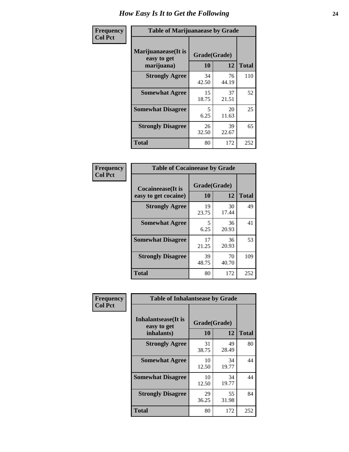| Frequency      | <b>Table of Marijuanaease by Grade</b>           |                    |             |              |  |
|----------------|--------------------------------------------------|--------------------|-------------|--------------|--|
| <b>Col Pct</b> | Marijuanaease(It is<br>easy to get<br>marijuana) | Grade(Grade)<br>10 | 12          | <b>Total</b> |  |
|                | <b>Strongly Agree</b>                            | 34<br>42.50        | 76<br>44.19 | 110          |  |
|                | <b>Somewhat Agree</b>                            | 15<br>18.75        | 37<br>21.51 | 52           |  |
|                | <b>Somewhat Disagree</b>                         | 5<br>6.25          | 20<br>11.63 | 25           |  |
|                | <b>Strongly Disagree</b>                         | 26<br>32.50        | 39<br>22.67 | 65           |  |
|                | <b>Total</b>                                     | 80                 | 172         | 252          |  |

|                                                   | <b>Table of Cocaineease by Grade</b> |                   |     |  |  |  |  |
|---------------------------------------------------|--------------------------------------|-------------------|-----|--|--|--|--|
| <b>Cocaineease</b> (It is<br>easy to get cocaine) | Grade(Grade)<br>10                   | <b>Total</b>      |     |  |  |  |  |
| <b>Strongly Agree</b>                             | 19<br>23.75                          | 12<br>30<br>17.44 | 49  |  |  |  |  |
| <b>Somewhat Agree</b>                             | 5<br>6.25                            | 36<br>20.93       | 41  |  |  |  |  |
| <b>Somewhat Disagree</b>                          | 17<br>21.25                          | 36<br>20.93       | 53  |  |  |  |  |
| <b>Strongly Disagree</b>                          | 39<br>48.75                          | 70<br>40.70       | 109 |  |  |  |  |
| <b>Total</b>                                      | 80                                   | 172               | 252 |  |  |  |  |

| Frequency      |                                                          | <b>Table of Inhalantsease by Grade</b> |             |              |  |
|----------------|----------------------------------------------------------|----------------------------------------|-------------|--------------|--|
| <b>Col Pct</b> | <b>Inhalantsease</b> (It is<br>easy to get<br>inhalants) | Grade(Grade)<br>10                     | 12          | <b>Total</b> |  |
|                | <b>Strongly Agree</b>                                    | 31<br>38.75                            | 49<br>28.49 | 80           |  |
|                | <b>Somewhat Agree</b>                                    | 10<br>12.50                            | 34<br>19.77 | 44           |  |
|                | <b>Somewhat Disagree</b>                                 | 10<br>12.50                            | 34<br>19.77 | 44           |  |
|                | <b>Strongly Disagree</b>                                 | 29<br>36.25                            | 55<br>31.98 | 84           |  |
|                | <b>Total</b>                                             | 80                                     | 172         | 252          |  |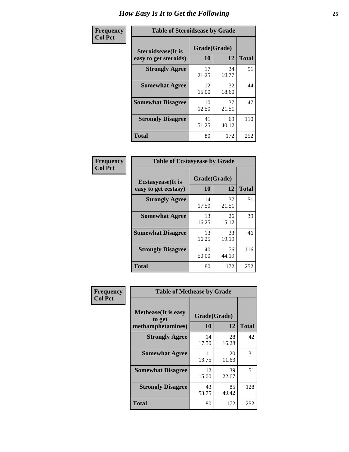| Frequency      | <b>Table of Steroidsease by Grade</b>               |                    |             |              |  |
|----------------|-----------------------------------------------------|--------------------|-------------|--------------|--|
| <b>Col Pct</b> | <b>Steroidsease</b> (It is<br>easy to get steroids) | Grade(Grade)<br>10 | 12          | <b>Total</b> |  |
|                | <b>Strongly Agree</b>                               | 17<br>21.25        | 34<br>19.77 | 51           |  |
|                | <b>Somewhat Agree</b>                               | 12<br>15.00        | 32<br>18.60 | 44           |  |
|                | <b>Somewhat Disagree</b>                            | 10<br>12.50        | 37<br>21.51 | 47           |  |
|                | <b>Strongly Disagree</b>                            | 41<br>51.25        | 69<br>40.12 | 110          |  |
|                | <b>Total</b>                                        | 80                 | 172         | 252          |  |

| Frequency      | <b>Table of Ecstasyease by Grade</b>              |                    |              |     |
|----------------|---------------------------------------------------|--------------------|--------------|-----|
| <b>Col Pct</b> | <b>Ecstasyease</b> (It is<br>easy to get ecstasy) | Grade(Grade)<br>10 | <b>Total</b> |     |
|                | <b>Strongly Agree</b>                             | 14<br>17.50        | 37<br>21.51  | 51  |
|                | <b>Somewhat Agree</b>                             | 13<br>16.25        | 26<br>15.12  | 39  |
|                | <b>Somewhat Disagree</b>                          | 13<br>16.25        | 33<br>19.19  | 46  |
|                | <b>Strongly Disagree</b>                          | 40<br>50.00        | 76<br>44.19  | 116 |
|                | <b>Total</b>                                      | 80                 | 172          | 252 |

| Frequency      | <b>Table of Methease by Grade</b>                          |                    |             |              |
|----------------|------------------------------------------------------------|--------------------|-------------|--------------|
| <b>Col Pct</b> | <b>Methease</b> (It is easy<br>to get<br>methamphetamines) | Grade(Grade)<br>10 | 12          | <b>Total</b> |
|                | <b>Strongly Agree</b>                                      | 14<br>17.50        | 28<br>16.28 | 42           |
|                | <b>Somewhat Agree</b>                                      | 11<br>13.75        | 20<br>11.63 | 31           |
|                | <b>Somewhat Disagree</b>                                   | 12<br>15.00        | 39<br>22.67 | 51           |
|                | <b>Strongly Disagree</b>                                   | 43<br>53.75        | 85<br>49.42 | 128          |
|                | <b>Total</b>                                               | 80                 | 172         | 252          |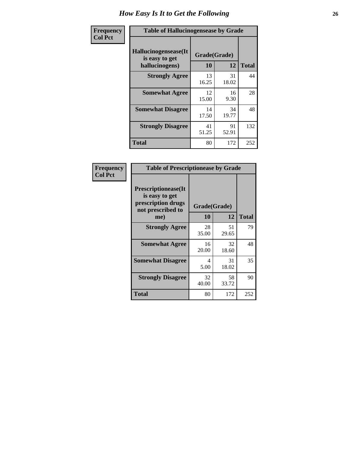| <b>Frequency</b> | <b>Table of Hallucinogensease by Grade</b>               |                    |              |     |
|------------------|----------------------------------------------------------|--------------------|--------------|-----|
| <b>Col Pct</b>   | Hallucinogensease(It<br>is easy to get<br>hallucinogens) | Grade(Grade)<br>10 | <b>Total</b> |     |
|                  | <b>Strongly Agree</b>                                    | 13<br>16.25        | 31<br>18.02  | 44  |
|                  | <b>Somewhat Agree</b>                                    | 12<br>15.00        | 16<br>9.30   | 28  |
|                  | <b>Somewhat Disagree</b>                                 | 14<br>17.50        | 34<br>19.77  | 48  |
|                  | <b>Strongly Disagree</b>                                 | 41<br>51.25        | 91<br>52.91  | 132 |
|                  | <b>Total</b>                                             | 80                 | 172          | 252 |

| Frequency<br>Col Pct |
|----------------------|
|                      |

| <b>Table of Prescriptionease by Grade</b>                                                |              |             |              |  |  |  |  |  |  |
|------------------------------------------------------------------------------------------|--------------|-------------|--------------|--|--|--|--|--|--|
| <b>Prescriptionease</b> (It<br>is easy to get<br>prescription drugs<br>not prescribed to | Grade(Grade) |             |              |  |  |  |  |  |  |
| me)                                                                                      | 10           | 12          | <b>Total</b> |  |  |  |  |  |  |
| <b>Strongly Agree</b>                                                                    | 28<br>35.00  | 51<br>29.65 | 79           |  |  |  |  |  |  |
| <b>Somewhat Agree</b>                                                                    | 16<br>20.00  | 32<br>18.60 | 48           |  |  |  |  |  |  |
| <b>Somewhat Disagree</b>                                                                 | 4<br>5.00    | 31<br>18.02 | 35           |  |  |  |  |  |  |
| <b>Strongly Disagree</b>                                                                 | 32<br>40.00  | 58<br>33.72 | 90           |  |  |  |  |  |  |
| Total                                                                                    | 80           | 172         | 252          |  |  |  |  |  |  |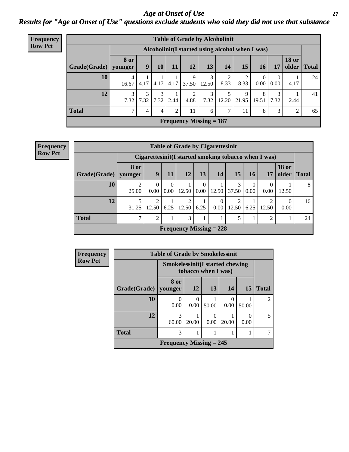### *Age at Onset of Use* **27** *Results for "Age at Onset of Use" questions exclude students who said they did not use that substance*

| <b>Frequency</b> | <b>Table of Grade by Alcoholinit</b> |               |           |                |      |           |                                                  |       |            |                      |                      |                       |              |
|------------------|--------------------------------------|---------------|-----------|----------------|------|-----------|--------------------------------------------------|-------|------------|----------------------|----------------------|-----------------------|--------------|
| <b>Row Pct</b>   |                                      |               |           |                |      |           | Alcoholinit (I started using alcohol when I was) |       |            |                      |                      |                       |              |
|                  | $Grade(Grade)$ younger               | <b>8 or</b>   | 9         | 10             | 11   | 12        | 13                                               | 14    | 15         | <b>16</b>            | 17                   | <b>18 or</b><br>older | <b>Total</b> |
|                  | 10                                   | 4<br>16.67    | 4.17      | 4.17           |      | 9         | $4.17$   37.50   12.50                           | 8.33  | 8.33       | $\Omega$<br>$0.00\,$ | $\mathbf{0}$<br>0.00 | 4.17                  | 24           |
|                  | 12                                   | 3<br>7.32     | 3<br>7.32 | 3<br>7.32      | 2.44 | 2<br>4.88 | 3<br>7.32                                        | 12.20 | 9<br>21.95 | 8<br>19.51           | 3<br>7.32            | 2.44                  | 41           |
|                  | <b>Total</b>                         | $\mathcal{I}$ | 4         | $\overline{4}$ | 2    | 11        | 6                                                | ⇁     | 11         | 8                    | 3                    | 2                     | 65           |
|                  |                                      |               |           |                |      |           | <b>Frequency Missing = 187</b>                   |       |            |                      |                      |                       |              |

**Frequency Row Pct**

|              | <b>Table of Grade by Cigarettesinit</b> |                                                      |                  |                         |               |                            |            |                  |       |                       |              |  |
|--------------|-----------------------------------------|------------------------------------------------------|------------------|-------------------------|---------------|----------------------------|------------|------------------|-------|-----------------------|--------------|--|
|              |                                         | Cigarettesinit(I started smoking tobacco when I was) |                  |                         |               |                            |            |                  |       |                       |              |  |
| Grade(Grade) | 8 or<br>younger                         | 9                                                    | 11               | 12                      | 13            | <b>14</b>                  | 15         | <b>16</b>        | 17    | <b>18 or</b><br>older | <b>Total</b> |  |
| 10           | 25.00                                   | $\Omega$<br>0.00                                     | $\Omega$<br>0.00 | 12.50                   | $0.00\degree$ | 12.50                      | 3<br>37.50 | $\theta$<br>0.00 | 0.00  | 12.50                 | 8            |  |
| 12           | 5<br>31.25                              | $\overline{2}$<br>12.50                              | 6.25             | $\overline{2}$<br>12.50 | 6.25          | $\overline{0}$<br>$0.00\,$ | 2<br>12.50 | 6.25             | 12.50 | $\Omega$<br>0.00      | 16           |  |
| <b>Total</b> | 7                                       | $\overline{2}$                                       |                  | 3                       |               | 1                          | 5          | 1                | 2     |                       | 24           |  |
|              |                                         |                                                      |                  |                         |               | Frequency Missing $= 228$  |            |                  |       |                       |              |  |

| <b>Frequency</b> | <b>Table of Grade by Smokelessinit</b>                         |                           |           |       |           |       |              |  |  |  |
|------------------|----------------------------------------------------------------|---------------------------|-----------|-------|-----------|-------|--------------|--|--|--|
| <b>Row Pct</b>   | <b>Smokelessinit (I started chewing</b><br>tobacco when I was) |                           |           |       |           |       |              |  |  |  |
|                  | Grade(Grade)                                                   | 8 or<br>vounger           | <b>12</b> | 13    | 14        | 15    | <b>Total</b> |  |  |  |
|                  | 10                                                             | $\Omega$<br>0.00          | 0.00      | 50.00 | 0<br>0.00 | 50.00 | 2            |  |  |  |
|                  | 12                                                             | 3<br>60.00                | 20.00     | 0.00  | 20.00     | 0.00  | 5            |  |  |  |
|                  | <b>Total</b>                                                   | 3                         |           |       |           |       |              |  |  |  |
|                  |                                                                | Frequency Missing $= 245$ |           |       |           |       |              |  |  |  |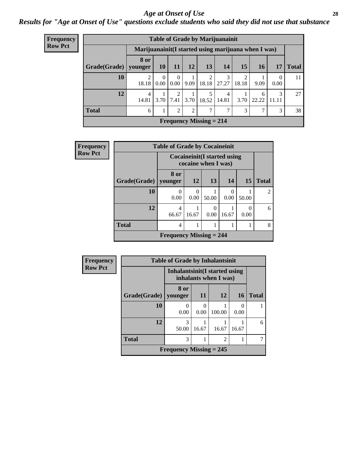#### *Age at Onset of Use* **28**

*Results for "Age at Onset of Use" questions exclude students who said they did not use that substance*

| <b>Frequency</b> |                        |                                                      |                  |                |                |                           | <b>Table of Grade by Marijuanainit</b> |                         |                       |                  |              |
|------------------|------------------------|------------------------------------------------------|------------------|----------------|----------------|---------------------------|----------------------------------------|-------------------------|-----------------------|------------------|--------------|
| <b>Row Pct</b>   |                        | Marijuanainit (I started using marijuana when I was) |                  |                |                |                           |                                        |                         |                       |                  |              |
|                  | Grade(Grade)   younger | 8 or                                                 | 10               | 11             | 12             | 13                        | 14                                     | 15                      | 16                    | 17               | <b>Total</b> |
|                  | 10                     | 2<br>18.18                                           | $\Omega$<br>0.00 | 0<br>0.00      | 9.09           | 2<br>18.18                | 3<br>27.27                             | $\mathfrak{D}$<br>18.18 | 9.09                  | $\Omega$<br>0.00 | 11           |
|                  | 12                     | 4<br>14.81                                           | 3.70             | 2<br>7.41      | 3.70           | 5<br>18.52                | 4<br>14.81                             | 3.70                    | <sub>(</sub><br>22.22 | 3<br>11.11       | 27           |
|                  | <b>Total</b>           | 6                                                    | 1                | $\overline{2}$ | $\overline{2}$ | 7                         | $\mathbf{r}$                           | 3                       | 7                     | 3                | 38           |
|                  |                        |                                                      |                  |                |                | Frequency Missing $= 214$ |                                        |                         |                       |                  |              |

| Frequency      |              | <b>Table of Grade by Cocaineinit</b> |           |                                                            |       |           |                |
|----------------|--------------|--------------------------------------|-----------|------------------------------------------------------------|-------|-----------|----------------|
| <b>Row Pct</b> |              |                                      |           | <b>Cocaineinit</b> (I started using<br>cocaine when I was) |       |           |                |
|                | Grade(Grade) | 8 or<br>younger                      | <b>12</b> | 13                                                         | 14    | <b>15</b> | <b>Total</b>   |
|                | 10           | 0<br>0.00                            | 0<br>0.00 | 50.00                                                      | 0.00  | 50.00     | $\mathfrak{D}$ |
|                | 12           | 4<br>66.67                           | 16.67     | $\Omega$<br>0.00                                           | 16.67 | 0<br>0.00 | 6              |
|                | <b>Total</b> | 4                                    |           |                                                            |       |           | 8              |
|                |              | <b>Frequency Missing = 244</b>       |           |                                                            |       |           |                |

| <b>Frequency</b> | <b>Table of Grade by Inhalantsinit</b> |                                |           |                       |       |              |  |  |  |  |
|------------------|----------------------------------------|--------------------------------|-----------|-----------------------|-------|--------------|--|--|--|--|
| <b>Row Pct</b>   |                                        | Inhalantsinit (I started using |           | inhalants when I was) |       |              |  |  |  |  |
|                  | Grade(Grade)                           | 8 or<br>younger                | <b>11</b> | 12                    | 16    | <b>Total</b> |  |  |  |  |
|                  | 10                                     | 0<br>0.00                      | 0.00      | 100.00                | 0.00  |              |  |  |  |  |
|                  | 12                                     | 3<br>50.00                     | 16.67     | 16.67                 | 16.67 | 6            |  |  |  |  |
|                  | <b>Total</b>                           | 3                              |           | $\overline{2}$        |       |              |  |  |  |  |
|                  |                                        | Frequency Missing $= 245$      |           |                       |       |              |  |  |  |  |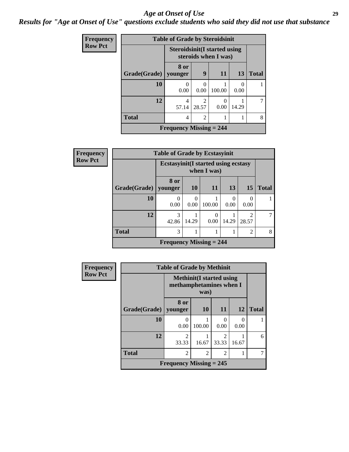#### *Age at Onset of Use* **29**

### *Results for "Age at Onset of Use" questions exclude students who said they did not use that substance*

| Frequency      | <b>Table of Grade by Steroidsinit</b> |                                |                                                             |                           |       |              |  |  |  |  |
|----------------|---------------------------------------|--------------------------------|-------------------------------------------------------------|---------------------------|-------|--------------|--|--|--|--|
| <b>Row Pct</b> |                                       |                                | <b>Steroidsinit(I started using</b><br>steroids when I was) |                           |       |              |  |  |  |  |
|                | Grade(Grade)                          | 8 or<br>vounger                | $\boldsymbol{Q}$                                            | 11                        | 13    | <b>Total</b> |  |  |  |  |
|                | 10                                    | 0<br>0.00                      | 0.00                                                        | 100.00                    | 0.00  |              |  |  |  |  |
|                | 12                                    | 4<br>57.14                     | っ<br>28.57                                                  | $\mathbf{\Omega}$<br>0.00 | 14.29 |              |  |  |  |  |
|                | <b>Total</b>                          | 4                              | $\overline{c}$                                              |                           |       | 8            |  |  |  |  |
|                |                                       | <b>Frequency Missing = 244</b> |                                                             |                           |       |              |  |  |  |  |

| <b>Frequency</b> | <b>Table of Grade by Ecstasyinit</b> |                                                            |           |           |       |            |              |
|------------------|--------------------------------------|------------------------------------------------------------|-----------|-----------|-------|------------|--------------|
| <b>Row Pct</b>   |                                      | <b>Ecstasyinit</b> (I started using ecstasy<br>when I was) |           |           |       |            |              |
|                  | Grade(Grade)                         | 8 or<br>younger                                            | <b>10</b> | 11        | 13    | 15         | <b>Total</b> |
|                  | 10                                   | 0<br>0.00                                                  | 0.00      | 100.00    | 0.00  | 0.00       |              |
|                  | 12                                   | 3<br>42.86                                                 | 14.29     | 0<br>0.00 | 14.29 | 2<br>28.57 |              |
|                  | <b>Total</b>                         | 3                                                          |           |           |       | 2          | 8            |
|                  |                                      | <b>Frequency Missing = 244</b>                             |           |           |       |            |              |

| <b>Frequency</b> | <b>Table of Grade by Methinit</b> |                                                             |           |           |                  |              |
|------------------|-----------------------------------|-------------------------------------------------------------|-----------|-----------|------------------|--------------|
| <b>Row Pct</b>   |                                   | <b>Methinit</b> (I started using<br>methamphetamines when I |           |           |                  |              |
|                  | Grade(Grade)                      | 8 or<br>younger                                             | <b>10</b> | <b>11</b> | 12               | <b>Total</b> |
|                  | 10                                | $\mathbf{\Omega}$<br>0.00                                   | 100.00    | 0.00      | $\Omega$<br>0.00 |              |
|                  | 12                                | $\mathfrak{D}$<br>33.33                                     | 16.67     | 33.33     | 16.67            | 6            |
|                  | <b>Total</b>                      | 2                                                           | 2         | 2         |                  |              |
|                  |                                   | <b>Frequency Missing = 245</b>                              |           |           |                  |              |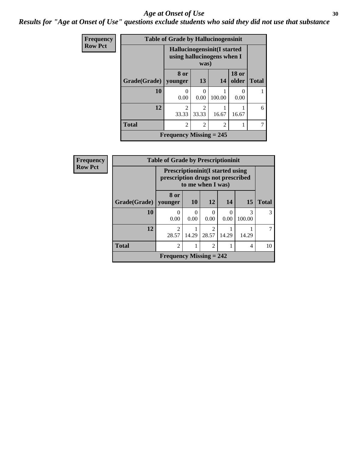#### Age at Onset of Use **30**

*Results for "Age at Onset of Use" questions exclude students who said they did not use that substance*

| <b>Frequency</b> | <b>Table of Grade by Hallucinogensinit</b> |                                                                          |            |        |                       |              |  |
|------------------|--------------------------------------------|--------------------------------------------------------------------------|------------|--------|-----------------------|--------------|--|
| <b>Row Pct</b>   |                                            | <b>Hallucinogensinit(I started</b><br>using hallucinogens when I<br>was) |            |        |                       |              |  |
|                  | Grade(Grade)                               | 8 or<br>younger                                                          | 13         | 14     | <b>18 or</b><br>older | <b>Total</b> |  |
|                  | 10                                         | 0<br>0.00                                                                | 0<br>0.00  | 100.00 | 0.00                  |              |  |
|                  | 12                                         | $\overline{c}$<br>33.33                                                  | 2<br>33.33 | 16.67  | 16.67                 | 6            |  |
|                  | <b>Total</b>                               | $\overline{c}$                                                           | 2          | 2      |                       |              |  |
|                  | <b>Frequency Missing = 245</b>             |                                                                          |            |        |                       |              |  |

| Frequency      | <b>Table of Grade by Prescriptioninit</b> |                                                                                                    |                  |                  |           |             |              |
|----------------|-------------------------------------------|----------------------------------------------------------------------------------------------------|------------------|------------------|-----------|-------------|--------------|
| <b>Row Pct</b> |                                           | <b>Prescriptioninit (I started using</b><br>prescription drugs not prescribed<br>to me when I was) |                  |                  |           |             |              |
|                | Grade(Grade)                              | 8 or<br>  younger                                                                                  | <b>10</b>        | <b>12</b>        | 14        | <b>15</b>   | <b>Total</b> |
|                | 10                                        | 0<br>0.00                                                                                          | $\Omega$<br>0.00 | $\Omega$<br>0.00 | 0<br>0.00 | 3<br>100.00 | 3            |
|                | 12                                        | $\mathcal{D}$<br>28.57                                                                             | 14.29            | 28.57            | 14.29     | 14.29       |              |
|                | <b>Total</b>                              | $\overline{2}$                                                                                     |                  | $\overline{2}$   |           | 4           | 10           |
|                |                                           | Frequency Missing $= 242$                                                                          |                  |                  |           |             |              |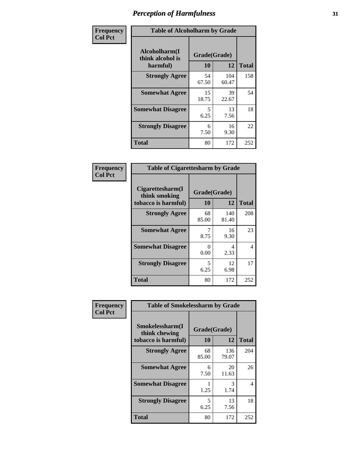| Frequency      | <b>Table of Alcoholharm by Grade</b>          |                    |              |              |
|----------------|-----------------------------------------------|--------------------|--------------|--------------|
| <b>Col Pct</b> | Alcoholharm(I<br>think alcohol is<br>harmful) | Grade(Grade)<br>10 | 12           | <b>Total</b> |
|                | <b>Strongly Agree</b>                         | 54<br>67.50        | 104<br>60.47 | 158          |
|                | <b>Somewhat Agree</b>                         | 15<br>18.75        | 39<br>22.67  | 54           |
|                | <b>Somewhat Disagree</b>                      | 5<br>6.25          | 13<br>7.56   | 18           |
|                | <b>Strongly Disagree</b>                      | 6<br>7.50          | 16<br>9.30   | 22           |
|                | <b>Total</b>                                  | 80                 | 172          | 252          |

| <b>Table of Cigarettesharm by Grade</b>                  |                    |              |              |  |  |  |
|----------------------------------------------------------|--------------------|--------------|--------------|--|--|--|
| Cigarettesharm(I<br>think smoking<br>tobacco is harmful) | Grade(Grade)<br>10 | 12           | <b>Total</b> |  |  |  |
| <b>Strongly Agree</b>                                    | 68<br>85.00        | 140<br>81.40 | 208          |  |  |  |
| <b>Somewhat Agree</b>                                    | 8.75               | 16<br>9.30   | 23           |  |  |  |
| <b>Somewhat Disagree</b>                                 | 0<br>0.00          | 4<br>2.33    | 4            |  |  |  |
| <b>Strongly Disagree</b>                                 | 5<br>6.25          | 12<br>6.98   | 17           |  |  |  |
| <b>Total</b>                                             | 80                 | 172          | 252          |  |  |  |

| Frequency      | <b>Table of Smokelessharm by Grade</b>                  |                    |              |              |  |
|----------------|---------------------------------------------------------|--------------------|--------------|--------------|--|
| <b>Col Pct</b> | Smokelessharm(I<br>think chewing<br>tobacco is harmful) | Grade(Grade)<br>10 | 12           | <b>Total</b> |  |
|                | <b>Strongly Agree</b>                                   | 68<br>85.00        | 136<br>79.07 | 204          |  |
|                | <b>Somewhat Agree</b>                                   | 6<br>7.50          | 20<br>11.63  | 26           |  |
|                | <b>Somewhat Disagree</b>                                | 1.25               | 3<br>1.74    | 4            |  |
|                | <b>Strongly Disagree</b>                                | 5<br>6.25          | 13<br>7.56   | 18           |  |
|                | <b>Total</b>                                            | 80                 | 172          | 252          |  |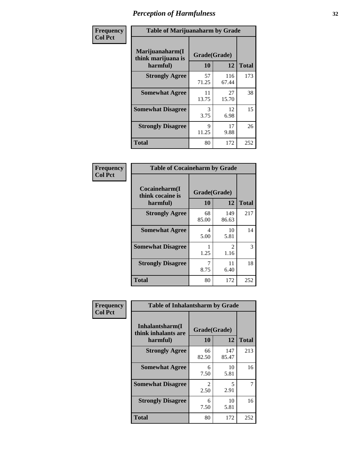| Frequency      | <b>Table of Marijuanaharm by Grade</b>            |                      |              |              |
|----------------|---------------------------------------------------|----------------------|--------------|--------------|
| <b>Col Pct</b> | Marijuanaharm(I<br>think marijuana is<br>harmful) | Grade(Grade)<br>10   | 12           | <b>Total</b> |
|                | <b>Strongly Agree</b>                             | 57<br>71.25          | 116<br>67.44 | 173          |
|                | <b>Somewhat Agree</b>                             | 11<br>13.75          | 27<br>15.70  | 38           |
|                | <b>Somewhat Disagree</b>                          | 3<br>3.75            | 12<br>6.98   | 15           |
|                | <b>Strongly Disagree</b>                          | $\mathbf Q$<br>11.25 | 17<br>9.88   | 26           |
|                | <b>Total</b>                                      | 80                   | 172          | 252          |

| <b>Table of Cocaineharm by Grade</b>          |                    |                        |              |  |  |  |
|-----------------------------------------------|--------------------|------------------------|--------------|--|--|--|
| Cocaineharm(I<br>think cocaine is<br>harmful) | Grade(Grade)<br>10 | 12                     | <b>Total</b> |  |  |  |
| <b>Strongly Agree</b>                         | 68<br>85.00        | 149<br>86.63           | 217          |  |  |  |
| <b>Somewhat Agree</b>                         | 4<br>5.00          | 10<br>5.81             | 14           |  |  |  |
| <b>Somewhat Disagree</b>                      | 1<br>1.25          | $\mathfrak{D}$<br>1.16 | 3            |  |  |  |
| <b>Strongly Disagree</b>                      | 7<br>8.75          | 11<br>6.40             | 18           |  |  |  |
| <b>Total</b>                                  | 80                 | 172                    | 252          |  |  |  |

| Frequency      | <b>Table of Inhalantsharm by Grade</b>             |                       |              |              |  |
|----------------|----------------------------------------------------|-----------------------|--------------|--------------|--|
| <b>Col Pct</b> | Inhalantsharm(I<br>think inhalants are<br>harmful) | Grade(Grade)<br>10    | 12           | <b>Total</b> |  |
|                | <b>Strongly Agree</b>                              | 66<br>82.50           | 147<br>85.47 | 213          |  |
|                | <b>Somewhat Agree</b>                              | 6<br>7.50             | 10<br>5.81   | 16           |  |
|                | <b>Somewhat Disagree</b>                           | $\mathcal{L}$<br>2.50 | 5<br>2.91    | 7            |  |
|                | <b>Strongly Disagree</b>                           | 6<br>7.50             | 10<br>5.81   | 16           |  |
|                | <b>Total</b>                                       | 80                    | 172          | 252          |  |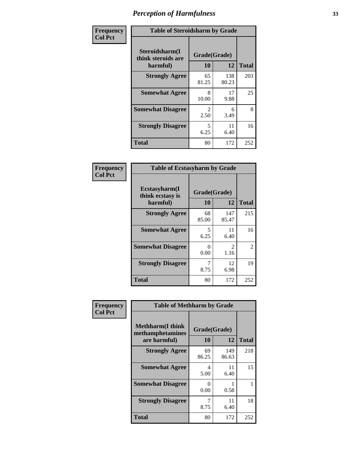| Frequency      | <b>Table of Steroidsharm by Grade</b>            |                                     |              |              |
|----------------|--------------------------------------------------|-------------------------------------|--------------|--------------|
| <b>Col Pct</b> | Steroidsharm(I<br>think steroids are<br>harmful) | Grade(Grade)<br>10                  | 12           | <b>Total</b> |
|                | <b>Strongly Agree</b>                            | 65<br>81.25                         | 138<br>80.23 | 203          |
|                | <b>Somewhat Agree</b>                            | 8<br>10.00                          | 17<br>9.88   | 25           |
|                | <b>Somewhat Disagree</b>                         | $\mathcal{D}_{\mathcal{L}}$<br>2.50 | 6<br>3.49    | 8            |
|                | <b>Strongly Disagree</b>                         | 5<br>6.25                           | 11<br>6.40   | 16           |
|                | <b>Total</b>                                     | 80                                  | 172          | 252          |

| <b>Table of Ecstasyharm by Grade</b>          |                    |                        |              |  |  |  |
|-----------------------------------------------|--------------------|------------------------|--------------|--|--|--|
| Ecstasyharm(I<br>think ecstasy is<br>harmful) | Grade(Grade)<br>10 | 12                     | <b>Total</b> |  |  |  |
| <b>Strongly Agree</b>                         | 68<br>85.00        | 147<br>85.47           | 215          |  |  |  |
| <b>Somewhat Agree</b>                         | 5<br>6.25          | 11<br>6.40             | 16           |  |  |  |
| <b>Somewhat Disagree</b>                      | 0<br>0.00          | $\mathfrak{D}$<br>1.16 | 2            |  |  |  |
| <b>Strongly Disagree</b>                      | 7<br>8.75          | 12<br>6.98             | 19           |  |  |  |
| <b>Total</b>                                  | 80                 | 172                    | 252          |  |  |  |

| Frequency      | <b>Table of Methharm by Grade</b>                            |                    |              |              |
|----------------|--------------------------------------------------------------|--------------------|--------------|--------------|
| <b>Col Pct</b> | <b>Methharm</b> (I think<br>methamphetamines<br>are harmful) | Grade(Grade)<br>10 | 12           | <b>Total</b> |
|                | <b>Strongly Agree</b>                                        | 69<br>86.25        | 149<br>86.63 | 218          |
|                | <b>Somewhat Agree</b>                                        | 4<br>5.00          | 11<br>6.40   | 15           |
|                | <b>Somewhat Disagree</b>                                     | 0<br>0.00          | 0.58         |              |
|                | <b>Strongly Disagree</b>                                     | 8.75               | 11<br>6.40   | 18           |
|                | <b>Total</b>                                                 | 80                 | 172          | 252          |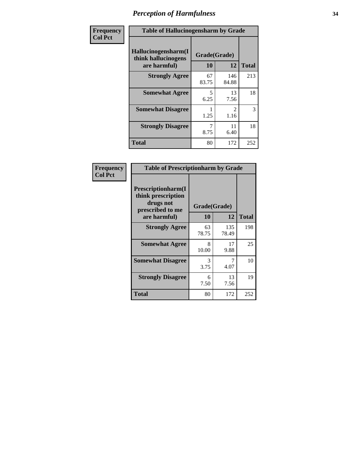| Frequency      | <b>Table of Hallucinogensharm by Grade</b>                 |                    |                        |              |
|----------------|------------------------------------------------------------|--------------------|------------------------|--------------|
| <b>Col Pct</b> | Hallucinogensharm(I<br>think hallucinogens<br>are harmful) | Grade(Grade)<br>10 | 12                     | <b>Total</b> |
|                | <b>Strongly Agree</b>                                      | 67<br>83.75        | 146<br>84.88           | 213          |
|                | <b>Somewhat Agree</b>                                      | 5<br>6.25          | 13<br>7.56             | 18           |
|                | <b>Somewhat Disagree</b>                                   | 1.25               | $\mathfrak{D}$<br>1.16 | 3            |
|                | <b>Strongly Disagree</b>                                   | 8.75               | 11<br>6.40             | 18           |
|                | <b>Total</b>                                               | 80                 | 172                    | 252          |

| <b>Table of Prescriptionharm by Grade</b>                                 |              |              |              |  |  |
|---------------------------------------------------------------------------|--------------|--------------|--------------|--|--|
| Prescriptionharm(I<br>think prescription<br>drugs not<br>prescribed to me | Grade(Grade) |              |              |  |  |
| are harmful)                                                              | 10           | 12           | <b>Total</b> |  |  |
| <b>Strongly Agree</b>                                                     | 63<br>78.75  | 135<br>78.49 | 198          |  |  |
| <b>Somewhat Agree</b>                                                     | 8<br>10.00   | 17<br>9.88   | 25           |  |  |
| <b>Somewhat Disagree</b>                                                  | 3<br>3.75    | 4.07         | 10           |  |  |
| <b>Strongly Disagree</b>                                                  | 6<br>7.50    | 13<br>7.56   | 19           |  |  |
| <b>Total</b>                                                              | 80           | 172          | 252          |  |  |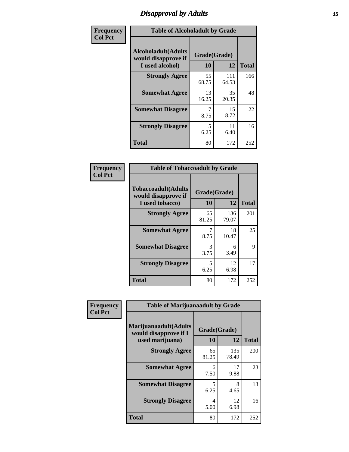# *Disapproval by Adults* **35**

| Frequency      | <b>Table of Alcoholadult by Grade</b>                                 |                    |              |              |
|----------------|-----------------------------------------------------------------------|--------------------|--------------|--------------|
| <b>Col Pct</b> | <b>Alcoholadult</b> (Adults<br>would disapprove if<br>I used alcohol) | Grade(Grade)<br>10 | 12           | <b>Total</b> |
|                | <b>Strongly Agree</b>                                                 | 55<br>68.75        | 111<br>64.53 | 166          |
|                | <b>Somewhat Agree</b>                                                 | 13<br>16.25        | 35<br>20.35  | 48           |
|                | <b>Somewhat Disagree</b>                                              | 7<br>8.75          | 15<br>8.72   | 22           |
|                | <b>Strongly Disagree</b>                                              | 5<br>6.25          | 11<br>6.40   | 16           |
|                | <b>Total</b>                                                          | 80                 | 172          | 252          |

| <b>Table of Tobaccoadult by Grade</b>                                 |                    |              |     |  |  |
|-----------------------------------------------------------------------|--------------------|--------------|-----|--|--|
| <b>Tobaccoadult</b> (Adults<br>would disapprove if<br>I used tobacco) | Grade(Grade)<br>10 | <b>Total</b> |     |  |  |
| <b>Strongly Agree</b>                                                 | 65<br>81.25        | 136<br>79.07 | 201 |  |  |
| <b>Somewhat Agree</b>                                                 | 7<br>8.75          | 18<br>10.47  | 25  |  |  |
| <b>Somewhat Disagree</b>                                              | 3<br>3.75          | 6<br>3.49    | 9   |  |  |
| <b>Strongly Disagree</b>                                              | 5<br>6.25          | 12<br>6.98   | 17  |  |  |
| <b>Total</b>                                                          | 80                 | 172          | 252 |  |  |

| Frequency      | <b>Table of Marijuanaadult by Grade</b>                           |                    |              |              |
|----------------|-------------------------------------------------------------------|--------------------|--------------|--------------|
| <b>Col Pct</b> | Marijuanaadult(Adults<br>would disapprove if I<br>used marijuana) | Grade(Grade)<br>10 | 12           | <b>Total</b> |
|                | <b>Strongly Agree</b>                                             | 65<br>81.25        | 135<br>78.49 | 200          |
|                | <b>Somewhat Agree</b>                                             | 6<br>7.50          | 17<br>9.88   | 23           |
|                | <b>Somewhat Disagree</b>                                          | 5<br>6.25          | 8<br>4.65    | 13           |
|                | <b>Strongly Disagree</b>                                          | 4<br>5.00          | 12<br>6.98   | 16           |
|                | <b>Total</b>                                                      | 80                 | 172          | 252          |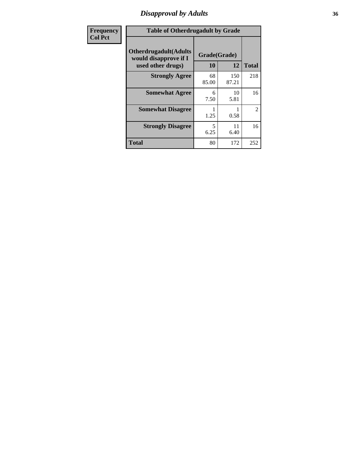# *Disapproval by Adults* **36**

| <b>Frequency</b> | <b>Table of Otherdrugadult by Grade</b>                                     |                    |              |              |
|------------------|-----------------------------------------------------------------------------|--------------------|--------------|--------------|
| <b>Col Pct</b>   | <b>Otherdrugadult</b> (Adults<br>would disapprove if I<br>used other drugs) | Grade(Grade)<br>10 | 12           | <b>Total</b> |
|                  | <b>Strongly Agree</b>                                                       | 68<br>85.00        | 150<br>87.21 | 218          |
|                  | <b>Somewhat Agree</b>                                                       | 6<br>7.50          | 10<br>5.81   | 16           |
|                  | <b>Somewhat Disagree</b>                                                    | 1.25               | 0.58         | 2            |
|                  | <b>Strongly Disagree</b>                                                    | 5<br>6.25          | 11<br>6.40   | 16           |
|                  | <b>Total</b>                                                                | 80                 | 172          | 252          |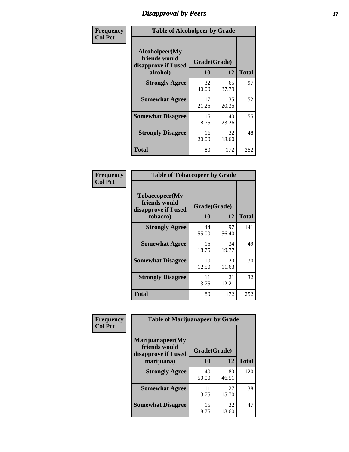# *Disapproval by Peers* **37**

| Frequency      | <b>Table of Alcoholpeer by Grade</b>                    |              |             |              |  |
|----------------|---------------------------------------------------------|--------------|-------------|--------------|--|
| <b>Col Pct</b> | Alcoholpeer(My<br>friends would<br>disapprove if I used | Grade(Grade) |             |              |  |
|                | alcohol)                                                | 10           | 12          | <b>Total</b> |  |
|                | <b>Strongly Agree</b>                                   | 32<br>40.00  | 65<br>37.79 | 97           |  |
|                | <b>Somewhat Agree</b>                                   | 17<br>21.25  | 35<br>20.35 | 52           |  |
|                | <b>Somewhat Disagree</b>                                | 15<br>18.75  | 40<br>23.26 | 55           |  |
|                | <b>Strongly Disagree</b>                                | 16<br>20.00  | 32<br>18.60 | 48           |  |
|                | Total                                                   | 80           | 172         | 252          |  |

| Frequency      | <b>Table of Tobaccopeer by Grade</b>                                |                    |             |              |
|----------------|---------------------------------------------------------------------|--------------------|-------------|--------------|
| <b>Col Pct</b> | Tobaccopeer(My<br>friends would<br>disapprove if I used<br>tobacco) | Grade(Grade)<br>10 | 12          | <b>Total</b> |
|                | <b>Strongly Agree</b>                                               | 44<br>55.00        | 97<br>56.40 | 141          |
|                | <b>Somewhat Agree</b>                                               | 15<br>18.75        | 34<br>19.77 | 49           |
|                | <b>Somewhat Disagree</b>                                            | 10<br>12.50        | 20<br>11.63 | 30           |
|                | <b>Strongly Disagree</b>                                            | 11<br>13.75        | 21<br>12.21 | 32           |
|                | Total                                                               | 80                 | 172         | 252          |

| Frequency      | <b>Table of Marijuanapeer by Grade</b>                    |              |             |              |
|----------------|-----------------------------------------------------------|--------------|-------------|--------------|
| <b>Col Pct</b> | Marijuanapeer(My<br>friends would<br>disapprove if I used | Grade(Grade) |             |              |
|                | marijuana)                                                | <b>10</b>    | 12          | <b>Total</b> |
|                | <b>Strongly Agree</b>                                     | 40<br>50.00  | 80<br>46.51 | 120          |
|                | <b>Somewhat Agree</b>                                     | 11<br>13.75  | 27<br>15.70 | 38           |
|                | <b>Somewhat Disagree</b>                                  | 15<br>18.75  | 32<br>18.60 | 47           |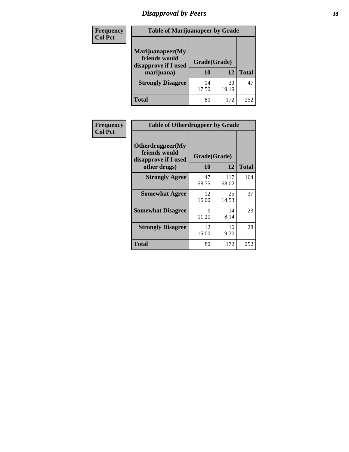# *Disapproval by Peers* **38**

| Frequency<br><b>Col Pct</b> | <b>Table of Marijuanapeer by Grade</b>                                  |                    |             |              |  |
|-----------------------------|-------------------------------------------------------------------------|--------------------|-------------|--------------|--|
|                             | Marijuanapeer(My<br>friends would<br>disapprove if I used<br>marijuana) | Grade(Grade)<br>10 | 12          | <b>Total</b> |  |
|                             | <b>Strongly Disagree</b>                                                | 14<br>17.50        | 33<br>19.19 | 47           |  |
|                             | Total                                                                   | 80                 | 172         | 252          |  |

| Frequency      | <b>Table of Otherdrugpeer by Grade</b>                                    |                    |              |              |
|----------------|---------------------------------------------------------------------------|--------------------|--------------|--------------|
| <b>Col Pct</b> | Otherdrugpeer(My<br>friends would<br>disapprove if I used<br>other drugs) | Grade(Grade)<br>10 | 12           | <b>Total</b> |
|                | <b>Strongly Agree</b>                                                     | 47<br>58.75        | 117<br>68.02 | 164          |
|                | <b>Somewhat Agree</b>                                                     | 12<br>15.00        | 25<br>14.53  | 37           |
|                | <b>Somewhat Disagree</b>                                                  | 9<br>11.25         | 14<br>8.14   | 23           |
|                | <b>Strongly Disagree</b>                                                  | 12<br>15.00        | 16<br>9.30   | 28           |
|                | <b>Total</b>                                                              | 80                 | 172          | 252          |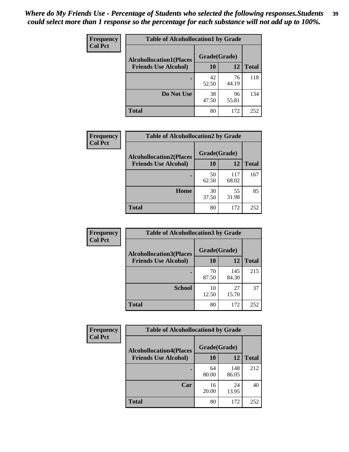| Frequency      | <b>Table of Alcohollocation1 by Grade</b> |              |             |              |
|----------------|-------------------------------------------|--------------|-------------|--------------|
| <b>Col Pct</b> | <b>Alcohollocation1(Places</b>            | Grade(Grade) |             |              |
|                | <b>Friends Use Alcohol)</b>               | 10           | 12          | <b>Total</b> |
|                |                                           | 42<br>52.50  | 76<br>44.19 | 118          |
|                | Do Not Use                                | 38<br>47.50  | 96<br>55.81 | 134          |
|                | <b>Total</b>                              | 80           | 172         | 252          |

| Frequency      | <b>Table of Alcohollocation2 by Grade</b>                     |                    |              |              |
|----------------|---------------------------------------------------------------|--------------------|--------------|--------------|
| <b>Col Pct</b> | <b>Alcohollocation2(Places</b><br><b>Friends Use Alcohol)</b> | Grade(Grade)<br>10 | <b>12</b>    | <b>Total</b> |
|                |                                                               | 50<br>62.50        | 117<br>68.02 | 167          |
|                | Home                                                          | 30<br>37.50        | 55<br>31.98  | 85           |
|                | <b>Total</b>                                                  | 80                 | 172          | 252          |

| Frequency<br><b>Col Pct</b> | <b>Table of Alcohollocation 3 by Grade</b>                    |                    |              |              |  |
|-----------------------------|---------------------------------------------------------------|--------------------|--------------|--------------|--|
|                             | <b>Alcohollocation3(Places</b><br><b>Friends Use Alcohol)</b> | Grade(Grade)<br>10 | 12           | <b>Total</b> |  |
|                             |                                                               | 70<br>87.50        | 145<br>84.30 | 215          |  |
|                             | <b>School</b>                                                 | 10<br>12.50        | 27<br>15.70  | 37           |  |
|                             | <b>Total</b>                                                  | 80                 | 172          | 252          |  |

| <b>Frequency</b> | <b>Table of Alcohollocation4 by Grade</b> |              |              |              |  |
|------------------|-------------------------------------------|--------------|--------------|--------------|--|
| <b>Col Pct</b>   | <b>Alcohollocation4(Places</b>            | Grade(Grade) |              |              |  |
|                  | <b>Friends Use Alcohol)</b>               | 10           | 12           | <b>Total</b> |  |
|                  |                                           | 64<br>80.00  | 148<br>86.05 | 212          |  |
|                  | Car                                       | 16<br>20.00  | 24<br>13.95  | 40           |  |
|                  | <b>Total</b>                              | 80           | 172          | 252          |  |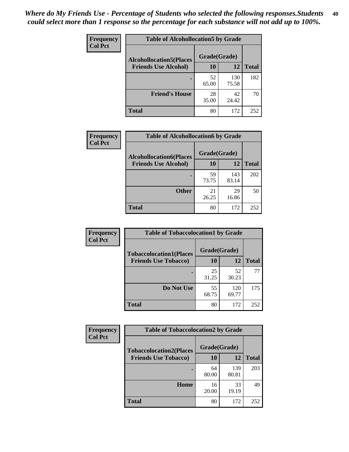| Frequency<br><b>Col Pct</b> | <b>Table of Alcohollocation5 by Grade</b>      |             |              |              |  |
|-----------------------------|------------------------------------------------|-------------|--------------|--------------|--|
|                             | Grade(Grade)<br><b>Alcohollocation5(Places</b> |             |              |              |  |
|                             | <b>Friends Use Alcohol)</b>                    | 10          | 12           | <b>Total</b> |  |
|                             |                                                | 52<br>65.00 | 130<br>75.58 | 182          |  |
|                             | <b>Friend's House</b>                          | 28<br>35.00 | 42<br>24.42  | 70           |  |
|                             | <b>Total</b>                                   | 80          | 172          | 252          |  |

| <b>Frequency</b> | <b>Table of Alcohollocation6 by Grade</b> |              |              |              |
|------------------|-------------------------------------------|--------------|--------------|--------------|
| <b>Col Pct</b>   | <b>Alcohollocation6(Places</b>            | Grade(Grade) |              |              |
|                  | <b>Friends Use Alcohol)</b>               | 10           | 12           | <b>Total</b> |
|                  |                                           | 59<br>73.75  | 143<br>83.14 | 202          |
|                  | <b>Other</b>                              | 21<br>26.25  | 29<br>16.86  | 50           |
|                  | <b>Total</b>                              | 80           | 172          | 252          |

| Frequency      | <b>Table of Tobaccolocation1 by Grade</b> |              |              |              |
|----------------|-------------------------------------------|--------------|--------------|--------------|
| <b>Col Pct</b> | <b>Tobaccolocation1(Places</b>            | Grade(Grade) |              |              |
|                | <b>Friends Use Tobacco)</b>               | 10           | 12           | <b>Total</b> |
|                |                                           | 25<br>31.25  | 52<br>30.23  | 77           |
|                | Do Not Use                                | 55<br>68.75  | 120<br>69.77 | 175          |
|                | <b>Total</b>                              | 80           | 172          | 252          |

| <b>Frequency</b> | <b>Table of Tobaccolocation2 by Grade</b> |              |              |              |  |  |
|------------------|-------------------------------------------|--------------|--------------|--------------|--|--|
| <b>Col Pct</b>   | <b>Tobaccolocation2(Places</b>            | Grade(Grade) |              |              |  |  |
|                  | <b>Friends Use Tobacco)</b>               | 10           | 12           | <b>Total</b> |  |  |
|                  |                                           | 64<br>80.00  | 139<br>80.81 | 203          |  |  |
|                  | Home                                      | 16<br>20.00  | 33<br>19.19  | 49           |  |  |
|                  | <b>Total</b>                              | 80           | 172          | 252          |  |  |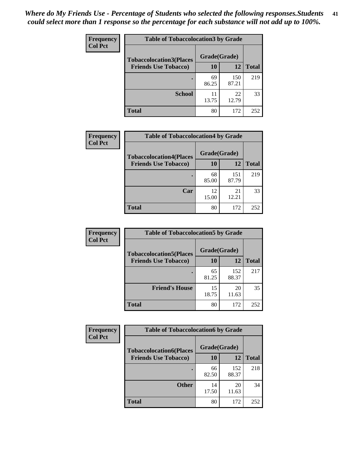| Frequency<br><b>Col Pct</b> | <b>Table of Tobaccolocation 3 by Grade</b> |              |              |              |  |
|-----------------------------|--------------------------------------------|--------------|--------------|--------------|--|
|                             | <b>Tobaccolocation3(Places</b>             | Grade(Grade) |              |              |  |
|                             | <b>Friends Use Tobacco)</b>                | 10           | 12           | <b>Total</b> |  |
|                             |                                            | 69<br>86.25  | 150<br>87.21 | 219          |  |
|                             | <b>School</b>                              | 11<br>13.75  | 22<br>12.79  | 33           |  |
|                             | <b>Total</b>                               | 80           | 172          | 252          |  |

| Frequency      | <b>Table of Tobaccolocation4 by Grade</b>                     |                           |              |              |
|----------------|---------------------------------------------------------------|---------------------------|--------------|--------------|
| <b>Col Pct</b> | <b>Tobaccolocation4(Places</b><br><b>Friends Use Tobacco)</b> | Grade(Grade)<br><b>10</b> | 12           | <b>Total</b> |
|                |                                                               | 68<br>85.00               | 151<br>87.79 | 219          |
|                | Car                                                           | 12<br>15.00               | 21<br>12.21  | 33           |
|                | <b>Total</b>                                                  | 80                        | 172          | 252          |

| Frequency      | <b>Table of Tobaccolocation5 by Grade</b> |              |              |              |
|----------------|-------------------------------------------|--------------|--------------|--------------|
| <b>Col Pct</b> | <b>Tobaccolocation5(Places</b>            | Grade(Grade) |              |              |
|                | <b>Friends Use Tobacco)</b>               | 10           | <b>12</b>    | <b>Total</b> |
|                |                                           | 65<br>81.25  | 152<br>88.37 | 217          |
|                | <b>Friend's House</b>                     | 15<br>18.75  | 20<br>11.63  | 35           |
|                | <b>Total</b>                              | 80           | 172          | 252          |

| <b>Frequency</b> | <b>Table of Tobaccolocation6 by Grade</b> |              |              |              |  |
|------------------|-------------------------------------------|--------------|--------------|--------------|--|
| <b>Col Pct</b>   | <b>Tobaccolocation6(Places</b>            | Grade(Grade) |              |              |  |
|                  | <b>Friends Use Tobacco)</b>               | 10           | 12           | <b>Total</b> |  |
|                  |                                           | 66<br>82.50  | 152<br>88.37 | 218          |  |
|                  | <b>Other</b>                              | 14<br>17.50  | 20<br>11.63  | 34           |  |
|                  | <b>Total</b>                              | 80           | 172          | 252          |  |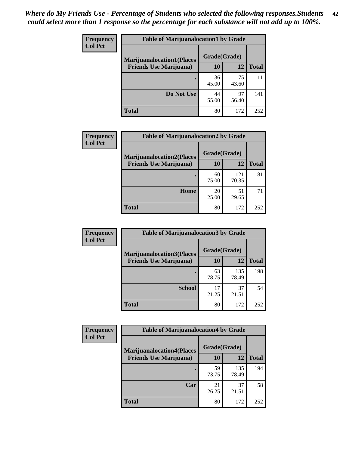| <b>Frequency</b> | <b>Table of Marijuanalocation1 by Grade</b> |              |             |              |
|------------------|---------------------------------------------|--------------|-------------|--------------|
| <b>Col Pct</b>   | <b>Marijuanalocation1(Places</b>            | Grade(Grade) |             |              |
|                  | <b>Friends Use Marijuana</b> )              | 10           | 12          | <b>Total</b> |
|                  |                                             | 36<br>45.00  | 75<br>43.60 | 111          |
|                  | Do Not Use                                  | 44<br>55.00  | 97<br>56.40 | 141          |
|                  | Total                                       | 80           | 172         | 252          |

| <b>Frequency</b> | <b>Table of Marijuanalocation2 by Grade</b>                        |                    |              |              |
|------------------|--------------------------------------------------------------------|--------------------|--------------|--------------|
| <b>Col Pct</b>   | <b>Marijuanalocation2(Places</b><br><b>Friends Use Marijuana</b> ) | Grade(Grade)<br>10 | 12           | <b>Total</b> |
|                  |                                                                    | 60<br>75.00        | 121<br>70.35 | 181          |
|                  | <b>Home</b>                                                        | 20<br>25.00        | 51<br>29.65  | 71           |
|                  | <b>Total</b>                                                       | 80                 | 172          | 252          |

| Frequency<br><b>Col Pct</b> | <b>Table of Marijuanalocation3 by Grade</b> |              |              |              |
|-----------------------------|---------------------------------------------|--------------|--------------|--------------|
|                             | <b>Marijuanalocation3</b> (Places           | Grade(Grade) |              |              |
|                             | <b>Friends Use Marijuana</b> )              | <b>10</b>    | 12           | <b>Total</b> |
|                             |                                             | 63<br>78.75  | 135<br>78.49 | 198          |
|                             | <b>School</b>                               | 17<br>21.25  | 37<br>21.51  | 54           |
|                             | <b>Total</b>                                | 80           | 172          | 252          |

| <b>Frequency</b> | <b>Table of Marijuanalocation4 by Grade</b> |              |              |              |
|------------------|---------------------------------------------|--------------|--------------|--------------|
| <b>Col Pct</b>   | <b>Marijuanalocation4(Places</b>            | Grade(Grade) |              |              |
|                  | <b>Friends Use Marijuana</b> )              | 10           | 12           | <b>Total</b> |
|                  |                                             | 59<br>73.75  | 135<br>78.49 | 194          |
|                  | Car                                         | 21<br>26.25  | 37<br>21.51  | 58           |
|                  | <b>Total</b>                                | 80           | 172          | 252          |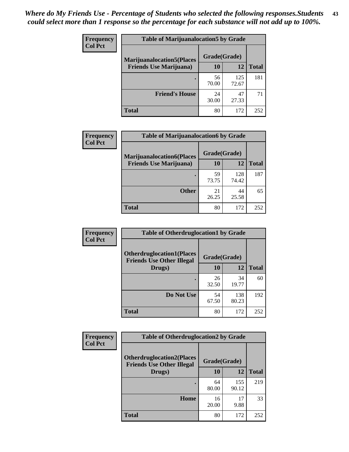| <b>Frequency</b> | <b>Table of Marijuanalocation5 by Grade</b> |              |              |              |
|------------------|---------------------------------------------|--------------|--------------|--------------|
| <b>Col Pct</b>   | <b>Marijuanalocation5</b> (Places           | Grade(Grade) |              |              |
|                  | <b>Friends Use Marijuana</b> )              | 10           | 12           | <b>Total</b> |
|                  |                                             | 56<br>70.00  | 125<br>72.67 | 181          |
|                  | <b>Friend's House</b>                       | 24<br>30.00  | 47<br>27.33  | 71           |
|                  | <b>Total</b>                                | 80           | 172          | 252          |

| <b>Frequency</b> | <b>Table of Marijuanalocation6 by Grade</b>                        |                    |              |              |
|------------------|--------------------------------------------------------------------|--------------------|--------------|--------------|
| <b>Col Pct</b>   | <b>Marijuanalocation6(Places</b><br><b>Friends Use Marijuana</b> ) | Grade(Grade)<br>10 | 12           | <b>Total</b> |
|                  |                                                                    | 59<br>73.75        | 128<br>74.42 | 187          |
|                  | <b>Other</b>                                                       | 21<br>26.25        | 44<br>25.58  | 65           |
|                  | <b>Total</b>                                                       | 80                 | 172          | 252          |

| <b>Frequency</b> | <b>Table of Otherdruglocation1 by Grade</b> |              |              |              |
|------------------|---------------------------------------------|--------------|--------------|--------------|
| <b>Col Pct</b>   | <b>Otherdruglocation1(Places</b>            | Grade(Grade) |              |              |
|                  | <b>Friends Use Other Illegal</b><br>Drugs)  | 10           | 12           | <b>Total</b> |
|                  |                                             | 26<br>32.50  | 34<br>19.77  | 60           |
|                  | Do Not Use                                  | 54<br>67.50  | 138<br>80.23 | 192          |
|                  | <b>Total</b>                                | 80           | 172          | 252          |

| Frequency                                                                              | <b>Table of Otherdruglocation2 by Grade</b> |              |              |              |
|----------------------------------------------------------------------------------------|---------------------------------------------|--------------|--------------|--------------|
| <b>Col Pct</b><br><b>Otherdruglocation2(Places</b><br><b>Friends Use Other Illegal</b> |                                             | Grade(Grade) |              |              |
|                                                                                        | Drugs)                                      | 10           | 12           | <b>Total</b> |
|                                                                                        |                                             | 64<br>80.00  | 155<br>90.12 | 219          |
|                                                                                        | Home                                        | 16<br>20.00  | 17<br>9.88   | 33           |
|                                                                                        | <b>Total</b>                                | 80           | 172          | 252          |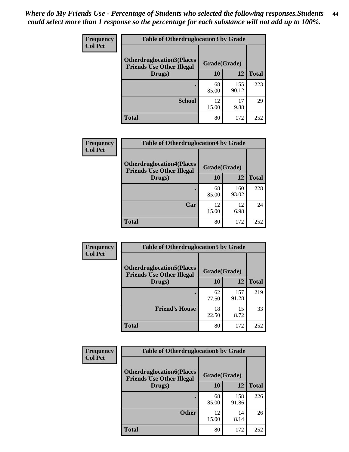| <b>Frequency</b> | <b>Table of Otherdruglocation 3 by Grade</b>                         |              |              |              |
|------------------|----------------------------------------------------------------------|--------------|--------------|--------------|
| <b>Col Pct</b>   | <b>Otherdruglocation3(Places</b><br><b>Friends Use Other Illegal</b> | Grade(Grade) |              |              |
|                  | Drugs)                                                               | 10           | 12           | <b>Total</b> |
|                  |                                                                      | 68<br>85.00  | 155<br>90.12 | 223          |
|                  | <b>School</b>                                                        | 12<br>15.00  | 17<br>9.88   | 29           |
|                  | <b>Total</b>                                                         | 80           | 172          | 252          |

| Frequency      | <b>Table of Otherdruglocation4 by Grade</b>                          |             |              |              |
|----------------|----------------------------------------------------------------------|-------------|--------------|--------------|
| <b>Col Pct</b> | <b>Otherdruglocation4(Places</b><br><b>Friends Use Other Illegal</b> |             | Grade(Grade) |              |
|                | Drugs)                                                               | <b>10</b>   | 12           | <b>Total</b> |
|                |                                                                      | 68<br>85.00 | 160<br>93.02 | 228          |
|                | Car                                                                  | 12<br>15.00 | 12<br>6.98   | 24           |
|                | <b>Total</b>                                                         | 80          | 172          | 252          |

| <b>Frequency</b> | <b>Table of Otherdruglocation5 by Grade</b>                          |              |              |              |
|------------------|----------------------------------------------------------------------|--------------|--------------|--------------|
| <b>Col Pct</b>   | <b>Otherdruglocation5(Places</b><br><b>Friends Use Other Illegal</b> | Grade(Grade) |              |              |
|                  | Drugs)                                                               | <b>10</b>    | 12           | <b>Total</b> |
|                  |                                                                      | 62<br>77.50  | 157<br>91.28 | 219          |
|                  | <b>Friend's House</b>                                                | 18<br>22.50  | 15<br>8.72   | 33           |
|                  | <b>Total</b>                                                         | 80           | 172          | 252          |

| <b>Frequency</b> | <b>Table of Otherdruglocation6 by Grade</b>                          |              |              |              |
|------------------|----------------------------------------------------------------------|--------------|--------------|--------------|
| <b>Col Pct</b>   | <b>Otherdruglocation6(Places</b><br><b>Friends Use Other Illegal</b> | Grade(Grade) |              |              |
|                  | Drugs)                                                               | 10           | 12           | <b>Total</b> |
|                  |                                                                      | 68<br>85.00  | 158<br>91.86 | 226          |
|                  | <b>Other</b>                                                         | 12<br>15.00  | 14<br>8.14   | 26           |
|                  | Total                                                                | 80           | 172          | 252          |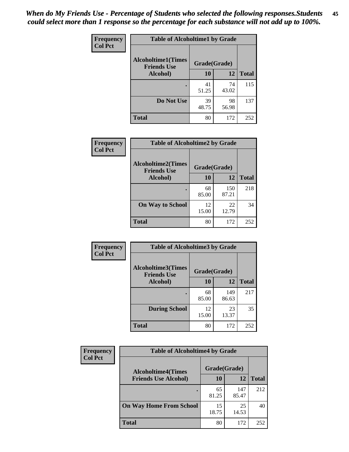| Frequency      | <b>Table of Alcoholtime1 by Grade</b>           |              |             |              |
|----------------|-------------------------------------------------|--------------|-------------|--------------|
| <b>Col Pct</b> | <b>Alcoholtime1(Times</b><br><b>Friends Use</b> | Grade(Grade) |             |              |
|                | Alcohol)                                        | 10           | 12          | <b>Total</b> |
|                |                                                 | 41<br>51.25  | 74<br>43.02 | 115          |
|                | Do Not Use                                      | 39<br>48.75  | 98<br>56.98 | 137          |
|                | <b>Total</b>                                    | 80           | 172         | 252          |

| Frequency      | <b>Table of Alcoholtime2 by Grade</b>           |              |              |              |
|----------------|-------------------------------------------------|--------------|--------------|--------------|
| <b>Col Pct</b> | <b>Alcoholtime2(Times</b><br><b>Friends Use</b> | Grade(Grade) |              |              |
|                | Alcohol)                                        | 10           | 12           | <b>Total</b> |
|                |                                                 | 68<br>85.00  | 150<br>87.21 | 218          |
|                | <b>On Way to School</b>                         | 12<br>15.00  | 22<br>12.79  | 34           |
|                | <b>Total</b>                                    | 80           | 172          | 252          |

| Frequency      | <b>Table of Alcoholtime3 by Grade</b>           |              |              |              |  |
|----------------|-------------------------------------------------|--------------|--------------|--------------|--|
| <b>Col Pct</b> | <b>Alcoholtime3(Times</b><br><b>Friends Use</b> | Grade(Grade) |              |              |  |
|                | Alcohol)                                        | 10           | 12           | <b>Total</b> |  |
|                |                                                 | 68<br>85.00  | 149<br>86.63 | 217          |  |
|                | <b>During School</b>                            | 12<br>15.00  | 23<br>13.37  | 35           |  |
|                | Total                                           | 80           | 172          | 252          |  |

| <b>Frequency</b><br><b>Col Pct</b> | <b>Table of Alcoholtime4 by Grade</b> |              |              |              |
|------------------------------------|---------------------------------------|--------------|--------------|--------------|
|                                    | <b>Alcoholtime4(Times</b>             | Grade(Grade) |              |              |
|                                    | <b>Friends Use Alcohol)</b>           | 10           | 12           | <b>Total</b> |
|                                    |                                       | 65<br>81.25  | 147<br>85.47 | 212          |
|                                    | <b>On Way Home From School</b>        | 15<br>18.75  | 25<br>14.53  | 40           |
|                                    | <b>Total</b>                          | 80           | 172          | 252          |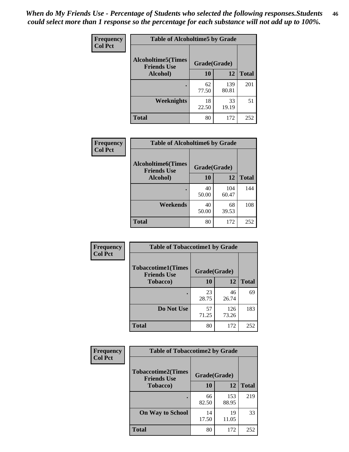*When do My Friends Use - Percentage of Students who selected the following responses.Students could select more than 1 response so the percentage for each substance will not add up to 100%.* **46**

| <b>Frequency</b> | <b>Table of Alcoholtime5 by Grade</b>           |              |              |              |
|------------------|-------------------------------------------------|--------------|--------------|--------------|
| <b>Col Pct</b>   | <b>Alcoholtime5(Times</b><br><b>Friends Use</b> | Grade(Grade) |              |              |
|                  | Alcohol)                                        | 10           | 12           | <b>Total</b> |
|                  |                                                 | 62<br>77.50  | 139<br>80.81 | 201          |
|                  | Weeknights                                      | 18<br>22.50  | 33<br>19.19  | 51           |
|                  | <b>Total</b>                                    | 80           | 172          | 252          |

| Frequency      | <b>Table of Alcoholtime6 by Grade</b>           |              |              |              |
|----------------|-------------------------------------------------|--------------|--------------|--------------|
| <b>Col Pct</b> | <b>Alcoholtime6(Times</b><br><b>Friends Use</b> | Grade(Grade) |              |              |
|                | Alcohol)                                        | 10           | 12           | <b>Total</b> |
|                | ٠                                               | 40<br>50.00  | 104<br>60.47 | 144          |
|                | Weekends                                        | 40<br>50.00  | 68<br>39.53  | 108          |
|                | <b>Total</b>                                    | 80           | 172          | 252          |

| Frequency      | <b>Table of Tobaccotime1 by Grade</b>           |              |              |              |
|----------------|-------------------------------------------------|--------------|--------------|--------------|
| <b>Col Pct</b> | <b>Tobaccotime1(Times</b><br><b>Friends Use</b> | Grade(Grade) |              |              |
|                | <b>Tobacco</b> )                                | 10           | 12           | <b>Total</b> |
|                | $\bullet$                                       | 23<br>28.75  | 46<br>26.74  | 69           |
|                | Do Not Use                                      | 57<br>71.25  | 126<br>73.26 | 183          |
|                | <b>Total</b>                                    | 80           | 172          | 252          |

| <b>Frequency</b> | <b>Table of Tobaccotime2 by Grade</b>                           |             |              |              |
|------------------|-----------------------------------------------------------------|-------------|--------------|--------------|
| <b>Col Pct</b>   | <b>Tobaccotime2(Times</b><br>Grade(Grade)<br><b>Friends Use</b> |             |              |              |
|                  | <b>Tobacco</b> )                                                | 10          | 12           | <b>Total</b> |
|                  | ٠                                                               | 66<br>82.50 | 153<br>88.95 | 219          |
|                  | <b>On Way to School</b>                                         | 14<br>17.50 | 19<br>11.05  | 33           |
|                  | <b>Total</b>                                                    | 80          | 172          | 252          |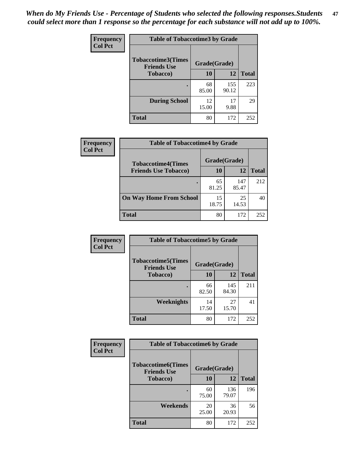| Frequency      | <b>Table of Tobaccotime3 by Grade</b>                           |             |              |              |
|----------------|-----------------------------------------------------------------|-------------|--------------|--------------|
| <b>Col Pct</b> | <b>Tobaccotime3(Times</b><br>Grade(Grade)<br><b>Friends Use</b> |             |              |              |
|                | <b>Tobacco</b> )                                                | 10          | 12           | <b>Total</b> |
|                | $\bullet$                                                       | 68<br>85.00 | 155<br>90.12 | 223          |
|                | <b>During School</b>                                            | 12<br>15.00 | 17<br>9.88   | 29           |
|                | <b>Total</b>                                                    | 80          | 172          | 252          |

| <b>Frequency</b> | <b>Table of Tobaccotime4 by Grade</b>                    |              |              |              |
|------------------|----------------------------------------------------------|--------------|--------------|--------------|
| <b>Col Pct</b>   | <b>Tobaccotime4(Times</b><br><b>Friends Use Tobacco)</b> | Grade(Grade) |              |              |
|                  |                                                          | 10           | 12           | <b>Total</b> |
|                  |                                                          | 65<br>81.25  | 147<br>85.47 | 212          |
|                  | <b>On Way Home From School</b>                           | 15<br>18.75  | 25<br>14.53  | 40           |
|                  | <b>Total</b>                                             | 80           | 172          | 252          |

| Frequency      | <b>Table of Tobaccotime5 by Grade</b>            |              |              |              |
|----------------|--------------------------------------------------|--------------|--------------|--------------|
| <b>Col Pct</b> | <b>Tobaccotime5</b> (Times<br><b>Friends Use</b> | Grade(Grade) |              |              |
|                | <b>Tobacco</b> )                                 | 10           | 12           | <b>Total</b> |
|                | ٠                                                | 66<br>82.50  | 145<br>84.30 | 211          |
|                | Weeknights                                       | 14<br>17.50  | 27<br>15.70  | 41           |
|                | <b>Total</b>                                     | 80           | 172          | 252          |

| Frequency<br><b>Col Pct</b> | <b>Table of Tobaccotime6 by Grade</b>           |              |              |              |  |
|-----------------------------|-------------------------------------------------|--------------|--------------|--------------|--|
|                             | <b>Tobaccotime6(Times</b><br><b>Friends Use</b> | Grade(Grade) |              |              |  |
|                             | <b>Tobacco</b> )                                | 10           | 12           | <b>Total</b> |  |
|                             | ٠                                               | 60<br>75.00  | 136<br>79.07 | 196          |  |
|                             | Weekends                                        | 20<br>25.00  | 36<br>20.93  | 56           |  |
|                             | <b>Total</b>                                    | 80           | 172          | 252          |  |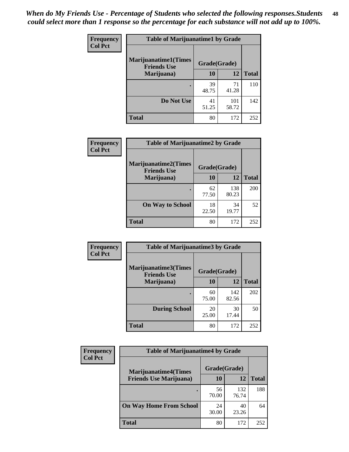| Frequency      | <b>Table of Marijuanatime1 by Grade</b>           |              |              |              |  |
|----------------|---------------------------------------------------|--------------|--------------|--------------|--|
| <b>Col Pct</b> | <b>Marijuanatime1(Times</b><br><b>Friends Use</b> | Grade(Grade) |              |              |  |
|                | Marijuana)                                        | 10           | 12           | <b>Total</b> |  |
|                |                                                   | 39<br>48.75  | 71<br>41.28  | 110          |  |
|                | Do Not Use                                        | 41<br>51.25  | 101<br>58.72 | 142          |  |
|                | <b>Total</b>                                      | 80           | 172          | 252          |  |

| <b>Frequency</b> | <b>Table of Marijuanatime2 by Grade</b>           |              |              |              |
|------------------|---------------------------------------------------|--------------|--------------|--------------|
| <b>Col Pct</b>   | <b>Marijuanatime2(Times</b><br><b>Friends Use</b> | Grade(Grade) |              |              |
|                  | Marijuana)                                        | 10           | 12           | <b>Total</b> |
|                  |                                                   | 62<br>77.50  | 138<br>80.23 | 200          |
|                  | <b>On Way to School</b>                           | 18<br>22.50  | 34<br>19.77  | 52           |
|                  | <b>Total</b>                                      | 80           | 172          | 252          |

| Frequency      | <b>Table of Marijuanatime3 by Grade</b>    |              |              |              |  |
|----------------|--------------------------------------------|--------------|--------------|--------------|--|
| <b>Col Pct</b> | Marijuanatime3(Times<br><b>Friends Use</b> | Grade(Grade) |              |              |  |
|                | Marijuana)                                 | 10           | 12           | <b>Total</b> |  |
|                |                                            | 60<br>75.00  | 142<br>82.56 | 202          |  |
|                | <b>During School</b>                       | 20<br>25.00  | 30<br>17.44  | 50           |  |
|                | <b>Total</b>                               | 80           | 172          | 252          |  |

| <b>Frequency</b> | <b>Table of Marijuanatime4 by Grade</b> |              |              |              |
|------------------|-----------------------------------------|--------------|--------------|--------------|
| <b>Col Pct</b>   | <b>Marijuanatime4(Times</b>             | Grade(Grade) |              |              |
|                  | <b>Friends Use Marijuana</b> )          | 10           | 12           | <b>Total</b> |
|                  |                                         | 56<br>70.00  | 132<br>76.74 | 188          |
|                  | <b>On Way Home From School</b>          | 24<br>30.00  | 40<br>23.26  | 64           |
|                  | <b>Total</b>                            | 80           | 172          | 252          |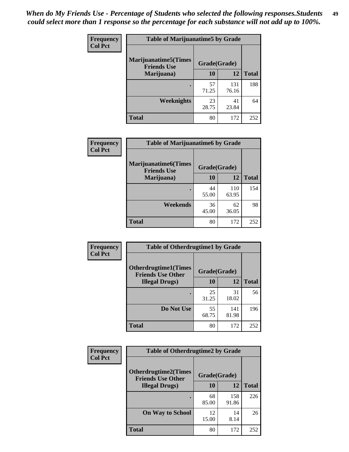| Frequency      | <b>Table of Marijuanatime5 by Grade</b>            |              |              |              |
|----------------|----------------------------------------------------|--------------|--------------|--------------|
| <b>Col Pct</b> | <b>Marijuanatime5</b> (Times<br><b>Friends Use</b> | Grade(Grade) |              |              |
|                | Marijuana)                                         | 10           | 12           | <b>Total</b> |
|                |                                                    | 57<br>71.25  | 131<br>76.16 | 188          |
|                | Weeknights                                         | 23<br>28.75  | 41<br>23.84  | 64           |
|                | <b>Total</b>                                       | 80           | 172          | 252          |

| Frequency      | <b>Table of Marijuanatime6 by Grade</b>            |              |              |              |
|----------------|----------------------------------------------------|--------------|--------------|--------------|
| <b>Col Pct</b> | <b>Marijuanatime6</b> (Times<br><b>Friends Use</b> | Grade(Grade) |              |              |
|                | Marijuana)                                         | 10           | 12           | <b>Total</b> |
|                |                                                    | 44<br>55.00  | 110<br>63.95 | 154          |
|                | Weekends                                           | 36<br>45.00  | 62<br>36.05  | 98           |
|                | <b>Total</b>                                       | 80           | 172          | 252          |

| <b>Frequency</b> | <b>Table of Otherdrugtime1 by Grade</b>                  |              |              |              |  |
|------------------|----------------------------------------------------------|--------------|--------------|--------------|--|
| <b>Col Pct</b>   | <b>Otherdrugtime1</b> (Times<br><b>Friends Use Other</b> | Grade(Grade) |              |              |  |
|                  | <b>Illegal Drugs</b> )                                   | 10           | 12           | <b>Total</b> |  |
|                  |                                                          | 25<br>31.25  | 31<br>18.02  | 56           |  |
|                  | Do Not Use                                               | 55<br>68.75  | 141<br>81.98 | 196          |  |
|                  | Total                                                    | 80           | 172          | 252          |  |

| Frequency      | <b>Table of Otherdrugtime2 by Grade</b>                 |              |              |              |  |
|----------------|---------------------------------------------------------|--------------|--------------|--------------|--|
| <b>Col Pct</b> | <b>Otherdrugtime2(Times</b><br><b>Friends Use Other</b> | Grade(Grade) |              |              |  |
|                | <b>Illegal Drugs</b> )                                  | 10           | 12           | <b>Total</b> |  |
|                |                                                         | 68<br>85.00  | 158<br>91.86 | 226          |  |
|                | <b>On Way to School</b>                                 | 12<br>15.00  | 14<br>8.14   | 26           |  |
|                | <b>Total</b>                                            | 80           | 172          | 252          |  |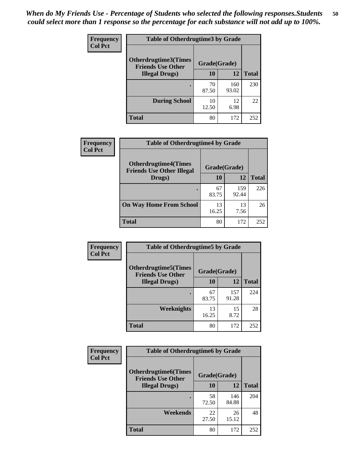| <b>Frequency</b> | <b>Table of Otherdrugtime3 by Grade</b>          |              |              |              |
|------------------|--------------------------------------------------|--------------|--------------|--------------|
| <b>Col Pct</b>   | Otherdrugtime3(Times<br><b>Friends Use Other</b> | Grade(Grade) |              |              |
|                  | <b>Illegal Drugs)</b>                            | 10           | 12           | <b>Total</b> |
|                  |                                                  | 70<br>87.50  | 160<br>93.02 | 230          |
|                  | <b>During School</b>                             | 10<br>12.50  | 12<br>6.98   | 22           |
|                  | <b>Total</b>                                     | 80           | 172          | 252          |

| <b>Frequency</b> | <b>Table of Otherdrugtime4 by Grade</b>                         |              |              |              |
|------------------|-----------------------------------------------------------------|--------------|--------------|--------------|
| <b>Col Pct</b>   | <b>Otherdrugtime4(Times</b><br><b>Friends Use Other Illegal</b> | Grade(Grade) |              |              |
|                  | Drugs)                                                          | 10           | 12           | <b>Total</b> |
|                  | $\bullet$                                                       | 67<br>83.75  | 159<br>92.44 | 226          |
|                  | <b>On Way Home From School</b>                                  | 13<br>16.25  | 13<br>7.56   | 26           |
|                  | <b>Total</b>                                                    | 80           | 172          | 252          |

| <b>Frequency</b> | <b>Table of Otherdrugtime5 by Grade</b>                  |              |              |              |
|------------------|----------------------------------------------------------|--------------|--------------|--------------|
| <b>Col Pct</b>   | <b>Otherdrugtime5</b> (Times<br><b>Friends Use Other</b> | Grade(Grade) |              |              |
|                  | <b>Illegal Drugs</b> )                                   | 10           | 12           | <b>Total</b> |
|                  |                                                          | 67<br>83.75  | 157<br>91.28 | 224          |
|                  | Weeknights                                               | 13<br>16.25  | 15<br>8.72   | 28           |
|                  | Total                                                    | 80           | 172          | 252          |

| Frequency      | <b>Table of Otherdrugtime6 by Grade</b>                                 |             |              |              |  |
|----------------|-------------------------------------------------------------------------|-------------|--------------|--------------|--|
| <b>Col Pct</b> | <b>Otherdrugtime6(Times</b><br>Grade(Grade)<br><b>Friends Use Other</b> |             |              |              |  |
|                | <b>Illegal Drugs</b> )                                                  | 10          | 12           | <b>Total</b> |  |
|                |                                                                         | 58<br>72.50 | 146<br>84.88 | 204          |  |
|                | Weekends                                                                | 22<br>27.50 | 26<br>15.12  | 48           |  |
|                | Total                                                                   | 80          | 172          | 252          |  |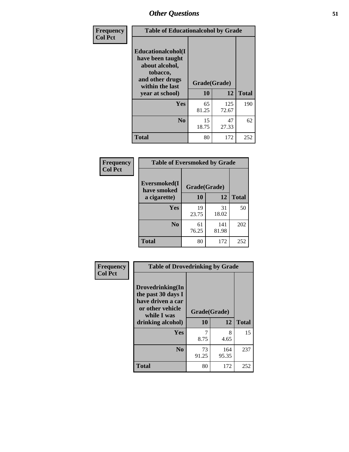| Frequency      | <b>Table of Educationalcohol by Grade</b>                                                                  |              |              |              |
|----------------|------------------------------------------------------------------------------------------------------------|--------------|--------------|--------------|
| <b>Col Pct</b> | Educationalcohol(I<br>have been taught<br>about alcohol,<br>tobacco,<br>and other drugs<br>within the last | Grade(Grade) |              |              |
|                | year at school)                                                                                            | 10           | 12           | <b>Total</b> |
|                | Yes                                                                                                        | 65<br>81.25  | 125<br>72.67 | 190          |
|                | N <sub>0</sub>                                                                                             | 15<br>18.75  | 47<br>27.33  | 62           |
|                | <b>Total</b>                                                                                               | 80           | 172          | 252          |

| Frequency      | <b>Table of Eversmoked by Grade</b> |              |              |              |  |
|----------------|-------------------------------------|--------------|--------------|--------------|--|
| <b>Col Pct</b> | Eversmoked(I<br>have smoked         | Grade(Grade) |              |              |  |
|                | a cigarette)                        | 10           | 12           | <b>Total</b> |  |
|                | <b>Yes</b>                          | 19<br>23.75  | 31<br>18.02  | 50           |  |
|                | N <sub>0</sub>                      | 61<br>76.25  | 141<br>81.98 | 202          |  |
|                | <b>Total</b>                        | 80           | 172          | 252          |  |

| Frequency<br><b>Col Pct</b> | <b>Table of Drovedrinking by Grade</b>                                                                              |                    |              |              |  |
|-----------------------------|---------------------------------------------------------------------------------------------------------------------|--------------------|--------------|--------------|--|
|                             | Drovedrinking(In<br>the past 30 days I<br>have driven a car<br>or other vehicle<br>while I was<br>drinking alcohol) | Grade(Grade)<br>10 | 12           | <b>Total</b> |  |
|                             | <b>Yes</b>                                                                                                          | 7<br>8.75          | 8<br>4.65    | 15           |  |
|                             | N <sub>0</sub>                                                                                                      | 73<br>91.25        | 164<br>95.35 | 237          |  |
|                             | <b>Total</b>                                                                                                        | 80                 | 172          | 252          |  |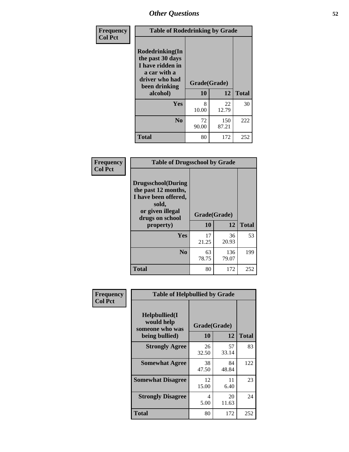| Frequency<br><b>Col Pct</b> | <b>Table of Rodedrinking by Grade</b>                                                                      |                          |              |              |  |
|-----------------------------|------------------------------------------------------------------------------------------------------------|--------------------------|--------------|--------------|--|
|                             | Rodedrinking(In<br>the past 30 days<br>I have ridden in<br>a car with a<br>driver who had<br>been drinking | Grade(Grade)<br>10<br>12 |              |              |  |
|                             | alcohol)                                                                                                   |                          |              | <b>Total</b> |  |
|                             | <b>Yes</b>                                                                                                 | 8<br>10.00               | 22<br>12.79  | 30           |  |
|                             | N <sub>0</sub>                                                                                             | 72<br>90.00              | 150<br>87.21 | 222          |  |
|                             | <b>Total</b>                                                                                               | 80                       | 172          | 252          |  |

#### **Frequency Col Pct**

Л

| <b>Table of Drugsschool by Grade</b>                                                                                      |              |              |              |  |
|---------------------------------------------------------------------------------------------------------------------------|--------------|--------------|--------------|--|
| <b>Drugsschool</b> (During<br>the past 12 months,<br>I have been offered,<br>sold,<br>or given illegal<br>drugs on school | Grade(Grade) |              |              |  |
| property)                                                                                                                 | 10           | 12           | <b>Total</b> |  |
| <b>Yes</b>                                                                                                                | 17<br>21.25  | 36<br>20.93  | 53           |  |
| $\bf No$                                                                                                                  | 63<br>78.75  | 136<br>79.07 | 199          |  |
| <b>Total</b>                                                                                                              | 80           | 172          | 252          |  |

| Frequency      | <b>Table of Helpbullied by Grade</b>           |              |             |              |  |  |  |
|----------------|------------------------------------------------|--------------|-------------|--------------|--|--|--|
| <b>Col Pct</b> | Helpbullied(I<br>would help<br>someone who was | Grade(Grade) |             |              |  |  |  |
|                | being bullied)                                 | <b>10</b>    | 12          | <b>Total</b> |  |  |  |
|                | <b>Strongly Agree</b>                          | 26<br>32.50  | 57<br>33.14 | 83           |  |  |  |
|                | <b>Somewhat Agree</b>                          | 38<br>47.50  | 84<br>48.84 | 122          |  |  |  |
|                | <b>Somewhat Disagree</b>                       | 12<br>15.00  | 11<br>6.40  | 23           |  |  |  |
|                | <b>Strongly Disagree</b>                       | 4<br>5.00    | 20<br>11.63 | 24           |  |  |  |
|                | <b>Total</b>                                   | 80           | 172         | 252          |  |  |  |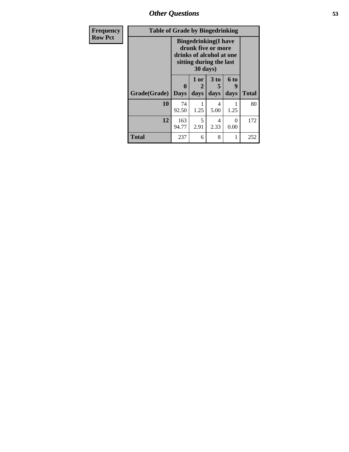*Other Questions* **53**

| <b>Frequency</b> | <b>Table of Grade by Bingedrinking</b> |                            |                                                                                                           |                   |                   |              |
|------------------|----------------------------------------|----------------------------|-----------------------------------------------------------------------------------------------------------|-------------------|-------------------|--------------|
| <b>Row Pct</b>   |                                        | 30 days)                   | <b>Bingedrinking</b> (I have<br>drunk five or more<br>drinks of alcohol at one<br>sitting during the last |                   |                   |              |
|                  | Grade(Grade)                           | $\mathbf 0$<br><b>Days</b> | 1 or<br>2<br>days                                                                                         | 3 to<br>5<br>days | 6 to<br>9<br>days | <b>Total</b> |
|                  | 10                                     | 74<br>92.50                | 1.25                                                                                                      | 4<br>5.00         | 1.25              | 80           |
|                  | 12                                     | 163<br>94.77               | 5<br>2.91                                                                                                 | 4<br>2.33         | 0<br>0.00         | 172          |
|                  | <b>Total</b>                           | 237                        | 6                                                                                                         | 8                 | 1                 | 252          |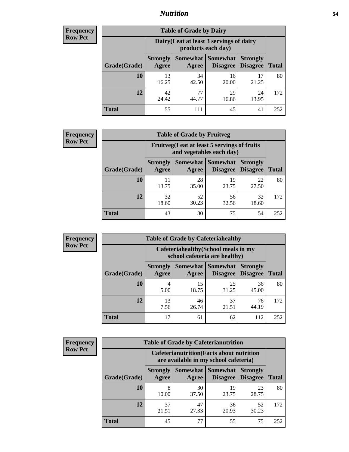## *Nutrition* **54**

| <b>Frequency</b> |
|------------------|
| Row Pct          |

| <b>Table of Grade by Dairy</b> |                                                                                                                                                  |                                                                 |             |             |     |  |  |  |
|--------------------------------|--------------------------------------------------------------------------------------------------------------------------------------------------|-----------------------------------------------------------------|-------------|-------------|-----|--|--|--|
|                                |                                                                                                                                                  | Dairy (I eat at least 3 servings of dairy<br>products each day) |             |             |     |  |  |  |
| Grade(Grade)                   | <b>Somewhat</b><br><b>Somewhat</b><br><b>Strongly</b><br><b>Strongly</b><br><b>Disagree</b><br><b>Disagree</b><br><b>Total</b><br>Agree<br>Agree |                                                                 |             |             |     |  |  |  |
| 10                             | 13<br>16.25                                                                                                                                      | 34<br>42.50                                                     | 16<br>20.00 | 17<br>21.25 | 80  |  |  |  |
| 12                             | 42<br>24.42                                                                                                                                      | 77<br>44.77                                                     | 29<br>16.86 | 24<br>13.95 | 172 |  |  |  |
| <b>Total</b>                   | 55                                                                                                                                               | 111                                                             | 45          | 41          | 252 |  |  |  |

| <b>Frequency</b> |  |
|------------------|--|
| <b>Row Pct</b>   |  |

| <b>Table of Grade by Fruitveg</b> |                          |                                                                          |                                 |                                    |              |  |  |
|-----------------------------------|--------------------------|--------------------------------------------------------------------------|---------------------------------|------------------------------------|--------------|--|--|
|                                   |                          | Fruitveg(I eat at least 5 servings of fruits<br>and vegetables each day) |                                 |                                    |              |  |  |
| Grade(Grade)                      | <b>Strongly</b><br>Agree | Agree                                                                    | Somewhat   Somewhat<br>Disagree | <b>Strongly</b><br><b>Disagree</b> | <b>Total</b> |  |  |
| 10                                | 11<br>13.75              | 28<br>35.00                                                              | 19<br>23.75                     | 22<br>27.50                        | 80           |  |  |
| 12                                | 32<br>18.60              | 52<br>30.23                                                              | 56<br>32.56                     | 32<br>18.60                        | 172          |  |  |
| <b>Total</b>                      | 43                       | 80                                                                       | 75                              | 54                                 | 252          |  |  |

| <b>Frequency</b> | <b>Table of Grade by Cafeteriahealthy</b> |                                                                       |                            |                 |                                    |              |  |  |
|------------------|-------------------------------------------|-----------------------------------------------------------------------|----------------------------|-----------------|------------------------------------|--------------|--|--|
| <b>Row Pct</b>   |                                           | Cafeteriahealthy (School meals in my<br>school cafeteria are healthy) |                            |                 |                                    |              |  |  |
|                  | Grade(Grade)                              | <b>Strongly</b><br>Agree                                              | Somewhat Somewhat<br>Agree | <b>Disagree</b> | <b>Strongly</b><br><b>Disagree</b> | <b>Total</b> |  |  |
|                  | 10                                        | 4<br>5.00                                                             | 15<br>18.75                | 25<br>31.25     | 36<br>45.00                        | 80           |  |  |
|                  | 12                                        | 13<br>7.56                                                            | 46<br>26.74                | 37<br>21.51     | 76<br>44.19                        | 172          |  |  |
|                  | Total                                     | 17                                                                    | 61                         | 62              | 112                                | 252          |  |  |

| <b>Frequency</b> |
|------------------|
| <b>Row Pct</b>   |

| <b>Table of Grade by Cafeterianutrition</b> |                                                                                           |                     |                                    |                                    |              |  |  |  |
|---------------------------------------------|-------------------------------------------------------------------------------------------|---------------------|------------------------------------|------------------------------------|--------------|--|--|--|
|                                             | <b>Cafeterianutrition</b> (Facts about nutrition<br>are available in my school cafeteria) |                     |                                    |                                    |              |  |  |  |
| Grade(Grade)                                | <b>Strongly</b><br>Agree                                                                  | Somewhat  <br>Agree | <b>Somewhat</b><br><b>Disagree</b> | <b>Strongly</b><br><b>Disagree</b> | <b>Total</b> |  |  |  |
| 10                                          | 8<br>10.00                                                                                | 30<br>37.50         | 19<br>23.75                        | 23<br>28.75                        | 80           |  |  |  |
| 12                                          | 37<br>21.51                                                                               | 47<br>27.33         | 36<br>20.93                        | 52<br>30.23                        | 172          |  |  |  |
| Total                                       | 45                                                                                        | 77                  | 55                                 | 75                                 | 252          |  |  |  |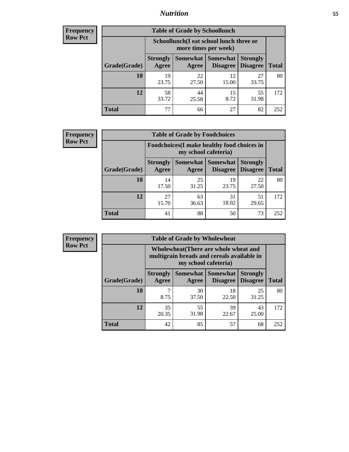## *Nutrition* **55**

| Frequency |
|-----------|
| Row Pct   |

| <b>Table of Grade by Schoollunch</b> |                                                                                                                            |                                                                 |             |             |     |  |  |  |
|--------------------------------------|----------------------------------------------------------------------------------------------------------------------------|-----------------------------------------------------------------|-------------|-------------|-----|--|--|--|
|                                      |                                                                                                                            | Schoollunch(I eat school lunch three or<br>more times per week) |             |             |     |  |  |  |
| Grade(Grade)                         | Somewhat   Somewhat<br><b>Strongly</b><br><b>Strongly</b><br><b>Disagree</b><br>Disagree<br><b>Total</b><br>Agree<br>Agree |                                                                 |             |             |     |  |  |  |
| 10                                   | 19<br>23.75                                                                                                                | 22<br>27.50                                                     | 12<br>15.00 | 27<br>33.75 | 80  |  |  |  |
| 12                                   | 58<br>33.72                                                                                                                | 44<br>25.58                                                     | 15<br>8.72  | 55<br>31.98 | 172 |  |  |  |
| <b>Total</b>                         | 77                                                                                                                         | 66                                                              | 27          | 82          | 252 |  |  |  |

| <b>Frequency</b> |  |
|------------------|--|
| <b>Row Pct</b>   |  |

| <b>Table of Grade by Foodchoices</b> |                          |                                                                     |                                      |                                    |              |  |  |
|--------------------------------------|--------------------------|---------------------------------------------------------------------|--------------------------------------|------------------------------------|--------------|--|--|
|                                      |                          | Foodchoices (I make healthy food choices in<br>my school cafeteria) |                                      |                                    |              |  |  |
| Grade(Grade)                         | <b>Strongly</b><br>Agree | Agree                                                               | <b>Somewhat Somewhat</b><br>Disagree | <b>Strongly</b><br><b>Disagree</b> | <b>Total</b> |  |  |
| 10                                   | 14<br>17.50              | 25<br>31.25                                                         | 19<br>23.75                          | 22<br>27.50                        | 80           |  |  |
| 12                                   | 27<br>15.70              | 63<br>36.63                                                         | 31<br>18.02                          | 51<br>29.65                        | 172          |  |  |
| <b>Total</b>                         | 41                       | 88                                                                  | 50                                   | 73                                 | 252          |  |  |

| Frequency      | <b>Table of Grade by Wholewheat</b> |                                                                                                             |             |                                   |                                    |              |  |  |  |
|----------------|-------------------------------------|-------------------------------------------------------------------------------------------------------------|-------------|-----------------------------------|------------------------------------|--------------|--|--|--|
| <b>Row Pct</b> |                                     | Wholewheat (There are whole wheat and<br>multigrain breads and cereals available in<br>my school cafeteria) |             |                                   |                                    |              |  |  |  |
|                | Grade(Grade)                        | <b>Strongly</b><br>Agree                                                                                    | Agree       | Somewhat   Somewhat  <br>Disagree | <b>Strongly</b><br><b>Disagree</b> | <b>Total</b> |  |  |  |
|                | 10                                  | 8.75                                                                                                        | 30<br>37.50 | 18<br>22.50                       | 25<br>31.25                        | 80           |  |  |  |
|                | 12                                  | 35<br>20.35                                                                                                 | 55<br>31.98 | 39<br>22.67                       | 43<br>25.00                        | 172          |  |  |  |
|                | <b>Total</b>                        | 42                                                                                                          | 85          | 57                                | 68                                 | 252          |  |  |  |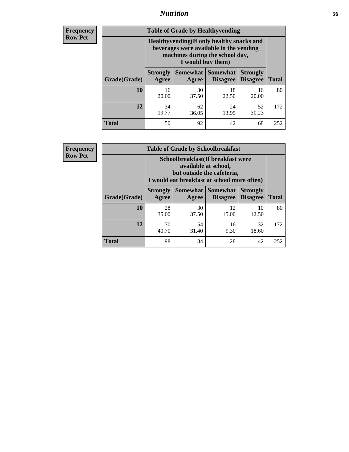## *Nutrition* **56**

**Frequency Row Pct**

| <b>Table of Grade by Healthyvending</b> |                                                                                                                                               |             |                                        |                                    |              |  |
|-----------------------------------------|-----------------------------------------------------------------------------------------------------------------------------------------------|-------------|----------------------------------------|------------------------------------|--------------|--|
|                                         | Healthyvending (If only healthy snacks and<br>beverages were available in the vending<br>machines during the school day,<br>I would buy them) |             |                                        |                                    |              |  |
| Grade(Grade)                            | <b>Strongly</b><br>Agree                                                                                                                      | Agree       | Somewhat   Somewhat<br><b>Disagree</b> | <b>Strongly</b><br><b>Disagree</b> | <b>Total</b> |  |
| 10                                      | 16<br>20.00                                                                                                                                   | 30<br>37.50 | 18<br>22.50                            | 16<br>20.00                        | 80           |  |
| 12                                      | 34<br>19.77                                                                                                                                   | 62<br>36.05 | 24<br>13.95                            | 52<br>30.23                        | 172          |  |
| <b>Total</b>                            | 50                                                                                                                                            | 92          | 42                                     | 68                                 | 252          |  |

**Frequency Row Pct**

| <b>Table of Grade by Schoolbreakfast</b> |                          |                                                                                                                                         |             |             |     |  |  |  |
|------------------------------------------|--------------------------|-----------------------------------------------------------------------------------------------------------------------------------------|-------------|-------------|-----|--|--|--|
|                                          |                          | Schoolbreakfast (If breakfast were<br>available at school,<br>but outside the cafeteria,<br>I would eat breakfast at school more often) |             |             |     |  |  |  |
| Grade(Grade)                             | <b>Strongly</b><br>Agree | Somewhat   Somewhat<br><b>Strongly</b><br><b>Disagree</b><br><b>Total</b><br><b>Disagree</b><br>Agree                                   |             |             |     |  |  |  |
| 10                                       | 28<br>35.00              | 30<br>37.50                                                                                                                             | 12<br>15.00 | 10<br>12.50 | 80  |  |  |  |
| 12                                       | 70<br>40.70              | 54<br>32<br>16<br>31.40<br>9.30<br>18.60                                                                                                |             |             |     |  |  |  |
| <b>Total</b>                             | 98                       | 84                                                                                                                                      | 28          | 42          | 252 |  |  |  |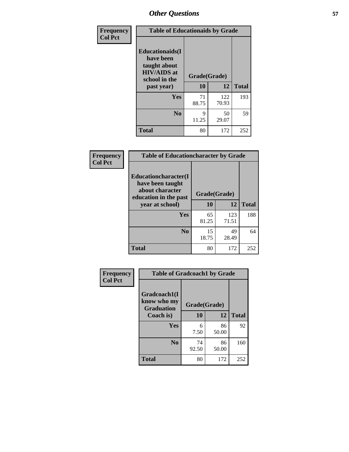| Frequency<br><b>Col Pct</b> |                                                                                                           | <b>Table of Educationaids by Grade</b> |              |              |  |
|-----------------------------|-----------------------------------------------------------------------------------------------------------|----------------------------------------|--------------|--------------|--|
|                             | <b>Educationaids</b> (I<br>have been<br>taught about<br><b>HIV/AIDS</b> at<br>school in the<br>past year) | Grade(Grade)<br>10                     | 12           | <b>Total</b> |  |
|                             | Yes                                                                                                       | 71<br>88.75                            | 122<br>70.93 | 193          |  |
|                             | N <sub>0</sub>                                                                                            | 9<br>11.25                             | 50<br>29.07  | 59           |  |
|                             | <b>Total</b>                                                                                              | 80                                     | 172          | 252          |  |

| <b>Frequency</b> | <b>Table of Educationcharacter by Grade</b>                 |              |              |              |  |
|------------------|-------------------------------------------------------------|--------------|--------------|--------------|--|
| <b>Col Pct</b>   | Educationcharacter(I<br>have been taught<br>about character |              |              |              |  |
|                  | education in the past                                       | Grade(Grade) |              |              |  |
|                  | year at school)                                             | 10           | 12           | <b>Total</b> |  |
|                  | Yes                                                         | 65<br>81.25  | 123<br>71.51 | 188          |  |
|                  | N <sub>0</sub>                                              | 15<br>18.75  | 49<br>28.49  | 64           |  |
|                  | <b>Total</b>                                                | 80           | 172          | 252          |  |

| Frequency      | <b>Table of Gradcoach1 by Grade</b>              |              |             |              |
|----------------|--------------------------------------------------|--------------|-------------|--------------|
| <b>Col Pct</b> | Gradcoach1(I<br>know who my<br><b>Graduation</b> | Grade(Grade) |             |              |
|                | Coach is)                                        | 10           | 12          | <b>Total</b> |
|                | Yes                                              | 6<br>7.50    | 86<br>50.00 | 92           |
|                | N <sub>0</sub>                                   | 74<br>92.50  | 86<br>50.00 | 160          |
|                | <b>Total</b>                                     | 80           | 172         | 252          |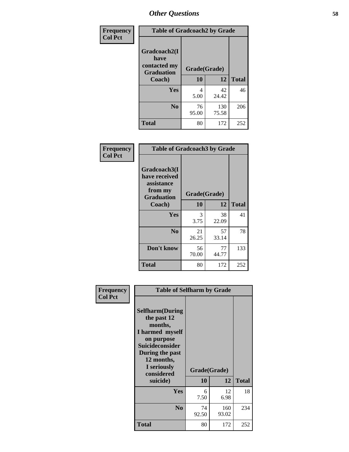| Frequency      | <b>Table of Gradcoach2 by Grade</b> |              |              |              |
|----------------|-------------------------------------|--------------|--------------|--------------|
| <b>Col Pct</b> | Gradcoach2(I<br>have                |              |              |              |
|                | contacted my<br><b>Graduation</b>   | Grade(Grade) |              |              |
|                | Coach)                              | 10           | 12           | <b>Total</b> |
|                | Yes                                 | 4<br>5.00    | 42<br>24.42  | 46           |
|                | N <sub>0</sub>                      | 76<br>95.00  | 130<br>75.58 | 206          |
|                | <b>Total</b>                        | 80           | 172          | 252          |

| Frequency<br><b>Col Pct</b> | <b>Table of Gradcoach3 by Grade</b>                                         |              |             |              |
|-----------------------------|-----------------------------------------------------------------------------|--------------|-------------|--------------|
|                             | Gradcoach3(I<br>have received<br>assistance<br>from my<br><b>Graduation</b> | Grade(Grade) |             |              |
|                             | Coach)                                                                      | 10           | 12          | <b>Total</b> |
|                             | Yes                                                                         | 3<br>3.75    | 38<br>22.09 | 41           |
|                             | N <sub>0</sub>                                                              | 21<br>26.25  | 57<br>33.14 | 78           |
|                             | Don't know                                                                  | 56<br>70.00  | 77<br>44.77 | 133          |
|                             | <b>Total</b>                                                                | 80           | 172         | 252          |

| <b>Selfharm</b> (During<br>the past 12<br>months,<br>I harmed myself<br>on purpose<br><b>Suicideconsider</b><br>During the past<br>12 months,<br>I seriously<br>considered |             |              |                                                         |
|----------------------------------------------------------------------------------------------------------------------------------------------------------------------------|-------------|--------------|---------------------------------------------------------|
|                                                                                                                                                                            |             |              | <b>Total</b>                                            |
| <b>Yes</b>                                                                                                                                                                 | 6<br>7.50   | 12<br>6.98   | 18                                                      |
| N <sub>0</sub>                                                                                                                                                             | 74<br>92.50 | 160<br>93.02 | 234                                                     |
| <b>Total</b>                                                                                                                                                               | 80          | 172          | 252                                                     |
|                                                                                                                                                                            | suicide)    | 10           | <b>Table of Selfharm by Grade</b><br>Grade(Grade)<br>12 |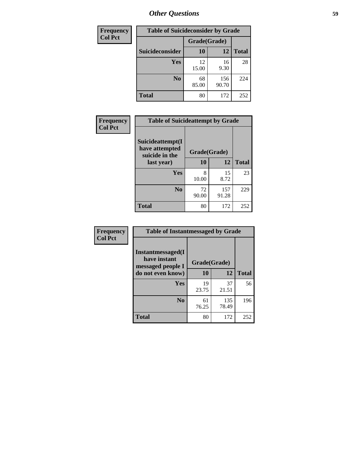| <b>Frequency</b> | <b>Table of Suicideconsider by Grade</b> |              |              |              |  |
|------------------|------------------------------------------|--------------|--------------|--------------|--|
| <b>Col Pct</b>   |                                          | Grade(Grade) |              |              |  |
|                  | Suicideconsider                          | <b>10</b>    | 12           | <b>Total</b> |  |
|                  | Yes                                      | 12<br>15.00  | 16<br>9.30   | 28           |  |
|                  | N <sub>0</sub>                           | 68<br>85.00  | 156<br>90.70 | 224          |  |
|                  | Total                                    | 80           | 172          | 252          |  |

| Frequency      | <b>Table of Suicideattempt by Grade</b>              |              |              |              |
|----------------|------------------------------------------------------|--------------|--------------|--------------|
| <b>Col Pct</b> | Suicideattempt(I<br>have attempted<br>suicide in the | Grade(Grade) |              |              |
|                | last year)                                           | 10           | 12           | <b>Total</b> |
|                | Yes                                                  | 8<br>10.00   | 15<br>8.72   | 23           |
|                | $\bf No$                                             | 72<br>90.00  | 157<br>91.28 | 229          |
|                | <b>Total</b>                                         | 80           | 172          | 252          |

| Frequency      | <b>Table of Instantmessaged by Grade</b>               |              |              |              |
|----------------|--------------------------------------------------------|--------------|--------------|--------------|
| <b>Col Pct</b> | Instantmessaged(I<br>have instant<br>messaged people I | Grade(Grade) |              |              |
|                | do not even know)                                      | 10           | 12           | <b>Total</b> |
|                | Yes                                                    | 19<br>23.75  | 37<br>21.51  | 56           |
|                | N <sub>0</sub>                                         | 61<br>76.25  | 135<br>78.49 | 196          |
|                | <b>Total</b>                                           | 80           | 172          | 252          |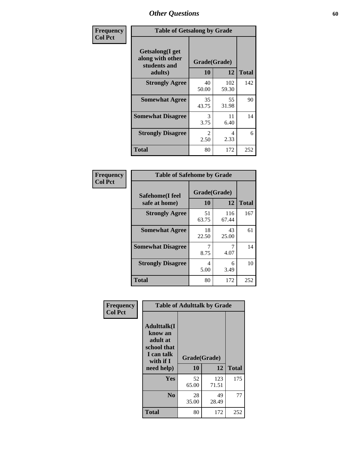| Frequency      | <b>Table of Getsalong by Grade</b>                          |                       |              |              |
|----------------|-------------------------------------------------------------|-----------------------|--------------|--------------|
| <b>Col Pct</b> | <b>Getsalong</b> (I get<br>along with other<br>students and | Grade(Grade)          |              |              |
|                | adults)                                                     | 10                    | 12           | <b>Total</b> |
|                | <b>Strongly Agree</b>                                       | 40<br>50.00           | 102<br>59.30 | 142          |
|                | <b>Somewhat Agree</b>                                       | 35<br>43.75           | 55<br>31.98  | 90           |
|                | <b>Somewhat Disagree</b>                                    | 3<br>3.75             | 11<br>6.40   | 14           |
|                | <b>Strongly Disagree</b>                                    | $\mathcal{L}$<br>2.50 | 4<br>2.33    | 6            |
|                | <b>Total</b>                                                | 80                    | 172          | 252          |

| Frequency      | <b>Table of Safehome by Grade</b> |                           |              |              |  |  |  |
|----------------|-----------------------------------|---------------------------|--------------|--------------|--|--|--|
| <b>Col Pct</b> | Safehome(I feel<br>safe at home)  | Grade(Grade)<br><b>10</b> | 12           | <b>Total</b> |  |  |  |
|                | <b>Strongly Agree</b>             | 51<br>63.75               | 116<br>67.44 | 167          |  |  |  |
|                | <b>Somewhat Agree</b>             | 18<br>22.50               | 43<br>25.00  | 61           |  |  |  |
|                | <b>Somewhat Disagree</b>          | 8.75                      | 4.07         | 14           |  |  |  |
|                | <b>Strongly Disagree</b>          | 4<br>5.00                 | 6<br>3.49    | 10           |  |  |  |
|                | Total                             | 80                        | 172          | 252          |  |  |  |

| Frequency      |                                                                                                   | <b>Table of Adulttalk by Grade</b> |              |              |
|----------------|---------------------------------------------------------------------------------------------------|------------------------------------|--------------|--------------|
| <b>Col Pct</b> | <b>Adulttalk(I</b><br>know an<br>adult at<br>school that<br>I can talk<br>with if I<br>need help) | Grade(Grade)<br>10                 | 12           | <b>Total</b> |
|                |                                                                                                   |                                    |              |              |
|                | <b>Yes</b>                                                                                        | 52<br>65.00                        | 123<br>71.51 | 175          |
|                | N <sub>0</sub>                                                                                    | 28<br>35.00                        | 49<br>28.49  | 77           |
|                | <b>Total</b>                                                                                      | 80                                 | 172          | 252          |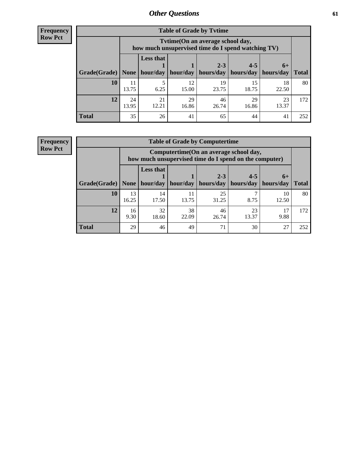**Frequency Row Pct**

r

| <b>Table of Grade by Tvtime</b> |             |                                                                                         |             |             |             |             |              |  |  |  |
|---------------------------------|-------------|-----------------------------------------------------------------------------------------|-------------|-------------|-------------|-------------|--------------|--|--|--|
|                                 |             | Tvtime (On an average school day,<br>how much unsupervised time do I spend watching TV) |             |             |             |             |              |  |  |  |
|                                 |             | <b>Less that</b><br>$2 - 3$<br>$4 - 5$<br>$6+$                                          |             |             |             |             |              |  |  |  |
| Grade(Grade)   None             |             | hour/day                                                                                | hour/day    | hours/day   | hours/day   | hours/day   | <b>Total</b> |  |  |  |
| 10                              | 11<br>13.75 | 6.25                                                                                    | 12<br>15.00 | 19<br>23.75 | 15<br>18.75 | 18<br>22.50 | 80           |  |  |  |
| 12                              | 24<br>13.95 | 21<br>12.21                                                                             | 29<br>16.86 | 46<br>26.74 | 29<br>16.86 | 23<br>13.37 | 172          |  |  |  |
| <b>Total</b>                    | 35          | 26                                                                                      | 41          | 65          | 44          | 41          | 252          |  |  |  |

**Frequency Row Pct**

| <b>Table of Grade by Computertime</b> |             |                                                                                                   |                     |             |             |             |              |  |  |
|---------------------------------------|-------------|---------------------------------------------------------------------------------------------------|---------------------|-------------|-------------|-------------|--------------|--|--|
|                                       |             | Computertime (On an average school day,<br>how much unsupervised time do I spend on the computer) |                     |             |             |             |              |  |  |
|                                       |             | <b>Less that</b>                                                                                  |                     | $2 - 3$     | $4 - 5$     | $6+$        |              |  |  |
| Grade(Grade)                          | None        |                                                                                                   | hour/day   hour/day | hours/day   | hours/day   | hours/day   | <b>Total</b> |  |  |
| 10                                    | 13<br>16.25 | 14<br>17.50                                                                                       | 11<br>13.75         | 25<br>31.25 | 8.75        | 10<br>12.50 | 80           |  |  |
| 12                                    | 16<br>9.30  | 32<br>18.60                                                                                       | 38<br>22.09         | 46<br>26.74 | 23<br>13.37 | 17<br>9.88  | 172          |  |  |
| <b>Total</b>                          | 29          | 46                                                                                                | 49                  | 71          | 30          | 27          | 252          |  |  |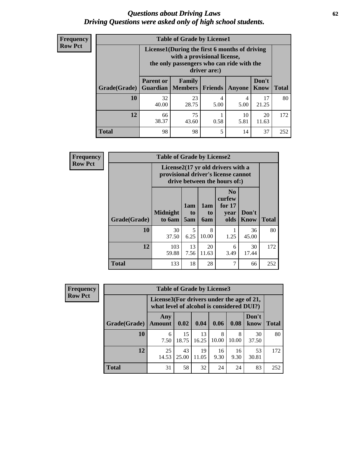#### *Questions about Driving Laws* **62** *Driving Questions were asked only of high school students.*

| <b>Frequency</b> |
|------------------|
| <b>Row Pct</b>   |

| <b>Table of Grade by License1</b> |                                                                 |                                                                                                                                           |                |           |                      |              |  |  |  |
|-----------------------------------|-----------------------------------------------------------------|-------------------------------------------------------------------------------------------------------------------------------------------|----------------|-----------|----------------------|--------------|--|--|--|
|                                   |                                                                 | License1(During the first 6 months of driving<br>with a provisional license,<br>the only passengers who can ride with the<br>driver are:) |                |           |                      |              |  |  |  |
| Grade(Grade)                      | <b>Parent or</b><br><b>Guardian</b>                             | Family<br><b>Members</b>                                                                                                                  | <b>Friends</b> | Anyone    | Don't<br><b>Know</b> | <b>Total</b> |  |  |  |
| 10                                | 32<br>40.00                                                     | 23<br>28.75                                                                                                                               | 4<br>5.00      | 4<br>5.00 | 17<br>21.25          | 80           |  |  |  |
| 12                                | 75<br>10<br>20<br>66<br>38.37<br>0.58<br>5.81<br>43.60<br>11.63 |                                                                                                                                           |                |           |                      |              |  |  |  |
| <b>Total</b>                      | 98                                                              | 98                                                                                                                                        | 5              | 14        | 37                   | 252          |  |  |  |

| <b>Frequency</b> |              | <b>Table of Grade by License2</b>                                                                        |                  |                  |                                                      |                      |              |  |  |  |
|------------------|--------------|----------------------------------------------------------------------------------------------------------|------------------|------------------|------------------------------------------------------|----------------------|--------------|--|--|--|
| <b>Row Pct</b>   |              | License2(17 yr old drivers with a<br>provisional driver's license cannot<br>drive between the hours of:) |                  |                  |                                                      |                      |              |  |  |  |
|                  | Grade(Grade) | <b>Midnight</b><br>to 6am                                                                                | 1am<br>to<br>5am | 1am<br>to<br>6am | N <sub>0</sub><br>curfew<br>for $17$<br>year<br>olds | Don't<br><b>Know</b> | <b>Total</b> |  |  |  |
|                  | 10           | 30<br>37.50                                                                                              | 5<br>6.25        | 8<br>10.00       | 1.25                                                 | 36<br>45.00          | 80           |  |  |  |
|                  | 12           | 103<br>59.88                                                                                             | 13<br>7.56       | 20<br>11.63      | 6<br>3.49                                            | 30<br>17.44          | 172          |  |  |  |
|                  | <b>Total</b> | 133                                                                                                      | 18               | 28               | 7                                                    | 66                   | 252          |  |  |  |

| Frequency      | <b>Table of Grade by License3</b> |                                                                                        |             |             |            |            |               |              |
|----------------|-----------------------------------|----------------------------------------------------------------------------------------|-------------|-------------|------------|------------|---------------|--------------|
| <b>Row Pct</b> |                                   | License3(For drivers under the age of 21,<br>what level of alcohol is considered DUI?) |             |             |            |            |               |              |
|                | Grade(Grade)                      | Any<br><b>Amount</b>                                                                   | 0.02        | 0.04        | 0.06       | 0.08       | Don't<br>know | <b>Total</b> |
|                | 10                                | 6<br>7.50                                                                              | 15<br>18.75 | 13<br>16.25 | 8<br>10.00 | 8<br>10.00 | 30<br>37.50   | 80           |
|                | 12                                | 25<br>14.53                                                                            | 43<br>25.00 | 19<br>11.05 | 16<br>9.30 | 16<br>9.30 | 53<br>30.81   | 172          |
|                | Total                             | 31                                                                                     | 58          | 32          | 24         | 24         | 83            | 252          |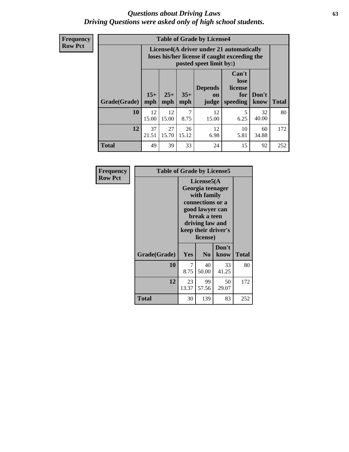#### *Questions about Driving Laws* **63** *Driving Questions were asked only of high school students.*

**Frequency Row Pct**

| <b>Table of Grade by License4</b> |              |                                                                                                                                                      |             |             |            |             |     |  |
|-----------------------------------|--------------|------------------------------------------------------------------------------------------------------------------------------------------------------|-------------|-------------|------------|-------------|-----|--|
|                                   |              | License4(A driver under 21 automatically<br>loses his/her license if caught exceeding the<br>posted speet limit by:)                                 |             |             |            |             |     |  |
| Grade(Grade)                      | $15+$<br>mph | Can't<br>lose<br><b>Depends</b><br>license<br>$25+$<br>$35+$<br>Don't<br>for<br><b>on</b><br><b>Total</b><br>speeding<br>mph<br>know<br>mph<br>judge |             |             |            |             |     |  |
| 10                                | 12<br>15.00  | 12<br>15.00                                                                                                                                          | 7<br>8.75   | 12<br>15.00 | 5<br>6.25  | 32<br>40.00 | 80  |  |
| 12                                | 37<br>21.51  | 27<br>15.70                                                                                                                                          | 26<br>15.12 | 12<br>6.98  | 10<br>5.81 | 60<br>34.88 | 172 |  |
| <b>Total</b>                      | 49           | 39                                                                                                                                                   | 33          | 24          | 15         | 92          | 252 |  |

| Frequency      | <b>Table of Grade by License5</b> |                                                                                                                                                             |                |               |              |  |
|----------------|-----------------------------------|-------------------------------------------------------------------------------------------------------------------------------------------------------------|----------------|---------------|--------------|--|
| <b>Row Pct</b> |                                   | License5(A)<br>Georgia teenager<br>with family<br>connections or a<br>good lawyer can<br>break a teen<br>driving law and<br>keep their driver's<br>license) |                |               |              |  |
|                | Grade(Grade)                      | Yes                                                                                                                                                         | N <sub>0</sub> | Don't<br>know | <b>Total</b> |  |
|                | 10                                | 7<br>8.75                                                                                                                                                   | 40<br>50.00    | 33<br>41.25   | 80           |  |
|                | 12                                | 23<br>13.37                                                                                                                                                 | 99<br>57.56    | 50<br>29.07   | 172          |  |
|                | <b>Total</b>                      | 30                                                                                                                                                          | 139            | 83            | 252          |  |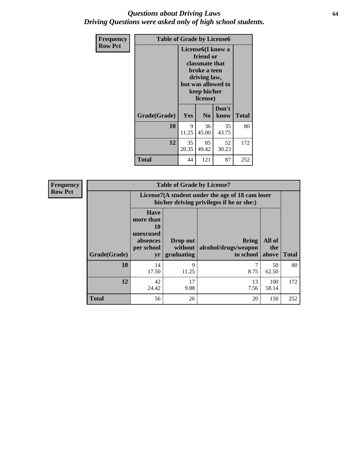### *Questions about Driving Laws* **64** *Driving Questions were asked only of high school students.*

| <b>Frequency</b> | <b>Table of Grade by License6</b> |             |                                                                                                                           |                    |              |  |  |
|------------------|-----------------------------------|-------------|---------------------------------------------------------------------------------------------------------------------------|--------------------|--------------|--|--|
| <b>Row Pct</b>   |                                   |             | License <sub>6</sub> (I know a<br>friend or<br>classmate that<br>broke a teen<br>driving law,<br>keep his/her<br>license) | but was allowed to |              |  |  |
|                  | Grade(Grade)                      | Yes         | N <sub>0</sub>                                                                                                            | Don't<br>know      | <b>Total</b> |  |  |
|                  | 10                                | 9<br>11.25  | 36<br>45.00                                                                                                               | 35<br>43.75        | 80           |  |  |
|                  | 12                                | 35<br>20.35 | 85<br>49.42                                                                                                               | 52<br>30.23        | 172          |  |  |
|                  | <b>Total</b>                      | 44          | 121                                                                                                                       | 87                 | 252          |  |  |

| <b>Frequency</b> |              |                                                                             | <b>Table of Grade by License7</b>                                                             |                                                   |                        |              |  |  |
|------------------|--------------|-----------------------------------------------------------------------------|-----------------------------------------------------------------------------------------------|---------------------------------------------------|------------------------|--------------|--|--|
| <b>Row Pct</b>   |              |                                                                             | License7(A student under the age of 18 cam loser<br>his/her driving privileges if he or she:) |                                                   |                        |              |  |  |
|                  | Grade(Grade) | <b>Have</b><br>more than<br>10<br>unexcused<br>absences<br>per school<br>yr | Drop out<br>without  <br>graduating                                                           | <b>Bring</b><br>alcohol/drugs/weapon<br>to school | All of<br>the<br>above | <b>Total</b> |  |  |
|                  | 10           | 14<br>17.50                                                                 | 9<br>11.25                                                                                    | 8.75                                              | 50<br>62.50            | 80           |  |  |
|                  | 12           | 42<br>24.42                                                                 | 17<br>9.88                                                                                    | 13<br>7.56                                        | 100<br>58.14           | 172          |  |  |
|                  | <b>Total</b> | 56                                                                          | 26                                                                                            | 20                                                | 150                    | 252          |  |  |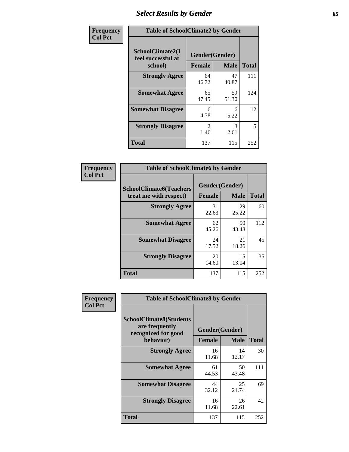# *Select Results by Gender* **65**

| Frequency      | <b>Table of SchoolClimate2 by Gender</b>          |                                 |             |              |  |
|----------------|---------------------------------------------------|---------------------------------|-------------|--------------|--|
| <b>Col Pct</b> | SchoolClimate2(I<br>feel successful at<br>school) | Gender(Gender)<br><b>Female</b> | <b>Male</b> | <b>Total</b> |  |
|                | <b>Strongly Agree</b>                             | 64<br>46.72                     | 47<br>40.87 | 111          |  |
|                | <b>Somewhat Agree</b>                             | 65<br>47.45                     | 59<br>51.30 | 124          |  |
|                | <b>Somewhat Disagree</b>                          | 6<br>4.38                       | 6<br>5.22   | 12           |  |
|                | <b>Strongly Disagree</b>                          | $\mathcal{L}$<br>1.46           | 3<br>2.61   | 5            |  |
|                | <b>Total</b>                                      | 137                             | 115         | 252          |  |

| <b>Frequency</b> | <b>Table of SchoolClimate6 by Gender</b>                 |                                 |             |              |  |
|------------------|----------------------------------------------------------|---------------------------------|-------------|--------------|--|
| <b>Col Pct</b>   | <b>SchoolClimate6(Teachers</b><br>treat me with respect) | Gender(Gender)<br><b>Female</b> | <b>Male</b> | <b>Total</b> |  |
|                  | <b>Strongly Agree</b>                                    | 31<br>22.63                     | 29<br>25.22 | 60           |  |
|                  | <b>Somewhat Agree</b>                                    | 62<br>45.26                     | 50<br>43.48 | 112          |  |
|                  | <b>Somewhat Disagree</b>                                 | 24<br>17.52                     | 21<br>18.26 | 45           |  |
|                  | <b>Strongly Disagree</b>                                 | 20<br>14.60                     | 15<br>13.04 | 35           |  |
|                  | <b>Total</b>                                             | 137                             | 115         | 252          |  |

| Frequency      | <b>Table of SchoolClimate8 by Gender</b>                                             |                                 |             |              |
|----------------|--------------------------------------------------------------------------------------|---------------------------------|-------------|--------------|
| <b>Col Pct</b> | <b>SchoolClimate8(Students</b><br>are frequently<br>recognized for good<br>behavior) | Gender(Gender)<br><b>Female</b> | <b>Male</b> | <b>Total</b> |
|                | <b>Strongly Agree</b>                                                                | 16                              | 14          | 30           |
|                |                                                                                      | 11.68                           | 12.17       |              |
|                | <b>Somewhat Agree</b>                                                                | 61<br>44.53                     | 50<br>43.48 | 111          |
|                | <b>Somewhat Disagree</b>                                                             | 44<br>32.12                     | 25<br>21.74 | 69           |
|                | <b>Strongly Disagree</b>                                                             | 16<br>11.68                     | 26<br>22.61 | 42           |
|                | <b>Total</b>                                                                         | 137                             | 115         | 252          |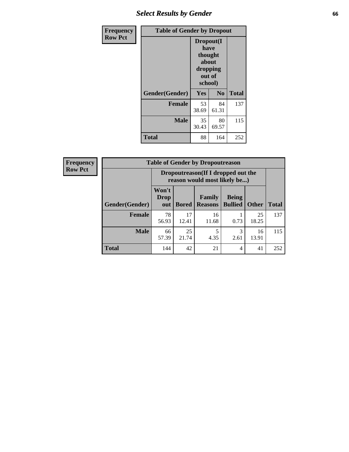# *Select Results by Gender* **66**

| Frequency      | <b>Table of Gender by Dropout</b> |                                                                        |                |              |
|----------------|-----------------------------------|------------------------------------------------------------------------|----------------|--------------|
| <b>Row Pct</b> |                                   | Dropout(I<br>have<br>thought<br>about<br>dropping<br>out of<br>school) |                |              |
|                | Gender(Gender)                    | Yes                                                                    | N <sub>0</sub> | <b>Total</b> |
|                | <b>Female</b>                     | 53<br>38.69                                                            | 84<br>61.31    | 137          |
|                | <b>Male</b>                       | 35<br>30.43                                                            | 80<br>69.57    | 115          |
|                | <b>Total</b>                      | 88                                                                     | 164            | 252          |

| <b>Frequency</b> | <b>Table of Gender by Dropoutreason</b> |                                                                    |              |                                 |                                |              |              |
|------------------|-----------------------------------------|--------------------------------------------------------------------|--------------|---------------------------------|--------------------------------|--------------|--------------|
| <b>Row Pct</b>   |                                         | Dropoutreason(If I dropped out the<br>reason would most likely be) |              |                                 |                                |              |              |
|                  | Gender(Gender)                          | Won't<br><b>Drop</b><br>out                                        | <b>Bored</b> | <b>Family</b><br><b>Reasons</b> | <b>Being</b><br><b>Bullied</b> | <b>Other</b> | <b>Total</b> |
|                  | <b>Female</b>                           | 78<br>56.93                                                        | 17<br>12.41  | 16<br>11.68                     | 0.73                           | 25<br>18.25  | 137          |
|                  | <b>Male</b>                             | 66<br>57.39                                                        | 25<br>21.74  | 4.35                            | 3<br>2.61                      | 16<br>13.91  | 115          |
|                  | <b>Total</b>                            | 144                                                                | 42           | 21                              | 4                              | 41           | 252          |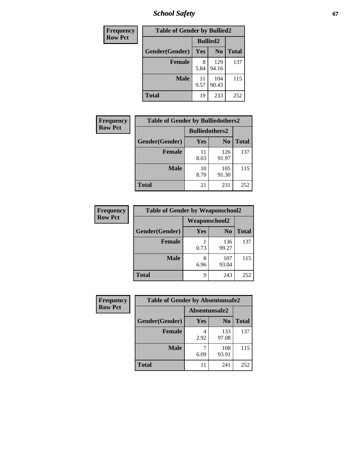*School Safety* **67**

| Frequency      | <b>Table of Gender by Bullied2</b> |                 |                |              |
|----------------|------------------------------------|-----------------|----------------|--------------|
| <b>Row Pct</b> |                                    | <b>Bullied2</b> |                |              |
|                | Gender(Gender)                     | Yes             | N <sub>0</sub> | <b>Total</b> |
|                | <b>Female</b>                      | 8<br>5.84       | 129<br>94.16   | 137          |
|                | <b>Male</b>                        | 11<br>9.57      | 104<br>90.43   | 115          |
|                | <b>Total</b>                       | 19              | 233            | 252          |

| <b>Frequency</b> | <b>Table of Gender by Bulliedothers2</b> |                       |                |              |
|------------------|------------------------------------------|-----------------------|----------------|--------------|
| <b>Row Pct</b>   |                                          | <b>Bulliedothers2</b> |                |              |
|                  | Gender(Gender)                           | Yes                   | N <sub>0</sub> | <b>Total</b> |
|                  | <b>Female</b>                            | 11<br>8.03            | 126<br>91.97   | 137          |
|                  | <b>Male</b>                              | 10<br>8.70            | 105<br>91.30   | 115          |
|                  | <b>Total</b>                             | 21                    | 231            | 252          |

| Frequency      | <b>Table of Gender by Weaponschool2</b> |                      |                |              |
|----------------|-----------------------------------------|----------------------|----------------|--------------|
| <b>Row Pct</b> |                                         | <b>Weaponschool2</b> |                |              |
|                | Gender(Gender)                          | Yes                  | N <sub>0</sub> | <b>Total</b> |
|                | <b>Female</b>                           | 0.73                 | 136<br>99.27   | 137          |
|                | <b>Male</b>                             | 8<br>6.96            | 107<br>93.04   | 115          |
|                | <b>Total</b>                            | 9                    | 243            | 252          |

| Frequency      | <b>Table of Gender by Absentunsafe2</b> |               |                |              |
|----------------|-----------------------------------------|---------------|----------------|--------------|
| <b>Row Pct</b> |                                         | Absentunsafe2 |                |              |
|                | Gender(Gender)                          | Yes           | N <sub>0</sub> | <b>Total</b> |
|                | <b>Female</b>                           | 2.92          | 133<br>97.08   | 137          |
|                | <b>Male</b>                             | 6.09          | 108<br>93.91   | 115          |
|                | <b>Total</b>                            | 11            | 241            | 252          |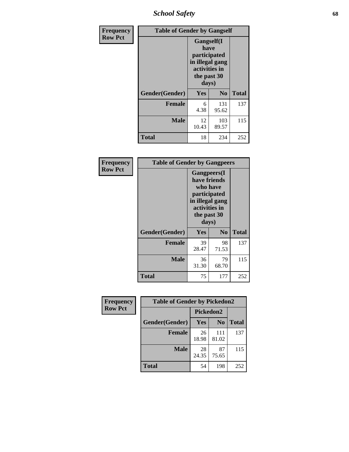*School Safety* **68**

| Frequency      | <b>Table of Gender by Gangself</b> |                                                                                                |                |              |
|----------------|------------------------------------|------------------------------------------------------------------------------------------------|----------------|--------------|
| <b>Row Pct</b> |                                    | Gangself(I<br>have<br>participated<br>in illegal gang<br>activities in<br>the past 30<br>days) |                |              |
|                | Gender(Gender)                     | Yes                                                                                            | N <sub>0</sub> | <b>Total</b> |
|                | <b>Female</b>                      | 6<br>4.38                                                                                      | 131<br>95.62   | 137          |
|                | <b>Male</b>                        | 12<br>10.43                                                                                    | 103<br>89.57   | 115          |
|                | <b>Total</b>                       | 18                                                                                             | 234            | 252          |

| Frequency      | <b>Table of Gender by Gangpeers</b> |                                                                                                                             |                |              |
|----------------|-------------------------------------|-----------------------------------------------------------------------------------------------------------------------------|----------------|--------------|
| <b>Row Pct</b> |                                     | <b>Gangpeers</b> (I<br>have friends<br>who have<br>participated<br>in illegal gang<br>activities in<br>the past 30<br>days) |                |              |
|                | Gender(Gender)                      | <b>Yes</b>                                                                                                                  | N <sub>0</sub> | <b>Total</b> |
|                | <b>Female</b>                       | 39<br>28.47                                                                                                                 | 98<br>71.53    | 137          |
|                | <b>Male</b>                         | 36<br>31.30                                                                                                                 | 79<br>68.70    | 115          |
|                | Total                               | 75                                                                                                                          | 177            | 252          |

| Frequency      | <b>Table of Gender by Pickedon2</b> |             |                |              |
|----------------|-------------------------------------|-------------|----------------|--------------|
| <b>Row Pct</b> |                                     | Pickedon2   |                |              |
|                | Gender(Gender)                      | <b>Yes</b>  | N <sub>0</sub> | <b>Total</b> |
|                | <b>Female</b>                       | 26<br>18.98 | 111<br>81.02   | 137          |
|                | <b>Male</b>                         | 28<br>24.35 | 87<br>75.65    | 115          |
|                | <b>Total</b>                        | 54          | 198            | 252          |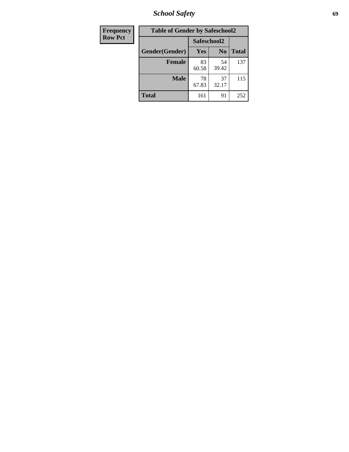*School Safety* **69**

| Frequency      | <b>Table of Gender by Safeschool2</b> |             |                |              |  |
|----------------|---------------------------------------|-------------|----------------|--------------|--|
| <b>Row Pct</b> |                                       |             | Safeschool2    |              |  |
|                | Gender(Gender)                        | Yes         | N <sub>0</sub> | <b>Total</b> |  |
|                | <b>Female</b>                         | 83<br>60.58 | 54<br>39.42    | 137          |  |
|                | <b>Male</b>                           | 78<br>67.83 | 37<br>32.17    | 115          |  |
|                | <b>Total</b>                          | 161         | 91             | 252          |  |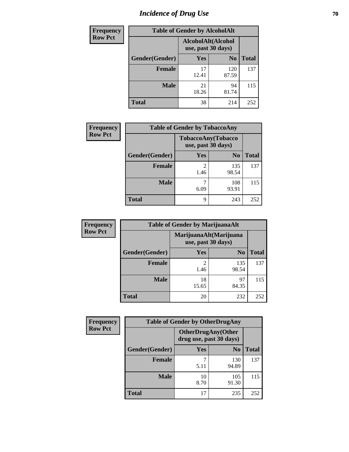# *Incidence of Drug Use* **70**

| <b>Frequency</b> | <b>Table of Gender by AlcoholAlt</b> |                                          |                |              |
|------------------|--------------------------------------|------------------------------------------|----------------|--------------|
| <b>Row Pct</b>   |                                      | AlcoholAlt(Alcohol<br>use, past 30 days) |                |              |
|                  | Gender(Gender)                       | Yes                                      | N <sub>0</sub> | <b>Total</b> |
|                  | <b>Female</b>                        | 17<br>12.41                              | 120<br>87.59   | 137          |
|                  | <b>Male</b>                          | 21<br>18.26                              | 94<br>81.74    | 115          |
|                  | <b>Total</b>                         | 38                                       | 214            | 252          |

| <b>Frequency</b> |                | <b>Table of Gender by TobaccoAny</b> |                    |              |
|------------------|----------------|--------------------------------------|--------------------|--------------|
| <b>Row Pct</b>   |                | use, past 30 days)                   | TobaccoAny(Tobacco |              |
|                  | Gender(Gender) | Yes                                  | N <sub>0</sub>     | <b>Total</b> |
|                  | <b>Female</b>  | 2<br>1.46                            | 135<br>98.54       | 137          |
|                  | <b>Male</b>    | 6.09                                 | 108<br>93.91       | 115          |
|                  | <b>Total</b>   | 9                                    | 243                | 252          |

| <b>Frequency</b> | <b>Table of Gender by MarijuanaAlt</b> |                                              |                |              |
|------------------|----------------------------------------|----------------------------------------------|----------------|--------------|
| <b>Row Pct</b>   |                                        | MarijuanaAlt(Marijuana<br>use, past 30 days) |                |              |
|                  | Gender(Gender)                         | <b>Yes</b>                                   | N <sub>0</sub> | <b>Total</b> |
|                  | <b>Female</b>                          | 2<br>1.46                                    | 135<br>98.54   | 137          |
|                  | <b>Male</b>                            | 18<br>15.65                                  | 97<br>84.35    | 115          |
|                  | <b>Total</b>                           | 20                                           | 232            | 252          |

| <b>Frequency</b> | <b>Table of Gender by OtherDrugAny</b> |                                                      |                |              |
|------------------|----------------------------------------|------------------------------------------------------|----------------|--------------|
| <b>Row Pct</b>   |                                        | <b>OtherDrugAny(Other</b><br>drug use, past 30 days) |                |              |
|                  | Gender(Gender)                         | <b>Yes</b>                                           | N <sub>0</sub> | <b>Total</b> |
|                  | <b>Female</b>                          | 5.11                                                 | 130<br>94.89   | 137          |
|                  | <b>Male</b>                            | 10<br>8.70                                           | 105<br>91.30   | 115          |
|                  | <b>Total</b>                           | 17                                                   | 235            | 252          |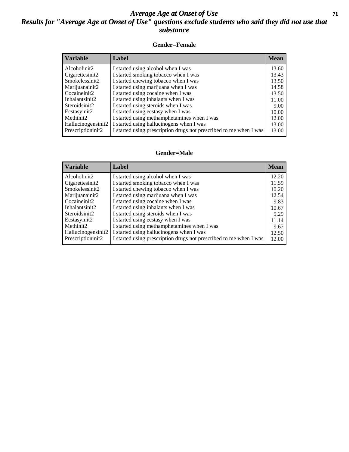### *Average Age at Onset of Use* **71** *Results for "Average Age at Onset of Use" questions exclude students who said they did not use that substance*

#### **Gender=Female**

| <i><b>Variable</b></i>          | <b>Label</b>                                                       | <b>Mean</b> |
|---------------------------------|--------------------------------------------------------------------|-------------|
| Alcoholinit2                    | I started using alcohol when I was                                 | 13.60       |
| Cigarettesinit2                 | I started smoking tobacco when I was                               | 13.43       |
| Smokelessinit2                  | I started chewing tobacco when I was                               | 13.50       |
| Marijuanainit2                  | I started using marijuana when I was                               | 14.58       |
| Cocaineinit2                    | I started using cocaine when I was                                 | 13.50       |
| Inhalantsinit2                  | I started using inhalants when I was                               | 11.00       |
| Steroidsinit2                   | I started using steroids when I was                                | 9.00        |
| Ecstasyinit2                    | I started using ecstasy when I was                                 | 10.00       |
| Methinit2                       | I started using methamphetamines when I was                        | 12.00       |
| Hallucinogensinit2              | I started using hallucinogens when I was                           | 13.00       |
| Prescription in it <sub>2</sub> | I started using prescription drugs not prescribed to me when I was | 13.00       |

#### **Gender=Male**

| <b>Variable</b>    | Label                                                              | <b>Mean</b> |
|--------------------|--------------------------------------------------------------------|-------------|
| Alcoholinit2       | I started using alcohol when I was                                 | 12.20       |
| Cigarettesinit2    | I started smoking tobacco when I was                               | 11.59       |
| Smokelessinit2     | I started chewing tobacco when I was                               | 10.20       |
| Marijuanainit2     | I started using marijuana when I was                               | 12.54       |
| Cocaineinit2       | I started using cocaine when I was                                 | 9.83        |
| Inhalantsinit2     | I started using inhalants when I was                               | 10.67       |
| Steroidsinit2      | I started using steroids when I was                                | 9.29        |
| Ecstasyinit2       | I started using ecstasy when I was                                 | 11.14       |
| Methinit2          | I started using methamphetamines when I was                        | 9.67        |
| Hallucinogensinit2 | I started using hallucinogens when I was                           | 12.50       |
| Prescriptioninit2  | I started using prescription drugs not prescribed to me when I was | 12.00       |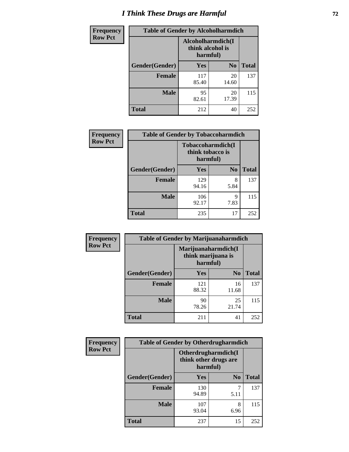# *I Think These Drugs are Harmful* **72**

| <b>Frequency</b> | <b>Table of Gender by Alcoholharmdich</b> |                                                   |                |              |
|------------------|-------------------------------------------|---------------------------------------------------|----------------|--------------|
| <b>Row Pct</b>   |                                           | Alcoholharmdich(I<br>think alcohol is<br>harmful) |                |              |
|                  | Gender(Gender)                            | Yes                                               | N <sub>0</sub> | <b>Total</b> |
|                  | <b>Female</b>                             | 117<br>85.40                                      | 20<br>14.60    | 137          |
|                  | <b>Male</b>                               | 95<br>82.61                                       | 20<br>17.39    | 115          |
|                  | Total                                     | 212                                               | 40             | 252          |

| Frequency      | <b>Table of Gender by Tobaccoharmdich</b> |                              |                           |              |
|----------------|-------------------------------------------|------------------------------|---------------------------|--------------|
| <b>Row Pct</b> |                                           | think tobacco is<br>harmful) | <b>Tobaccoharmdich</b> (I |              |
|                | Gender(Gender)                            | Yes                          | N <sub>0</sub>            | <b>Total</b> |
|                | <b>Female</b>                             | 129<br>94.16                 | 8<br>5.84                 | 137          |
|                | <b>Male</b>                               | 106<br>92.17                 | 9<br>7.83                 | 115          |
|                | <b>Total</b>                              | 235                          | 17                        | 252          |

| Frequency      | <b>Table of Gender by Marijuanaharmdich</b> |                                                       |                |              |  |
|----------------|---------------------------------------------|-------------------------------------------------------|----------------|--------------|--|
| <b>Row Pct</b> |                                             | Marijuanaharmdich(I<br>think marijuana is<br>harmful) |                |              |  |
|                | Gender(Gender)                              | <b>Yes</b>                                            | N <sub>0</sub> | <b>Total</b> |  |
|                | <b>Female</b>                               | 121<br>88.32                                          | 16<br>11.68    | 137          |  |
|                | <b>Male</b>                                 | 90<br>78.26                                           | 25<br>21.74    | 115          |  |
|                | <b>Total</b>                                | 211                                                   | 41             | 252          |  |

| <b>Frequency</b> | <b>Table of Gender by Otherdrugharmdich</b> |                                                          |                |              |  |
|------------------|---------------------------------------------|----------------------------------------------------------|----------------|--------------|--|
| <b>Row Pct</b>   |                                             | Otherdrugharmdich(I<br>think other drugs are<br>harmful) |                |              |  |
|                  | Gender(Gender)                              | <b>Yes</b>                                               | N <sub>0</sub> | <b>Total</b> |  |
|                  | <b>Female</b>                               | 130<br>94.89                                             | 5.11           | 137          |  |
|                  | <b>Male</b>                                 | 107<br>93.04                                             | 8<br>6.96      | 115          |  |
|                  | <b>Total</b>                                | 237                                                      | 15             | 252          |  |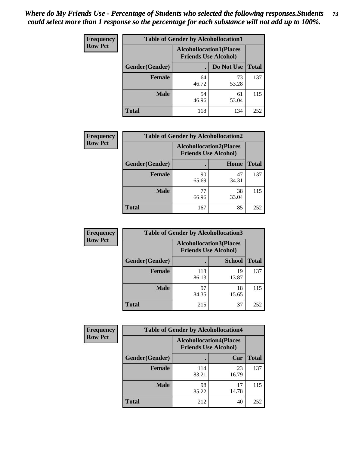| <b>Frequency</b> | <b>Table of Gender by Alcohollocation1</b> |                                                               |             |              |
|------------------|--------------------------------------------|---------------------------------------------------------------|-------------|--------------|
| <b>Row Pct</b>   |                                            | <b>Alcohollocation1(Places</b><br><b>Friends Use Alcohol)</b> |             |              |
|                  | Gender(Gender)                             |                                                               | Do Not Use  | <b>Total</b> |
|                  | <b>Female</b>                              | 64<br>46.72                                                   | 73<br>53.28 | 137          |
|                  | <b>Male</b>                                | 54<br>46.96                                                   | 61<br>53.04 | 115          |
|                  | <b>Total</b>                               | 118                                                           | 134         | 252          |

| <b>Frequency</b> | <b>Table of Gender by Alcohollocation2</b> |             |                                                               |              |
|------------------|--------------------------------------------|-------------|---------------------------------------------------------------|--------------|
| <b>Row Pct</b>   |                                            |             | <b>Alcohollocation2(Places</b><br><b>Friends Use Alcohol)</b> |              |
|                  | Gender(Gender)                             |             | Home                                                          | <b>Total</b> |
|                  | <b>Female</b>                              | 90<br>65.69 | 47<br>34.31                                                   | 137          |
|                  | <b>Male</b>                                | 77<br>66.96 | 38<br>33.04                                                   | 115          |
|                  | <b>Total</b>                               | 167         | 85                                                            | 252          |

| Frequency      | <b>Table of Gender by Alcohollocation3</b> |                                                               |               |              |
|----------------|--------------------------------------------|---------------------------------------------------------------|---------------|--------------|
| <b>Row Pct</b> |                                            | <b>Alcohollocation3(Places</b><br><b>Friends Use Alcohol)</b> |               |              |
|                | Gender(Gender)                             |                                                               | <b>School</b> | <b>Total</b> |
|                | <b>Female</b>                              | 118<br>86.13                                                  | 19<br>13.87   | 137          |
|                | <b>Male</b>                                | 97<br>84.35                                                   | 18<br>15.65   | 115          |
|                | <b>Total</b>                               | 215                                                           | 37            | 252          |

| Frequency      |                | <b>Table of Gender by Alcohollocation4</b>                    |             |              |  |
|----------------|----------------|---------------------------------------------------------------|-------------|--------------|--|
| <b>Row Pct</b> |                | <b>Alcohollocation4(Places</b><br><b>Friends Use Alcohol)</b> |             |              |  |
|                | Gender(Gender) |                                                               | Car         | <b>Total</b> |  |
|                | Female         | 114<br>83.21                                                  | 23<br>16.79 | 137          |  |
|                | <b>Male</b>    | 98<br>85.22                                                   | 17<br>14.78 | 115          |  |
|                | <b>Total</b>   | 212                                                           | 40          | 252          |  |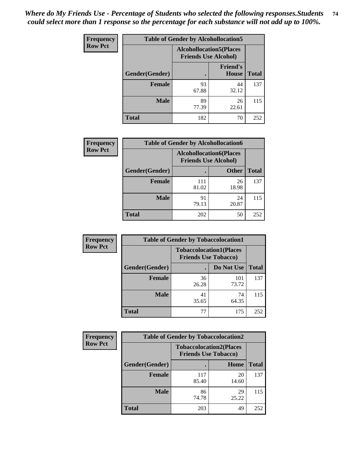| <b>Frequency</b> | <b>Table of Gender by Alcohollocation5</b> |                                                                |                                 |              |
|------------------|--------------------------------------------|----------------------------------------------------------------|---------------------------------|--------------|
| <b>Row Pct</b>   |                                            | <b>Alcohollocation5</b> (Places<br><b>Friends Use Alcohol)</b> |                                 |              |
|                  | Gender(Gender)                             |                                                                | <b>Friend's</b><br><b>House</b> | <b>Total</b> |
|                  | <b>Female</b>                              | 93<br>67.88                                                    | 44<br>32.12                     | 137          |
|                  | <b>Male</b>                                | 89<br>77.39                                                    | 26<br>22.61                     | 115          |
|                  | <b>Total</b>                               | 182                                                            | 70                              | 252          |

| Frequency      | <b>Table of Gender by Alcohollocation6</b> |                                                               |              |              |
|----------------|--------------------------------------------|---------------------------------------------------------------|--------------|--------------|
| <b>Row Pct</b> |                                            | <b>Alcohollocation6(Places</b><br><b>Friends Use Alcohol)</b> |              |              |
|                | Gender(Gender)                             |                                                               | <b>Other</b> | <b>Total</b> |
|                | <b>Female</b>                              | 111<br>81.02                                                  | 26<br>18.98  | 137          |
|                | <b>Male</b>                                | 91<br>79.13                                                   | 24<br>20.87  | 115          |
|                | <b>Total</b>                               | 202                                                           | 50           | 252          |

| Frequency      | <b>Table of Gender by Tobaccolocation1</b> |                                                               |              |              |  |
|----------------|--------------------------------------------|---------------------------------------------------------------|--------------|--------------|--|
| <b>Row Pct</b> |                                            | <b>Tobaccolocation1(Places</b><br><b>Friends Use Tobacco)</b> |              |              |  |
|                | Gender(Gender)                             |                                                               | Do Not Use   | <b>Total</b> |  |
|                | Female                                     | 36<br>26.28                                                   | 101<br>73.72 | 137          |  |
|                | <b>Male</b>                                | 41<br>35.65                                                   | 74<br>64.35  | 115          |  |
|                | <b>Total</b>                               | 77                                                            | 175          | 252          |  |

| <b>Frequency</b> | <b>Table of Gender by Tobaccolocation2</b> |                                                               |             |              |  |
|------------------|--------------------------------------------|---------------------------------------------------------------|-------------|--------------|--|
| <b>Row Pct</b>   |                                            | <b>Tobaccolocation2(Places</b><br><b>Friends Use Tobacco)</b> |             |              |  |
|                  | Gender(Gender)                             |                                                               | Home        | <b>Total</b> |  |
|                  | Female                                     | 117<br>85.40                                                  | 20<br>14.60 | 137          |  |
|                  | <b>Male</b>                                | 86<br>74.78                                                   | 29<br>25.22 | 115          |  |
|                  | <b>Total</b>                               | 203                                                           | 49          | 252          |  |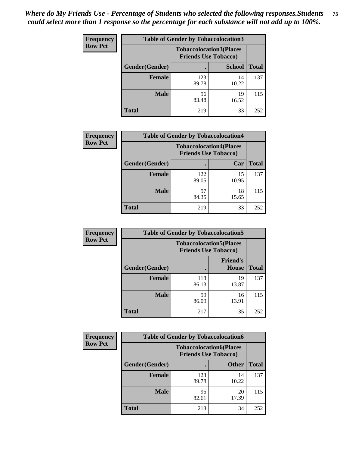| <b>Frequency</b> | <b>Table of Gender by Tobaccolocation3</b> |                             |                                |              |
|------------------|--------------------------------------------|-----------------------------|--------------------------------|--------------|
| <b>Row Pct</b>   |                                            | <b>Friends Use Tobacco)</b> | <b>Tobaccolocation3(Places</b> |              |
|                  | Gender(Gender)                             |                             | <b>School</b>                  | <b>Total</b> |
|                  | <b>Female</b>                              | 123<br>89.78                | 14<br>10.22                    | 137          |
|                  | <b>Male</b>                                | 96<br>83.48                 | 19<br>16.52                    | 115          |
|                  | <b>Total</b>                               | 219                         | 33                             | 252          |

| <b>Frequency</b> | <b>Table of Gender by Tobaccolocation4</b> |                                                               |             |              |
|------------------|--------------------------------------------|---------------------------------------------------------------|-------------|--------------|
| <b>Row Pct</b>   |                                            | <b>Tobaccolocation4(Places</b><br><b>Friends Use Tobacco)</b> |             |              |
|                  | Gender(Gender)                             |                                                               | Car         | <b>Total</b> |
|                  | <b>Female</b>                              | 122<br>89.05                                                  | 15<br>10.95 | 137          |
|                  | <b>Male</b>                                | 97<br>84.35                                                   | 18<br>15.65 | 115          |
|                  | <b>Total</b>                               | 219                                                           | 33          | 252          |

| <b>Frequency</b> | <b>Table of Gender by Tobaccolocation5</b> |                                                               |                          |              |
|------------------|--------------------------------------------|---------------------------------------------------------------|--------------------------|--------------|
| <b>Row Pct</b>   |                                            | <b>Tobaccolocation5(Places</b><br><b>Friends Use Tobacco)</b> |                          |              |
|                  | Gender(Gender)                             |                                                               | <b>Friend's</b><br>House | <b>Total</b> |
|                  | Female                                     | 118<br>86.13                                                  | 19<br>13.87              | 137          |
|                  | <b>Male</b>                                | 99<br>86.09                                                   | 16<br>13.91              | 115          |
|                  | <b>Total</b>                               | 217                                                           | 35                       | 252          |

| <b>Frequency</b><br><b>Table of Gender by Tobaccolocation6</b> |                |                                                               |              |              |
|----------------------------------------------------------------|----------------|---------------------------------------------------------------|--------------|--------------|
| <b>Row Pct</b>                                                 |                | <b>Tobaccolocation6(Places</b><br><b>Friends Use Tobacco)</b> |              |              |
|                                                                | Gender(Gender) |                                                               | <b>Other</b> | <b>Total</b> |
|                                                                | Female         | 123<br>89.78                                                  | 14<br>10.22  | 137          |
|                                                                | <b>Male</b>    | 95<br>82.61                                                   | 20<br>17.39  | 115          |
|                                                                | <b>Total</b>   | 218                                                           | 34           | 252          |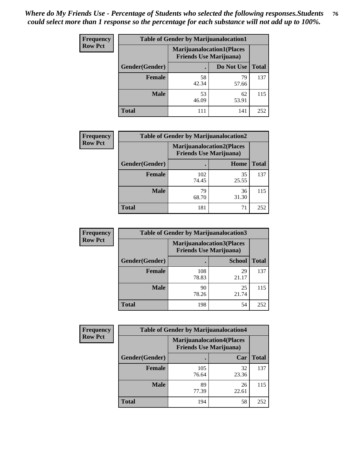| <b>Frequency</b> | <b>Table of Gender by Marijuanalocation1</b> |                                                                    |             |              |
|------------------|----------------------------------------------|--------------------------------------------------------------------|-------------|--------------|
| <b>Row Pct</b>   |                                              | <b>Marijuanalocation1(Places</b><br><b>Friends Use Marijuana</b> ) |             |              |
|                  | Gender(Gender)                               |                                                                    | Do Not Use  | <b>Total</b> |
|                  | <b>Female</b>                                | 58<br>42.34                                                        | 79<br>57.66 | 137          |
|                  | <b>Male</b>                                  | 53<br>46.09                                                        | 62<br>53.91 | 115          |
|                  | Total                                        | 111                                                                | 141         | 252          |

| <b>Frequency</b> | <b>Table of Gender by Marijuanalocation2</b> |                                                                    |             |              |
|------------------|----------------------------------------------|--------------------------------------------------------------------|-------------|--------------|
| <b>Row Pct</b>   |                                              | <b>Marijuanalocation2(Places</b><br><b>Friends Use Marijuana</b> ) |             |              |
|                  | Gender(Gender)                               |                                                                    | Home        | <b>Total</b> |
|                  | Female                                       | 102<br>74.45                                                       | 35<br>25.55 | 137          |
|                  | <b>Male</b>                                  | 79<br>68.70                                                        | 36<br>31.30 | 115          |
|                  | <b>Total</b>                                 | 181                                                                | 71          | 252          |

| <b>Frequency</b> |                | <b>Table of Gender by Marijuanalocation3</b>                       |               |              |
|------------------|----------------|--------------------------------------------------------------------|---------------|--------------|
| <b>Row Pct</b>   |                | <b>Marijuanalocation3(Places</b><br><b>Friends Use Marijuana</b> ) |               |              |
|                  | Gender(Gender) |                                                                    | <b>School</b> | <b>Total</b> |
|                  | Female         | 108<br>78.83                                                       | 29<br>21.17   | 137          |
|                  | <b>Male</b>    | 90<br>78.26                                                        | 25<br>21.74   | 115          |
|                  | <b>Total</b>   | 198                                                                | 54            | 252          |

| <b>Frequency</b> | <b>Table of Gender by Marijuanalocation4</b> |                                |                                  |              |  |
|------------------|----------------------------------------------|--------------------------------|----------------------------------|--------------|--|
| <b>Row Pct</b>   |                                              | <b>Friends Use Marijuana</b> ) | <b>Marijuanalocation4(Places</b> |              |  |
|                  | Gender(Gender)                               |                                | Car                              | <b>Total</b> |  |
|                  | <b>Female</b>                                | 105<br>76.64                   | 32<br>23.36                      | 137          |  |
|                  | <b>Male</b>                                  | 89<br>77.39                    | 26<br>22.61                      | 115          |  |
|                  | <b>Total</b>                                 | 194                            | 58                               | 252          |  |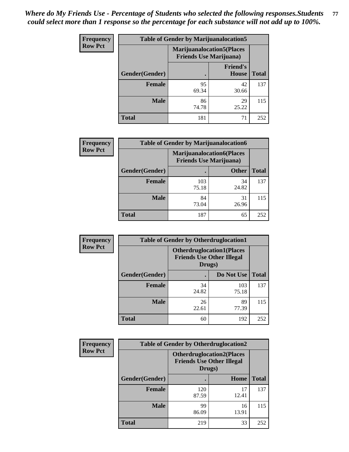| <b>Frequency</b> | <b>Table of Gender by Marijuanalocation5</b> |                                                                     |                                 |              |
|------------------|----------------------------------------------|---------------------------------------------------------------------|---------------------------------|--------------|
| <b>Row Pct</b>   |                                              | <b>Marijuanalocation5</b> (Places<br><b>Friends Use Marijuana</b> ) |                                 |              |
|                  | Gender(Gender)                               |                                                                     | <b>Friend's</b><br><b>House</b> | <b>Total</b> |
|                  | <b>Female</b>                                | 95<br>69.34                                                         | 42<br>30.66                     | 137          |
|                  | <b>Male</b>                                  | 86<br>74.78                                                         | 29<br>25.22                     | 115          |
|                  | <b>Total</b>                                 | 181                                                                 | 71                              | 252          |

| <b>Frequency</b> | <b>Table of Gender by Marijuanalocation6</b> |                                |                                  |              |
|------------------|----------------------------------------------|--------------------------------|----------------------------------|--------------|
| <b>Row Pct</b>   |                                              | <b>Friends Use Marijuana</b> ) | <b>Marijuanalocation6(Places</b> |              |
|                  | Gender(Gender)                               |                                | <b>Other</b>                     | <b>Total</b> |
|                  | <b>Female</b>                                | 103<br>75.18                   | 34<br>24.82                      | 137          |
|                  | <b>Male</b>                                  | 84<br>73.04                    | 31<br>26.96                      | 115          |
|                  | <b>Total</b>                                 | 187                            | 65                               | 252          |

| <b>Frequency</b> | <b>Table of Gender by Otherdruglocation1</b> |                                            |                                  |              |
|------------------|----------------------------------------------|--------------------------------------------|----------------------------------|--------------|
| <b>Row Pct</b>   |                                              | <b>Friends Use Other Illegal</b><br>Drugs) | <b>Otherdruglocation1(Places</b> |              |
|                  | Gender(Gender)                               |                                            | Do Not Use                       | <b>Total</b> |
|                  | <b>Female</b>                                | 34<br>24.82                                | 103<br>75.18                     | 137          |
|                  | <b>Male</b>                                  | 26<br>22.61                                | 89<br>77.39                      | 115          |
|                  | <b>Total</b>                                 | 60                                         | 192                              | 252          |

| <b>Frequency</b> | <b>Table of Gender by Otherdruglocation2</b> |                                            |                                  |              |
|------------------|----------------------------------------------|--------------------------------------------|----------------------------------|--------------|
| <b>Row Pct</b>   |                                              | <b>Friends Use Other Illegal</b><br>Drugs) | <b>Otherdruglocation2(Places</b> |              |
|                  | Gender(Gender)                               |                                            | Home                             | <b>Total</b> |
|                  | Female                                       | 120<br>87.59                               | 17<br>12.41                      | 137          |
|                  | <b>Male</b>                                  | 99<br>86.09                                | 16<br>13.91                      | 115          |
|                  | <b>Total</b>                                 | 219                                        | 33                               | 252          |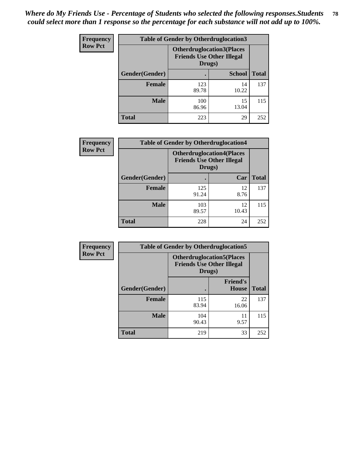| <b>Frequency</b> | <b>Table of Gender by Otherdruglocation3</b> |                                                                                |               |              |
|------------------|----------------------------------------------|--------------------------------------------------------------------------------|---------------|--------------|
| <b>Row Pct</b>   |                                              | <b>Otherdruglocation3(Places</b><br><b>Friends Use Other Illegal</b><br>Drugs) |               |              |
|                  | Gender(Gender)                               |                                                                                | <b>School</b> | <b>Total</b> |
|                  | <b>Female</b>                                | 123<br>89.78                                                                   | 14<br>10.22   | 137          |
|                  | <b>Male</b>                                  | 100<br>86.96                                                                   | 15<br>13.04   | 115          |
|                  | <b>Total</b>                                 | 223                                                                            | 29            | 252          |

| <b>Frequency</b> | <b>Table of Gender by Otherdruglocation4</b> |                                            |                                  |              |
|------------------|----------------------------------------------|--------------------------------------------|----------------------------------|--------------|
| <b>Row Pct</b>   |                                              | <b>Friends Use Other Illegal</b><br>Drugs) | <b>Otherdruglocation4(Places</b> |              |
|                  | Gender(Gender)                               |                                            | Car                              | <b>Total</b> |
|                  | <b>Female</b>                                | 125<br>91.24                               | 12<br>8.76                       | 137          |
|                  | <b>Male</b>                                  | 103<br>89.57                               | 12<br>10.43                      | 115          |
|                  | <b>Total</b>                                 | 228                                        | 24                               | 252          |

| <b>Frequency</b> | <b>Table of Gender by Otherdruglocation5</b> |                                                                                |                                 |              |
|------------------|----------------------------------------------|--------------------------------------------------------------------------------|---------------------------------|--------------|
| <b>Row Pct</b>   |                                              | <b>Otherdruglocation5(Places</b><br><b>Friends Use Other Illegal</b><br>Drugs) |                                 |              |
|                  | Gender(Gender)                               |                                                                                | <b>Friend's</b><br><b>House</b> | <b>Total</b> |
|                  | <b>Female</b>                                | 115<br>83.94                                                                   | 22<br>16.06                     | 137          |
|                  | <b>Male</b>                                  | 104<br>90.43                                                                   | 11<br>9.57                      | 115          |
|                  | <b>Total</b>                                 | 219                                                                            | 33                              | 252          |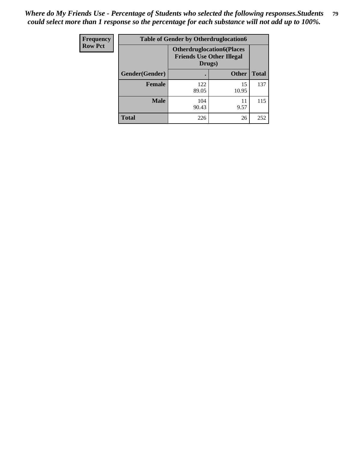| <b>Frequency</b> | <b>Table of Gender by Otherdruglocation6</b> |                                            |                                  |              |
|------------------|----------------------------------------------|--------------------------------------------|----------------------------------|--------------|
| <b>Row Pct</b>   |                                              | <b>Friends Use Other Illegal</b><br>Drugs) | <b>Otherdruglocation6(Places</b> |              |
|                  | Gender(Gender)                               |                                            | <b>Other</b>                     | <b>Total</b> |
|                  | <b>Female</b>                                | 122<br>89.05                               | 15<br>10.95                      | 137          |
|                  | <b>Male</b>                                  | 104<br>90.43                               | 11<br>9.57                       | 115          |
|                  | <b>Total</b>                                 | 226                                        | 26                               | 252          |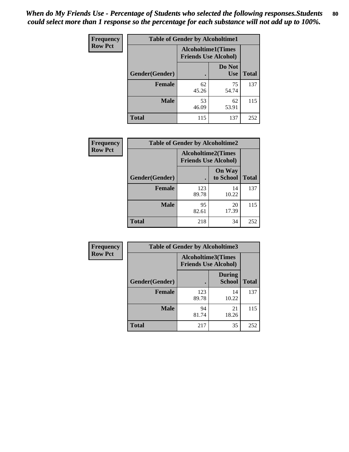| <b>Frequency</b> | <b>Table of Gender by Alcoholtime1</b> |                                                          |                      |              |
|------------------|----------------------------------------|----------------------------------------------------------|----------------------|--------------|
| <b>Row Pct</b>   |                                        | <b>Alcoholtime1(Times</b><br><b>Friends Use Alcohol)</b> |                      |              |
|                  | Gender(Gender)                         | $\bullet$                                                | Do Not<br><b>Use</b> | <b>Total</b> |
|                  | <b>Female</b>                          | 62<br>45.26                                              | 75<br>54.74          | 137          |
|                  | <b>Male</b>                            | 53<br>46.09                                              | 62<br>53.91          | 115          |
|                  | <b>Total</b>                           | 115                                                      | 137                  | 252          |

| Frequency      | <b>Table of Gender by Alcoholtime2</b> |                                                          |                            |              |
|----------------|----------------------------------------|----------------------------------------------------------|----------------------------|--------------|
| <b>Row Pct</b> |                                        | <b>Alcoholtime2(Times</b><br><b>Friends Use Alcohol)</b> |                            |              |
|                | Gender(Gender)                         |                                                          | <b>On Way</b><br>to School | <b>Total</b> |
|                | <b>Female</b>                          | 123<br>89.78                                             | 14<br>10.22                | 137          |
|                | <b>Male</b>                            | 95<br>82.61                                              | 20<br>17.39                | 115          |
|                | <b>Total</b>                           | 218                                                      | 34                         | 252          |

| Frequency      | <b>Table of Gender by Alcoholtime3</b> |                                                          |                                |              |
|----------------|----------------------------------------|----------------------------------------------------------|--------------------------------|--------------|
| <b>Row Pct</b> |                                        | <b>Alcoholtime3(Times</b><br><b>Friends Use Alcohol)</b> |                                |              |
|                | Gender(Gender)                         |                                                          | <b>During</b><br><b>School</b> | <b>Total</b> |
|                | Female                                 | 123<br>89.78                                             | 14<br>10.22                    | 137          |
|                | <b>Male</b>                            | 94<br>81.74                                              | 21<br>18.26                    | 115          |
|                | <b>Total</b>                           | 217                                                      | 35                             | 252          |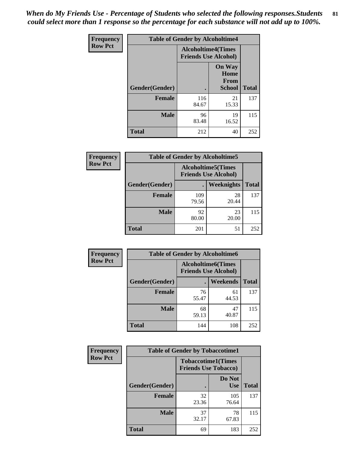*When do My Friends Use - Percentage of Students who selected the following responses.Students could select more than 1 response so the percentage for each substance will not add up to 100%.* **81**

| <b>Frequency</b> | <b>Table of Gender by Alcoholtime4</b> |                                                          |                                                |              |
|------------------|----------------------------------------|----------------------------------------------------------|------------------------------------------------|--------------|
| <b>Row Pct</b>   |                                        | <b>Alcoholtime4(Times</b><br><b>Friends Use Alcohol)</b> |                                                |              |
|                  | Gender(Gender)                         |                                                          | <b>On Way</b><br>Home<br>From<br><b>School</b> | <b>Total</b> |
|                  | <b>Female</b>                          | 116<br>84.67                                             | 21<br>15.33                                    | 137          |
|                  | <b>Male</b>                            | 96<br>83.48                                              | 19<br>16.52                                    | 115          |
|                  | <b>Total</b>                           | 212                                                      | 40                                             | 252          |

| <b>Frequency</b> | <b>Table of Gender by Alcoholtime5</b> |                                                           |             |              |
|------------------|----------------------------------------|-----------------------------------------------------------|-------------|--------------|
| <b>Row Pct</b>   |                                        | <b>Alcoholtime5</b> (Times<br><b>Friends Use Alcohol)</b> |             |              |
|                  | Gender(Gender)                         |                                                           | Weeknights  | <b>Total</b> |
|                  | <b>Female</b>                          | 109<br>79.56                                              | 28<br>20.44 | 137          |
|                  | <b>Male</b>                            | 92<br>80.00                                               | 23<br>20.00 | 115          |
|                  | <b>Total</b>                           | 201                                                       | 51          | 252          |

| <b>Frequency</b> | <b>Table of Gender by Alcoholtime6</b> |                                                           |             |              |
|------------------|----------------------------------------|-----------------------------------------------------------|-------------|--------------|
| <b>Row Pct</b>   |                                        | <b>Alcoholtime6</b> (Times<br><b>Friends Use Alcohol)</b> |             |              |
|                  | Gender(Gender)                         |                                                           | Weekends    | <b>Total</b> |
|                  | <b>Female</b>                          | 76<br>55.47                                               | 61<br>44.53 | 137          |
|                  | <b>Male</b>                            | 68<br>59.13                                               | 47<br>40.87 | 115          |
|                  | <b>Total</b>                           | 144                                                       | 108         | 252          |

| Frequency      | <b>Table of Gender by Tobaccotime1</b> |                                                          |                      |              |
|----------------|----------------------------------------|----------------------------------------------------------|----------------------|--------------|
| <b>Row Pct</b> |                                        | <b>Tobaccotime1(Times</b><br><b>Friends Use Tobacco)</b> |                      |              |
|                | Gender(Gender)                         |                                                          | Do Not<br><b>Use</b> | <b>Total</b> |
|                | Female                                 | 32<br>23.36                                              | 105<br>76.64         | 137          |
|                | <b>Male</b>                            | 37<br>32.17                                              | 78<br>67.83          | 115          |
|                | <b>Total</b>                           | 69                                                       | 183                  | 252          |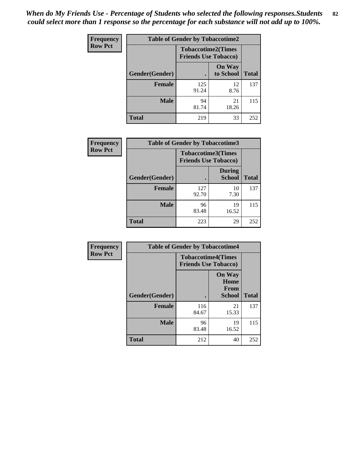*When do My Friends Use - Percentage of Students who selected the following responses.Students could select more than 1 response so the percentage for each substance will not add up to 100%.* **82**

| <b>Frequency</b> | <b>Table of Gender by Tobaccotime2</b> |                                                          |                            |              |
|------------------|----------------------------------------|----------------------------------------------------------|----------------------------|--------------|
| <b>Row Pct</b>   |                                        | <b>Tobaccotime2(Times</b><br><b>Friends Use Tobacco)</b> |                            |              |
|                  | Gender(Gender)                         | $\bullet$                                                | <b>On Way</b><br>to School | <b>Total</b> |
|                  | Female                                 | 125<br>91.24                                             | 12<br>8.76                 | 137          |
|                  | <b>Male</b>                            | 94<br>81.74                                              | 21<br>18.26                | 115          |
|                  | <b>Total</b>                           | 219                                                      | 33                         | 252          |

| Frequency      | <b>Table of Gender by Tobaccotime3</b> |                                                          |                                |              |
|----------------|----------------------------------------|----------------------------------------------------------|--------------------------------|--------------|
| <b>Row Pct</b> |                                        | <b>Tobaccotime3(Times</b><br><b>Friends Use Tobacco)</b> |                                |              |
|                | Gender(Gender)                         |                                                          | <b>During</b><br><b>School</b> | <b>Total</b> |
|                | <b>Female</b>                          | 127<br>92.70                                             | 10<br>7.30                     | 137          |
|                | <b>Male</b>                            | 96<br>83.48                                              | 19<br>16.52                    | 115          |
|                | <b>Total</b>                           | 223                                                      | 29                             | 252          |

| Frequency      | <b>Table of Gender by Tobaccotime4</b> |                                                          |                                                |              |
|----------------|----------------------------------------|----------------------------------------------------------|------------------------------------------------|--------------|
| <b>Row Pct</b> |                                        | <b>Tobaccotime4(Times</b><br><b>Friends Use Tobacco)</b> |                                                |              |
|                | Gender(Gender)                         |                                                          | <b>On Way</b><br>Home<br>From<br><b>School</b> | <b>Total</b> |
|                | <b>Female</b>                          | 116<br>84.67                                             | 21<br>15.33                                    | 137          |
|                | <b>Male</b>                            | 96<br>83.48                                              | 19<br>16.52                                    | 115          |
|                | <b>Total</b>                           | 212                                                      | 40                                             | 252          |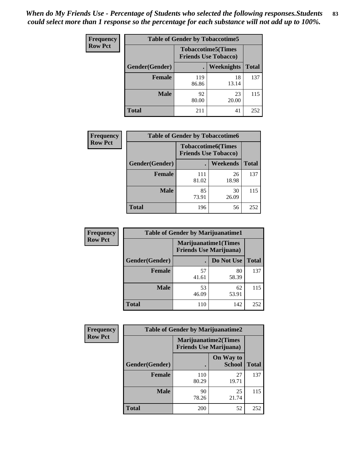| <b>Frequency</b> | <b>Table of Gender by Tobaccotime5</b> |              |                                                          |              |
|------------------|----------------------------------------|--------------|----------------------------------------------------------|--------------|
| <b>Row Pct</b>   |                                        |              | <b>Tobaccotime5(Times</b><br><b>Friends Use Tobacco)</b> |              |
|                  | <b>Gender</b> (Gender)                 |              | <b>Weeknights</b>                                        | <b>Total</b> |
|                  | Female                                 | 119<br>86.86 | 18<br>13.14                                              | 137          |
|                  | <b>Male</b>                            | 92<br>80.00  | 23<br>20.00                                              | 115          |
|                  | Total                                  | 211          | 41                                                       | 252          |

| <b>Frequency</b> | <b>Table of Gender by Tobaccotime6</b> |                                                          |             |              |
|------------------|----------------------------------------|----------------------------------------------------------|-------------|--------------|
| <b>Row Pct</b>   |                                        | <b>Tobaccotime6(Times</b><br><b>Friends Use Tobacco)</b> |             |              |
|                  | Gender(Gender)                         |                                                          | Weekends    | <b>Total</b> |
|                  | Female                                 | 111<br>81.02                                             | 26<br>18.98 | 137          |
|                  | <b>Male</b>                            | 85<br>73.91                                              | 30<br>26.09 | 115          |
|                  | <b>Total</b>                           | 196                                                      | 56          | 252          |

| <b>Frequency</b> | <b>Table of Gender by Marijuanatime1</b> |             |                                                               |              |
|------------------|------------------------------------------|-------------|---------------------------------------------------------------|--------------|
| <b>Row Pct</b>   |                                          |             | <b>Marijuanatime1(Times</b><br><b>Friends Use Marijuana</b> ) |              |
|                  | Gender(Gender)                           |             | Do Not Use                                                    | <b>Total</b> |
|                  | <b>Female</b>                            | 57<br>41.61 | 80<br>58.39                                                   | 137          |
|                  | <b>Male</b>                              | 53<br>46.09 | 62<br>53.91                                                   | 115          |
|                  | <b>Total</b>                             | 110         | 142                                                           | 252          |

| Frequency      | <b>Table of Gender by Marijuanatime2</b> |                                                               |                            |              |
|----------------|------------------------------------------|---------------------------------------------------------------|----------------------------|--------------|
| <b>Row Pct</b> |                                          | <b>Marijuanatime2(Times</b><br><b>Friends Use Marijuana</b> ) |                            |              |
|                | Gender(Gender)                           |                                                               | On Way to<br><b>School</b> | <b>Total</b> |
|                | <b>Female</b>                            | 110<br>80.29                                                  | 27<br>19.71                | 137          |
|                | <b>Male</b>                              | 90<br>78.26                                                   | 25<br>21.74                | 115          |
|                | <b>Total</b>                             | 200                                                           | 52                         | 252          |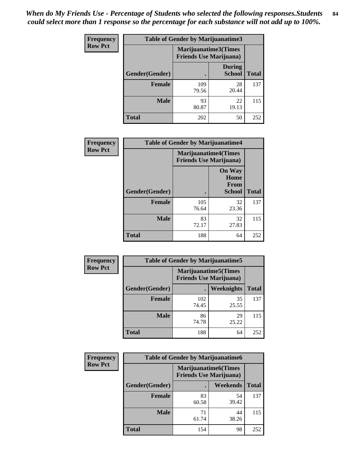| Frequency      | Table of Gender by Marijuanatime3 |                                                        |                                |              |  |
|----------------|-----------------------------------|--------------------------------------------------------|--------------------------------|--------------|--|
| <b>Row Pct</b> |                                   | Marijuanatime3(Times<br><b>Friends Use Marijuana</b> ) |                                |              |  |
|                | Gender(Gender)                    |                                                        | <b>During</b><br><b>School</b> | <b>Total</b> |  |
|                | <b>Female</b>                     | 109<br>79.56                                           | 28<br>20.44                    | 137          |  |
|                | <b>Male</b>                       | 93<br>80.87                                            | 22<br>19.13                    | 115          |  |
|                | <b>Total</b>                      | 202                                                    | 50                             | 252          |  |

| Frequency      | <b>Table of Gender by Marijuanatime4</b> |                                                               |                                                |              |
|----------------|------------------------------------------|---------------------------------------------------------------|------------------------------------------------|--------------|
| <b>Row Pct</b> |                                          | <b>Marijuanatime4(Times</b><br><b>Friends Use Marijuana</b> ) |                                                |              |
|                | Gender(Gender)                           |                                                               | <b>On Way</b><br>Home<br>From<br><b>School</b> | <b>Total</b> |
|                | <b>Female</b>                            | 105<br>76.64                                                  | 32<br>23.36                                    | 137          |
|                | <b>Male</b>                              | 83<br>72.17                                                   | 32<br>27.83                                    | 115          |
|                | <b>Total</b>                             | 188                                                           | 64                                             | 252          |

| <b>Frequency</b> | <b>Table of Gender by Marijuanatime5</b> |              |                                                                |              |  |
|------------------|------------------------------------------|--------------|----------------------------------------------------------------|--------------|--|
| <b>Row Pct</b>   |                                          |              | <b>Marijuanatime5</b> (Times<br><b>Friends Use Marijuana</b> ) |              |  |
|                  | Gender(Gender)                           | ٠            | Weeknights                                                     | <b>Total</b> |  |
|                  | <b>Female</b>                            | 102<br>74.45 | 35<br>25.55                                                    | 137          |  |
|                  | <b>Male</b>                              | 86<br>74.78  | 29<br>25.22                                                    | 115          |  |
|                  | <b>Total</b>                             | 188          | 64                                                             | 252          |  |

| <b>Frequency</b> | <b>Table of Gender by Marijuanatime6</b> |                                                               |             |              |  |
|------------------|------------------------------------------|---------------------------------------------------------------|-------------|--------------|--|
| <b>Row Pct</b>   |                                          | <b>Marijuanatime6(Times</b><br><b>Friends Use Marijuana</b> ) |             |              |  |
|                  | Gender(Gender)                           |                                                               | Weekends    | <b>Total</b> |  |
|                  | <b>Female</b>                            | 83<br>60.58                                                   | 54<br>39.42 | 137          |  |
|                  | <b>Male</b>                              | 71<br>61.74                                                   | 44<br>38.26 | 115          |  |
|                  | <b>Total</b>                             | 154                                                           | 98          | 252          |  |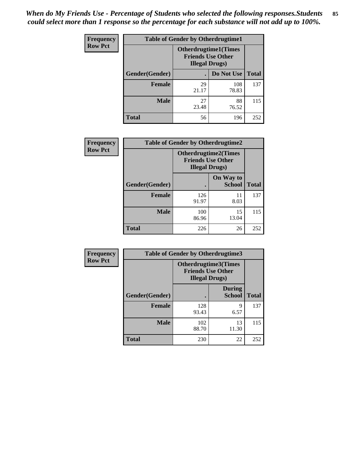*When do My Friends Use - Percentage of Students who selected the following responses.Students could select more than 1 response so the percentage for each substance will not add up to 100%.* **85**

| <b>Frequency</b> | <b>Table of Gender by Otherdrugtime1</b> |                                                    |                             |     |  |
|------------------|------------------------------------------|----------------------------------------------------|-----------------------------|-----|--|
| <b>Row Pct</b>   |                                          | <b>Friends Use Other</b><br><b>Illegal Drugs</b> ) | <b>Otherdrugtime1(Times</b> |     |  |
|                  | Gender(Gender)                           |                                                    | Do Not Use   Total          |     |  |
|                  | <b>Female</b>                            | 29<br>21.17                                        | 108<br>78.83                | 137 |  |
|                  | <b>Male</b>                              | 27<br>23.48                                        | 88<br>76.52                 | 115 |  |
|                  | <b>Total</b>                             | 56                                                 | 196                         | 252 |  |

| Frequency      | <b>Table of Gender by Otherdrugtime2</b> |                                                                                   |                            |              |
|----------------|------------------------------------------|-----------------------------------------------------------------------------------|----------------------------|--------------|
| <b>Row Pct</b> |                                          | <b>Otherdrugtime2(Times</b><br><b>Friends Use Other</b><br><b>Illegal Drugs</b> ) |                            |              |
|                | Gender(Gender)                           |                                                                                   | On Way to<br><b>School</b> | <b>Total</b> |
|                | <b>Female</b>                            | 126<br>91.97                                                                      | 11<br>8.03                 | 137          |
|                | <b>Male</b>                              | 100<br>86.96                                                                      | 15<br>13.04                | 115          |
|                | <b>Total</b>                             | 226                                                                               | 26                         | 252          |

| Frequency      |                | <b>Table of Gender by Otherdrugtime3</b> |                                                         |              |
|----------------|----------------|------------------------------------------|---------------------------------------------------------|--------------|
| <b>Row Pct</b> |                | <b>Illegal Drugs</b> )                   | <b>Otherdrugtime3(Times</b><br><b>Friends Use Other</b> |              |
|                | Gender(Gender) |                                          | <b>During</b><br><b>School</b>                          | <b>Total</b> |
|                | <b>Female</b>  | 128<br>93.43                             | 9<br>6.57                                               | 137          |
|                | <b>Male</b>    | 102<br>88.70                             | 13<br>11.30                                             | 115          |
|                | <b>Total</b>   | 230                                      | 22                                                      | 252          |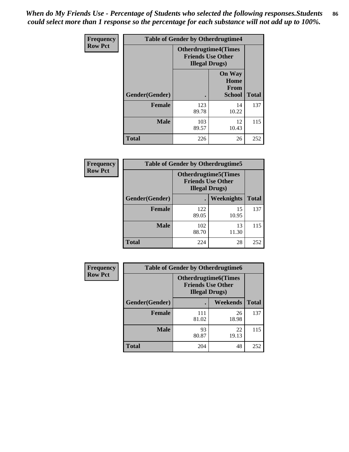*When do My Friends Use - Percentage of Students who selected the following responses.Students could select more than 1 response so the percentage for each substance will not add up to 100%.* **86**

| <b>Frequency</b> | <b>Table of Gender by Otherdrugtime4</b> |                                                                                   |                                                |              |
|------------------|------------------------------------------|-----------------------------------------------------------------------------------|------------------------------------------------|--------------|
| <b>Row Pct</b>   |                                          | <b>Otherdrugtime4(Times</b><br><b>Friends Use Other</b><br><b>Illegal Drugs</b> ) |                                                |              |
|                  | Gender(Gender)                           |                                                                                   | <b>On Way</b><br>Home<br>From<br><b>School</b> | <b>Total</b> |
|                  | <b>Female</b>                            | 123<br>89.78                                                                      | 14<br>10.22                                    | 137          |
|                  | <b>Male</b>                              | 103<br>89.57                                                                      | 12<br>10.43                                    | 115          |
|                  | <b>Total</b>                             | 226                                                                               | 26                                             | 252          |

| Frequency      | <b>Table of Gender by Otherdrugtime5</b> |                                                                                    |             |              |
|----------------|------------------------------------------|------------------------------------------------------------------------------------|-------------|--------------|
| <b>Row Pct</b> |                                          | <b>Otherdrugtime5</b> (Times<br><b>Friends Use Other</b><br><b>Illegal Drugs</b> ) |             |              |
|                | Gender(Gender)                           |                                                                                    | Weeknights  | <b>Total</b> |
|                | Female                                   | 122<br>89.05                                                                       | 15<br>10.95 | 137          |
|                | <b>Male</b>                              | 102<br>88.70                                                                       | 13<br>11.30 | 115          |
|                | <b>Total</b>                             | 224                                                                                | 28          | 252          |

| <b>Frequency</b> | <b>Table of Gender by Otherdrugtime6</b> |                                                                                   |             |              |
|------------------|------------------------------------------|-----------------------------------------------------------------------------------|-------------|--------------|
| <b>Row Pct</b>   |                                          | <b>Otherdrugtime6(Times</b><br><b>Friends Use Other</b><br><b>Illegal Drugs</b> ) |             |              |
|                  | Gender(Gender)                           |                                                                                   | Weekends    | <b>Total</b> |
|                  | <b>Female</b>                            | 111<br>81.02                                                                      | 26<br>18.98 | 137          |
|                  | <b>Male</b>                              | 93<br>80.87                                                                       | 22<br>19.13 | 115          |
|                  | <b>Total</b>                             | 204                                                                               | 48          | 252          |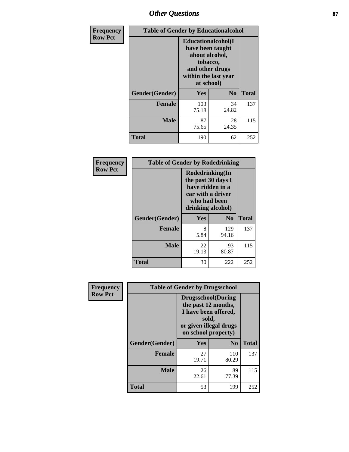## *Other Questions* **87**

| Frequency      | <b>Table of Gender by Educationalcohol</b> |                                                                                                                               |                |              |
|----------------|--------------------------------------------|-------------------------------------------------------------------------------------------------------------------------------|----------------|--------------|
| <b>Row Pct</b> |                                            | Educationalcohol(I<br>have been taught<br>about alcohol,<br>tobacco,<br>and other drugs<br>within the last year<br>at school) |                |              |
|                | Gender(Gender)                             | Yes                                                                                                                           | N <sub>0</sub> | <b>Total</b> |
|                | Female                                     | 103<br>75.18                                                                                                                  | 34<br>24.82    | 137          |
|                | <b>Male</b>                                | 87<br>75.65                                                                                                                   | 28<br>24.35    | 115          |
|                | Total                                      | 190                                                                                                                           | 62             | 252          |

| Frequency      | <b>Table of Gender by Rodedrinking</b> |                                                                                                                     |              |              |
|----------------|----------------------------------------|---------------------------------------------------------------------------------------------------------------------|--------------|--------------|
| <b>Row Pct</b> |                                        | Rodedrinking(In<br>the past 30 days I<br>have ridden in a<br>car with a driver<br>who had been<br>drinking alcohol) |              |              |
|                | Gender(Gender)                         | Yes                                                                                                                 | $\bf N_0$    | <b>Total</b> |
|                | <b>Female</b>                          | 8<br>5.84                                                                                                           | 129<br>94.16 | 137          |
|                | <b>Male</b>                            | 22<br>19.13                                                                                                         | 93<br>80.87  | 115          |
|                | <b>Total</b>                           | 30                                                                                                                  | 222          | 252          |

| Frequency      | <b>Table of Gender by Drugsschool</b> |                                                                                                                                     |                |              |
|----------------|---------------------------------------|-------------------------------------------------------------------------------------------------------------------------------------|----------------|--------------|
| <b>Row Pct</b> |                                       | <b>Drugsschool</b> (During<br>the past 12 months,<br>I have been offered,<br>sold,<br>or given illegal drugs<br>on school property) |                |              |
|                | Gender(Gender)                        | Yes                                                                                                                                 | N <sub>0</sub> | <b>Total</b> |
|                | <b>Female</b>                         | 27<br>19.71                                                                                                                         | 110<br>80.29   | 137          |
|                | <b>Male</b>                           | 26<br>22.61                                                                                                                         | 89<br>77.39    | 115          |
|                | Total                                 | 53                                                                                                                                  | 199            | 252          |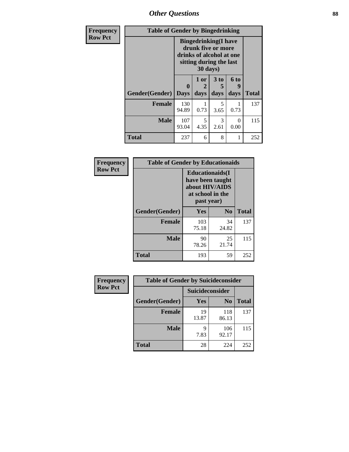*Other Questions* **88**

| Frequency      | <b>Table of Gender by Bingedrinking</b> |                                                                                                                                |              |                       |                   |              |
|----------------|-----------------------------------------|--------------------------------------------------------------------------------------------------------------------------------|--------------|-----------------------|-------------------|--------------|
| <b>Row Pct</b> |                                         | <b>Bingedrinking</b> (I have<br>drunk five or more<br>drinks of alcohol at one<br>sitting during the last<br>$30 \text{ days}$ |              |                       |                   |              |
|                | Gender(Gender)                          | $\mathbf{0}$<br><b>Days</b>                                                                                                    | 1 or<br>days | 3 to<br>days          | 6 to<br>9<br>days | <b>Total</b> |
|                |                                         |                                                                                                                                |              |                       |                   |              |
|                | <b>Female</b>                           | 130<br>94.89                                                                                                                   | 0.73         | 5<br>3.65             | 0.73              | 137          |
|                | <b>Male</b>                             | 107<br>93.04                                                                                                                   | 5<br>4.35    | $\mathcal{R}$<br>2.61 | $\Omega$<br>0.00  | 115          |
|                | <b>Total</b>                            | 237                                                                                                                            | 6            | 8                     | 1                 | 252          |

| Frequency      | <b>Table of Gender by Educationaids</b> |                                                                                                 |                |              |  |
|----------------|-----------------------------------------|-------------------------------------------------------------------------------------------------|----------------|--------------|--|
| <b>Row Pct</b> |                                         | <b>Educationaids</b> (I<br>have been taught<br>about HIV/AIDS<br>at school in the<br>past year) |                |              |  |
|                | Gender(Gender)                          | Yes                                                                                             | N <sub>0</sub> | <b>Total</b> |  |
|                | <b>Female</b>                           | 103<br>75.18                                                                                    | 34<br>24.82    | 137          |  |
|                | <b>Male</b>                             | 90<br>78.26                                                                                     | 25<br>21.74    | 115          |  |
|                | <b>Total</b>                            | 193                                                                                             | 59             | 252          |  |

| Frequency      | <b>Table of Gender by Suicideconsider</b> |                 |                |              |
|----------------|-------------------------------------------|-----------------|----------------|--------------|
| <b>Row Pct</b> |                                           | Suicideconsider |                |              |
|                | Gender(Gender)                            | Yes             | N <sub>0</sub> | <b>Total</b> |
|                | <b>Female</b>                             | 19<br>13.87     | 118<br>86.13   | 137          |
|                | <b>Male</b>                               | q<br>7.83       | 106<br>92.17   | 115          |
|                | <b>Total</b>                              | 28              | 224            | 252          |